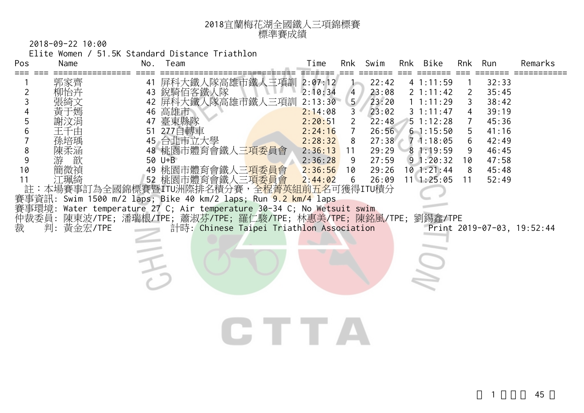

2018-09-22 10:00

Elite Women / 51.5K Standard Distance Triathlon

| Pos                                                     | Name                                                   | No.                              | Team                                                                                                                                                                                                                                                                                                                                                                                                                                                                                           | Time                                                                                                                  | Rnk                                                                                                      | Swim                                                                                            | Rnk | Bike                                                                                                                                                        | Rnk                                         | Run                                                                                             | Remarks                    |
|---------------------------------------------------------|--------------------------------------------------------|----------------------------------|------------------------------------------------------------------------------------------------------------------------------------------------------------------------------------------------------------------------------------------------------------------------------------------------------------------------------------------------------------------------------------------------------------------------------------------------------------------------------------------------|-----------------------------------------------------------------------------------------------------------------------|----------------------------------------------------------------------------------------------------------|-------------------------------------------------------------------------------------------------|-----|-------------------------------------------------------------------------------------------------------------------------------------------------------------|---------------------------------------------|-------------------------------------------------------------------------------------------------|----------------------------|
| ===<br>2<br>3<br>5<br>6<br>8<br>9<br>10<br>11<br>註<br>裁 | 郭家齊<br>孫培瑀<br>陳柔涵<br>歆<br>游<br>簡微禎<br>江珮綺<br>判:黃金宏/TPE | 41<br>43<br>42<br>46<br>47<br>51 | 屏科大鐵人隊高雄市鐵人三項訓<br>,<br>銳騎佰客鐵人隊<br>屏科大鐵人隊高雄市鐵人三項訓<br>高雄市<br>臺東縣隊<br>277自轉車<br>45 台北市立大學<br>48 桃園市體育會鐵人三項委員會<br>50 U+B<br>49 桃園市體育會鐵人三 <mark>項委員會</mark><br>52 桃園市體育會鐵人三 <mark>項委員會</mark><br>本場賽事訂為全國錦標賽暨ITU洲際排名積分賽,<br>全程菁英組前五名可獲得ITU積分<br>賽事資訊: Swim 1500 m/2 laps; Bike 40 km/2 laps; Run 9.2 km/4 laps<br>賽事環境: Water temperature 27 C; Air temperature 30-34 C; No Wetsuit swim<br>仲裁委員: 陳東波/TPE; 潘瑞根/TPE; 蕭淑芬/TPE; 羅仁駿/TPE; 林惠美/TPE; 陳銘風/TPE;<br>計時: Chinese Taipei Triathlon Association | 2:07:12<br>2:10:34<br>2:13:30<br>2:14:08<br>2:20:51<br>2:24:16<br>2:28:32<br>2:36:13<br>2:36:28<br>2:36:56<br>2:44:02 | $\overline{4}$<br>5 <sup>7</sup><br>3<br>$\overline{2}$<br>$\overline{7}$<br>8<br>11<br>9<br>10<br>$6\,$ | 22:42<br>23:08<br>23:20<br>23:02<br>22:48<br>26:56<br>27:38<br>29:29<br>27:59<br>29:26<br>26:09 |     | 41:11:59<br>2 1:11:42<br>1 1:11:29<br>31:11:47<br>51:12:28<br>61:15:50<br>71:18:05<br>81:19:59<br>91:20:32<br>$10$ 1:21:44<br>$11 \quad 1:25:05$<br>劉錫鑫/TPE | 2<br>3<br>4<br>5<br>6<br>9<br>10<br>8<br>11 | 32:33<br>35:45<br>38:42<br>39:19<br>45:36<br>41:16<br>42:49<br>46:45<br>47:58<br>45:48<br>52:49 | Print 2019-07-03, 19:52:44 |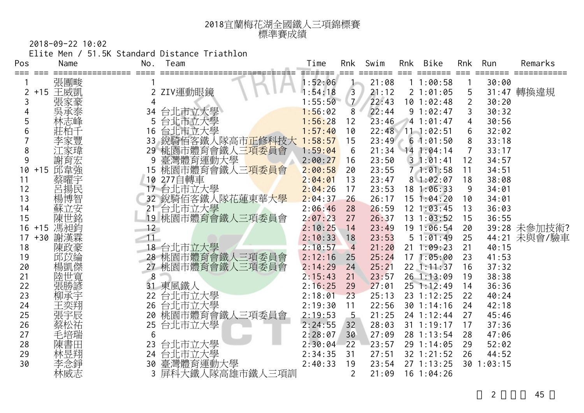| 2018宜蘭梅花湖全國鐵人三項錦標賽 |
|--------------------|
| 標準賽成績              |

2018-09-22 10:02

Elite Men / 51.5K Standard Distance Triathlon

| Pos |         | Name | No.      | Team                        | Time    | Rnk            | Swim  | Rnk | Bike             | Rnk            | Run        | Remarks      |
|-----|---------|------|----------|-----------------------------|---------|----------------|-------|-----|------------------|----------------|------------|--------------|
|     |         | 張團畯  |          |                             | 1:52:06 | ム              | 21:08 |     | 11:00:58         |                | 30:00      |              |
|     | +15 王威凱 |      |          | ZIV運動眼鏡                     | 1:54:18 | $\overline{3}$ | 21:12 |     | 21:01:05         | 5              |            | 31:47 轉換違規   |
| 3   |         | 張家豪  | 4        |                             | 1:55:50 | $\mathcal{I}$  | 22:43 |     | $10$ 1:02:48     | $\overline{2}$ | 30:20      |              |
|     |         | 吳承泰  | 34       | 台北市立大學                      | 1:56:02 | 8              | 22:44 |     | 91:02:47         |                | 30:32      |              |
| 5   |         | 林志峰  | 5        | 台北市立大學                      | 1:56:28 | 12             | 23:46 |     | 41:01:47         | 4              | 30:56      |              |
|     |         | 莊柏千  | 16       | 台北市立大學                      | 1:57:40 | 10             |       |     | 22:48 11 1:02:51 | 6              | 32:02      |              |
|     |         | 李家豐  | 33       | 鋭騎佰客鐵人隊高市正修科技大              | 1:58:57 | 15             | 23:49 |     | 61:01:50         | 8              | 33:18      |              |
| 8   |         | .家瑋  |          | 29 桃園市體育會鐵人三項委員會            | 1:59:04 | 6              | 21:34 |     | $14$ 1:04:14     | 7              | 33:17      |              |
| 9   |         | 謝育宏  | 9        | 臺灣體育運動大學                    | 2:00:27 | 16             | 23:50 |     | 31:01:41         | 12             | 34:57      |              |
| 10  | $+15$   | 邱韋強  | 15       | 桃園市體育會鐵人三 <mark>項委員會</mark> | 2:00:58 | 20             | 23:55 |     | 71:01:58         | 11             | 34:51      |              |
| 11  |         | 蔡曜宇  | 10       | 277自轉車                      | 2:04:01 | 13             | 23:47 |     | 81:02:07         | 18             | 38:08      |              |
| 12  |         | 呂揚民  |          | 台北市立大學                      | 2:04:26 | 17             | 23:53 |     | 18 1:06:33       | 9              | 34:01      |              |
| 13  |         | 楊博智  |          | 32 銳騎佰客鐵人隊花蓮東華大學            | 2:04:37 | 26             | 26:17 |     | 151:04:20        | 10             | 34:01      |              |
| 14  |         | 蘇立安  |          | 台北市立大學                      | 2:06:46 | 28             | 26:59 |     | $12 \t1:03:45$   | 13             | 36:03      |              |
| 15  |         | 陳世銘  | 19       | 桃園市體育會鐵人三項委員會               | 2:07:23 | 27             | 26:37 |     | 13 1:03:52       | 15             | 36:55      |              |
| 16  | $+15$   | 馮昶鈞  | 12       |                             | 2:10:25 | 14             | 23:49 |     | 19 1:06:54       | 20             |            | 39:28 未參加技術? |
| 17  | $+30$   | 謝漢霖  | 11       |                             | 2:10:33 | 18             | 23:53 |     | 51:01:49         | 25             |            | 44:21 未與會/驗車 |
| 18  |         | 陳政豪  |          | 18 台北市立大學                   | 2:10:57 | $\overline{4}$ | 21:20 |     | 211:09:23        | 21             | 40:15      |              |
| 19  |         | 邱苡綸  |          | 28 桃園市體育會鐵人三項委員會            | 2:12:16 | 25             | 25:24 |     | 171:05:00        | 23             | 41:53      |              |
| 20  |         | 楊凱傑  |          | 27 桃園市體育會鐵人三項委員會            | 2:14:29 | 24             | 25:21 |     | 22 1:11:37       | 16             | 37:32      |              |
| 21  |         | 陸世寬  | $\delta$ |                             | 2:15:43 | 21             | 23:57 |     | 26 1:13:09       | 19             | 38:38      |              |
| 22  |         | 張勝諺  |          | 東風鐵人                        | 2:16:25 | 29             | 27:01 |     | 25 1:12:49       | 14             | 36:36      |              |
| 23  |         | 柳承宇  | 22       | 台北市立大學                      | 2:18:01 | 23             | 25:13 |     | 23 1:12:25       | 22             | 40:24      |              |
| 24  |         | 王奕翔  | 26       | 台北市立大學                      | 2:19:30 | 11             | 22:56 |     | $30$ 1:14:16     | 24             | 42:18      |              |
| 25  |         | 張宇辰  | 20       | 桃園市體育會鐵人三項委員會               | 2:19:53 | 5              | 21:25 |     | 24 1:12:44       | 27             | 45:46      |              |
| 26  |         | 蔡松祐  | 25       | 台北市立大學                      | 2:24:55 | 32             | 28:03 |     | 31 1:19:17       | 17             | 37:36      |              |
| 27  |         | 毛培瑞  | 6        |                             | 2:28:07 | 30             | 27:09 |     | 28 1:13:54       | 28             | 47:06      |              |
| 28  |         | 陳書田  | 23       | 台北市立大學                      | 2:30:04 | 22             | 23:57 |     | 29 1:14:05       | 29             | 52:02      |              |
| 29  |         | 林昱翔  | 24       | 台北市立大學                      | 2:34:35 | 31             | 27:51 |     | 32 1:21:52       | 26             | 44:52      |              |
| 30  |         | 李念錚  | 30       | 臺灣體育運動大學                    | 2:40:33 | 19             | 23:54 |     | $27$ 1:13:25     |                | 30 1:03:15 |              |
|     |         | 林威志  |          | 屏科大鐵人隊高雄市鐵人三項訓              |         | $\overline{2}$ | 21:09 |     | 16 1:04:26       |                |            |              |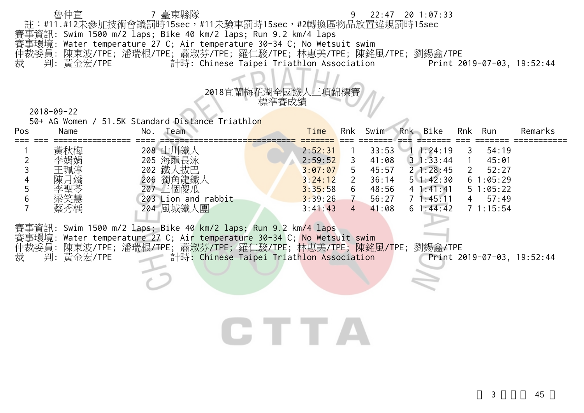|              |                                                                |                                                                        | $9$ $22:47$ $20$ $1:07:33$ |                            |  |
|--------------|----------------------------------------------------------------|------------------------------------------------------------------------|----------------------------|----------------------------|--|
|              |                                                                | 註:#11.#12未參加技術會議罰時15sec,#11未驗車罰時15sec,#2轉換區物品放置違規罰時15sec               |                            |                            |  |
|              | 賽事資訊: Swim 1500 m/2 laps; Bike 40 km/2 laps; Run 9.2 km/4 laps |                                                                        |                            |                            |  |
|              |                                                                | 賽事環境: Water temperature 27 C; Air temperature 30-34 C; No Wetsuit swim |                            |                            |  |
|              |                                                                | 仲裁委員: 陳東波/TPE; 潘瑞根/TPE; 蕭淑芬/TPE; 羅仁駿/TPE; 林惠美/TPE; 陳銘風/TPE; 劉錫鑫/TPE    |                            |                            |  |
| 裁  判:黃金宏/TPE |                                                                | 計時: Chinese Taipei Triathlon Association                               |                            | Print 2019-07-03, 19:52:44 |  |

| RALHIA                      |
|-----------------------------|
| 2018宜蘭梅花湖全國鐵人三項錦標賽<br>標準賽成績 |

50+ AG Women / 51.5K Standard Distance Triathlon

| Pos | Name                            | Team<br>No.                                                           | Time                                                | Rnk     | Swim                                      | Rnk | Bike                                                                         | Rnk | Run                                             | Remarks |
|-----|---------------------------------|-----------------------------------------------------------------------|-----------------------------------------------------|---------|-------------------------------------------|-----|------------------------------------------------------------------------------|-----|-------------------------------------------------|---------|
|     | 黃秋梅<br>李娟娟<br>王珮淳<br>陳月嬌<br>李聖苓 | 208<br>海龍長泳<br>205<br>鐵人<br>、拔巴<br>202<br>獨角龍鐵人<br>206<br>三個傻瓜<br>207 | 2:52:31<br>2:59:52<br>3:07:07<br>3:24:12<br>3:35:58 | 5.<br>6 | 33:53<br>41:08<br>45:57<br>36:14<br>48:56 |     | 1:24:19<br>$3 \cdot 1:33:44$<br>21:28:45<br>$5 \; 1:42:30$<br>$4 \; 1:41:41$ |     | 54:19<br>45:01<br>52:27<br>61:05:29<br>51:05:22 |         |
|     | 梁笑慧<br>蔡秀楀                      | 203 Lion and rabbit<br>4 風城鐵人團<br>204                                 | 3:39:26<br>3:41:43                                  | 4       | 56:27<br>41:08                            |     | 1:45:11<br>$6 \; 1:44:42$                                                    |     | 57:49<br>1:15:54                                |         |

賽事資訊: Swim 1500 m/2 laps; Bike 40 km/2 laps; Run 9.2 km/4 laps 賽事環境: Water temperature 27 C; Air temperature 30-34 C; <mark>No W</mark>etsuit swim 仲裁委員: 陳東波/TPE; 潘瑞根/TPE; 蕭淑芬/TPE; 羅仁駿/TPE; 林惠美/TPE; 陳銘風/TPE; 劉錫鑫/TPE 裁 判: 黃金宏/TPE 計時: Chinese Taipei Triathlon Association Print 2019-07-03, 19:52:44

## CTTA

 $3 \overline{45}$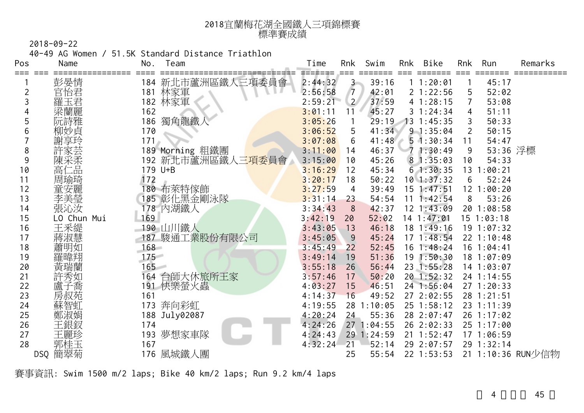| 2018宜蘭梅花湖全國鐵人三項錦標賽 |
|--------------------|
| 標準賽成績              |

40-49 AG Women / 51.5K Standard Distance Triathlon

| Pos | Name        | No.<br>Team                        | Time<br>Swim<br><b>Bike</b><br>Rnk<br>Rnk<br>Run<br>Rnk            | Remarks |
|-----|-------------|------------------------------------|--------------------------------------------------------------------|---------|
| === | 彭晏情         | 新北市蘆洲區鐵人三項委員會<br>184               | 45:17<br>39:16<br>11:20:01<br>2:44:32<br>$\mathbf{3}$              |         |
|     | 官怡君         | 林家軍<br>181                         | 2:56:58<br>21:22:56<br>52:02<br>42:01<br>$\overline{7}$<br>5       |         |
|     | 羅玉君         | 182 林家軍                            | 2:59:21<br>37:59<br>$\overline{2}$<br>41:28:15<br>53:08            |         |
|     | 梁蘭麗         | 162                                | 45:27<br>31:24:34<br>51:11<br>3:01:11<br>11<br>4                   |         |
|     | 阮詩雅         | 獨角龍鐵<br>186                        | 29:19<br>3:05:26<br>$13 \t1:45:35$<br>50:33<br>$\mathbf{1}$        |         |
| b   | 柳妙貞         | 170                                | 41:34<br>3:06:52<br>5<br>$9 - 1:35:04$<br>50:15                    |         |
|     |             | 171                                | 3:07:08<br>41:48<br>51:30:34<br>54:47<br>6<br>11                   |         |
| 8   |             | 189 Morning 粗鐵團                    | 53:36 浮標<br>3:11:00<br>46:37<br>71:30:49<br>14<br>9                |         |
| 9   | 陳采柔         | 新北市蘆洲區鐵人三 <mark>項委員會</mark><br>192 | 3:15:00<br>45:26<br>81:35:03<br>54:33<br>10<br>10                  |         |
| 10  | 高仁品         | 179 U+B                            | 61:30:35<br>3:16:29<br>12<br>45:34<br>13 <sup>1</sup><br>1:00:21   |         |
| 11  | 周瑜琦         | 172                                | 3:20:17<br>18<br>50:22<br>$10$ 1:37:32<br>6<br>52:24               |         |
| 12  |             | 80 布萊特傢飾                           | 3:27:59<br>39:49<br>$15$ 1:47:51<br>12 <sup>2</sup><br>:00:20<br>4 |         |
| 13  | 李美瑩         | 185 彰化黑金剛泳隊                        | 3:31:14<br>54:54<br>1:42:54<br>8<br>53:26<br>23<br>11              |         |
| 14  | 張沁汝         | 178 內湖鐵人                           | 3:34:43<br>42:37<br>$12 \t1:43:09$<br>20 1:08:58<br>8              |         |
| 15  | LO Chun Mui | 169                                | 3:42:19<br>52:02<br>$14$ 1:47:01<br>$15$ $1:03:18$<br>20           |         |
| 16  | 王釆緹         | 190 山川鐵人                           | 3:43:05<br>46:18<br>18 1:49:16<br>13<br>191:07:32                  |         |
| 17  | 蔣淑慧         | 187<br>駿通工業股份有限公司                  | 45:24<br>$17 \t1:48:54$<br>3:45:05<br>22 1:10:48<br>9              |         |
| 18  | 蕭明如         | $168 -$                            | 3:45:49<br>52:45<br>$16$ 1:48:24<br>$16$ 1:04:41<br>22             |         |
| 19  | 羅暐翔         | $175 -$                            | 3:49:14<br>19<br>51:36<br>191:50:30<br>18 1:07:09                  |         |
| 20  | 黃瑞蘭         | 165                                | 3:55:18<br>56:44<br>23 1:55:28<br>14 1:03:07<br>26                 |         |
| 21  | 許秀如         | 台師大休旅所王家<br>164                    | 3:57:46<br>50:20<br>20 1:52:32<br>24 1:14:55<br>17                 |         |
| 22  | -喬          | 191 快樂螢火蟲                          | 4:03:27<br>24 1:56:04<br>27 1:20:33<br>15<br>46:51                 |         |
| 23  | 房叔苑         | 161                                | 4:14:37<br>16<br>49:52<br>27 2:02:55<br>28 1:21:51                 |         |
| 24  | 蘇智虹         | 奔向彩虹<br>173                        | 4:19:55<br>1:10:05<br>$25$ 1:58:12<br>28<br>23 1:11:39             |         |
| 25  | 鄭淑娟         | 188 July02087                      | 4:20:24<br>24<br>55:36<br>28 2:07:47<br>26 1:17:02                 |         |
| 26  | 王銀釵         | 174                                | 26 2:02:33<br>4:24:26<br>27 1:04:55<br>25 1:17:00                  |         |
| 27  | 王麗珍         | 夢想家車隊<br>193                       | 29 1:24:59<br>$21 \t1:52:47$<br>17 1:06:59<br>4:24:43              |         |
| 28  | 郭桂玉         | 167                                | 4:32:24<br>21<br>52:14<br>29 2:07:57<br>29 1:32:14                 |         |
|     | DSQ 簡翠菊     | 風城鐵人團<br>176                       | 55:54<br>$22$ 1:53:53<br>21 1:10:36 RUN少信物<br>25                   |         |

賽事資訊: Swim 1500 m/2 laps; Bike 40 km/2 laps; Run 9.2 km/4 laps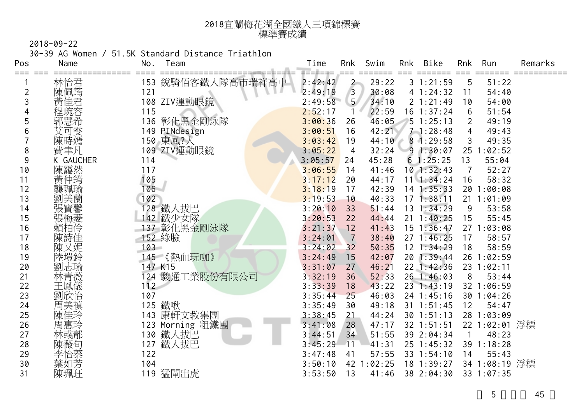| 2018宜蘭梅花湖全國鐵人三項錦標賽 |
|--------------------|
| 標準賽成績              |

30-39 AG Women / 51.5K Standard Distance Triathlon

| Pos      | Name      | Team<br>No.          | Time               | Rnk            | Swim                | Rnk | Bike                     | Rnk | Run                         | Remarks |
|----------|-----------|----------------------|--------------------|----------------|---------------------|-----|--------------------------|-----|-----------------------------|---------|
| === ===  | 林怡君       | 銳騎佰客鐵人隊高市瑞祥高中<br>153 | =======<br>2:42:42 |                | 29:22               |     | 31:21:59                 | 5   | 51:22                       |         |
| 2        | 陳佩筠       | 121                  | 2:49:19            | $\frac{2}{3}$  | 30:08               |     | 41:24:32                 | 11  | 54:40                       |         |
| 3        | 黃佳君       | 108 ZIV運動眼鏡          | 2:49:58            | 5 <sup>1</sup> | 34:10               |     | 21:21:49                 | 10  | 54:00                       |         |
|          | 程琬容       | 115                  | 2:52:17            |                | 22:59               |     | $16$ 1:37:24             | 6   | 51:54                       |         |
| 5        | 郭慧希       | 彰化黑金剛泳隊<br>136       | 3:00:36            | 26             | 46:05               |     | 51:25:13                 | 2   | 49:19                       |         |
| 6        | 艾可雯       | 149 PINdesign        | 3:00:51            | 16             | 42:21               |     | $7 - 1:28:48$            | 4   | 49:43                       |         |
|          | 陳時嫣       | 150 東風?人             | 3:03:42            | 19             | 44:10               |     | 81:29:58                 | 3   | 49:35                       |         |
| 8        | 費聿凡       | 109 ZIV運動眼鏡          | 3:05:22            | $\overline{4}$ | 32:24               |     | 91:30:07                 | 25  | 1:02:52                     |         |
| 9        | K GAUCHER | 114                  | 3:05:57            | 24             | 45:28               |     | 61:25:25                 | 13  | 55:04                       |         |
| 10       | 陳靄然       | 117                  | 3:06:55            | 14             | 41:46               |     | $10$ 1:32:43             | 7   | 52:27                       |         |
| 11       | 黃仲筠       | 105                  | 3:17:12            | 20             | 44:17               |     | $11 \t1:34:24$           | 16  | 58:32                       |         |
| 12       | 龔珮瑜       | 106                  | 3:18:19            | 17             | 42:39               |     | $14$ 1:35:33             | 20  | 1:00:08                     |         |
| 13       | 劉美蘭       | 102                  | 3:19:53            | 10             | 40:33               |     | $17 \t1:38:11$           |     | 21 1:01:09                  |         |
| 14       | 張寶馨       | 128 鐵人拔巴             | 3:20:10            | 33             | 51:44               |     | $13 \t1:34:29$           | 9   | 53:58                       |         |
| 15       | 張梅菱       | 142 鐵少女隊             | 3:20:53            | 22             | 44:44               |     | $21 \t1:40:25$           | 15  | 55:45                       |         |
| 16       | 賴柏伶       | 137 彰化黑金剛泳隊          | 3:21:37            | 12             | 41:43               |     | $15$ $1:36:47$           |     | 27 1:03:08                  |         |
| 17       | 陳詩佳       | 152 綠臉               | 3:24:01            | 7              | 38:40               |     | $27 \t1:46:25$           | 17  | 58:57                       |         |
| 18       | 陳又妮       | $103 -$              | 3:24:02            | 32             | 50:35               |     | $12$ $1:34:29$           | 18  | 58:59                       |         |
| 19       | 陸塏鈴       | 145 《熱血玩咖》           | 3:24:49            | 15             | 42:07               |     | 20 1:39:44               |     | 26 1:02:59                  |         |
| 20       | 劉志瑜       | 147 K15              | 3:31:07            | 27             | 46:21               |     | 22 1:42:36               |     | 23 1:02:11                  |         |
| 21       | 林青薇       | 124 駿通工業股份有限公司       | 3:32:19            | 36             | 52:33               |     | 26 1:46:03               | 8   | 53:44                       |         |
| 22       | 王鳳儀       | 112                  | 3:33:39            | 18             | 43:22               |     | 231:43:19                |     | 32 1:06:59                  |         |
| 23       | 劉欣怡       | 107                  | 3:35:44            | 25             | 46:03               |     | 24 1:45:16               |     | 30 1:04:26                  |         |
| 24       | 周美禛       | 125 鐵啾               | 3:35:49            | 30             | 49:18               |     | $31 \t1:51:45$           | 12  | 54:47                       |         |
| 25       | 陳佳玲       | 143 康軒文教集團           | 3:38:45            | 21             | 44:24               |     | $30$ 1:51:13             |     | 28 1:03:09                  |         |
| 26       | 周惠玲       | 123 Morning 粗鐵團      | 3:41:08            | 28             | 47:17               |     | 32 1:51:51               |     | 22 1:02:01 浮標               |         |
| 27       | 林彧郬       | 鐵人拔巴<br>130          | 3:44:51            | 34             | 51:55               |     | 39 2:04:34               |     | 48:23                       |         |
| 28       | 陳薇旬       | 鐵人拔巴<br>127          | 3:45:29            | 11             | 41:31               |     | 25 1:45:32               | 39  | 1:18:28                     |         |
| 29<br>30 | 李怡蓁       | 122<br>104           | 3:47:48            | 41             | 57:55<br>42 1:02:25 |     | 33 1:54:10<br>18 1:39:27 | 14  | 55:43                       |         |
| 31       | 葉如芳       | 119                  | 3:50:10<br>3:53:50 | 13             | 41:46               |     | 38 2:04:30               |     | 34 1:08:19 浮標<br>33 1:07:35 |         |
|          | 陳珮玨       | 猛閘出虎                 |                    |                |                     |     |                          |     |                             |         |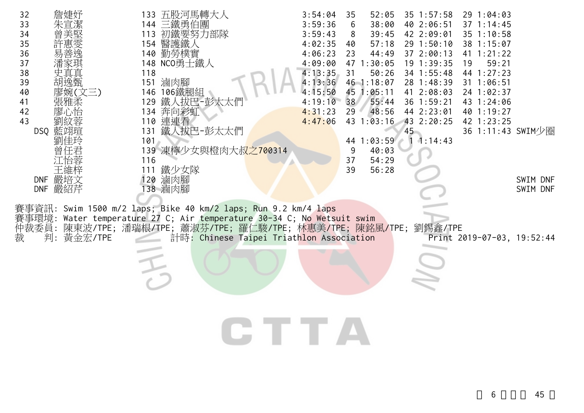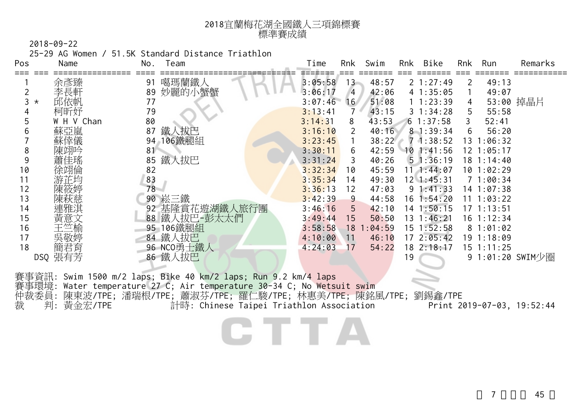| 2018宜蘭梅花湖全國鐵人三項錦標賽 |
|--------------------|
| 標準賽成績              |

25-29 AG Women / 51.5K Standard Distance Triathlon

| Pos | Name       | Team<br>No.    | Time    | Rnk             | Swim   | Rnk | Bike               | Rnk | Run              | Remarks   |
|-----|------------|----------------|---------|-----------------|--------|-----|--------------------|-----|------------------|-----------|
|     | 余彥臻        | 噶瑪蘭鐵人<br>91    | 3:05:58 | 13 <sup>2</sup> | 48:57  |     | 21:27:49           | 2   | 49:13            |           |
|     | 李長軒        | 妙麗的小蟹蟹<br>89   | 3:06:17 | $\overline{4}$  | 42:06  |     | 41:35:05           |     | 49:07            |           |
| ⊀   | 邱依帆        | 77             | 3:07:46 | 16              | 51:08  |     | 11:23:39           |     |                  | 53:00 掉晶片 |
|     | 柯昕妤        | 79             | 3:13:41 | 7               | 43:15  |     | $3 \; 1:34:28$     | 5   | 55:58            |           |
|     | W H V Chan | 80             | 3:14:31 | 8               | 43:53  |     | 61:37:58           | 3   | 52:41            |           |
|     | 蘇亞嵐        | 鐵人拔巴<br>87     | 3:16:10 | 2               | 40:16  |     | $8 - 1:39:34$      | 6   | 56:20            |           |
|     | 蘇倖儀        | 106鐵腿組<br>94   | 3:23:45 |                 | 38:22  |     | 71:38:52           | 13  | 1:06:32          |           |
| 8   |            | 81             | 3:30:11 | 6.              | 42:59  |     | 101:41:56          |     | 12 1:05:17       |           |
| 9   |            | 鐵人拔巴<br>85     | 3:31:24 | 3               | 40:26  |     | 51:36:19           |     | 18 1:14:40       |           |
| 10  | 徐翊倫        | 82             | 3:32:34 | 10              | 45:59  |     | $11 \quad 1:44:07$ |     | 101:02:29        |           |
| 11  | 游芷均        | 83             | 3:35:34 | 14              | 49:30  |     | $12 \quad 1:45:31$ |     | 71:00:34         |           |
| 12  |            | 78             | 3:36:13 | 12              | 47:03  |     | $9 \; 1:41:33$     |     | 14 1:07:38       |           |
| 13  | 陳萩慈        | 90 崧三鐵         | 3:42:39 | 9               | 44:58  |     | $16 \t1:54:20$     |     | 11 1:03:22       |           |
| 14  | 連雅淇        | 92 基隆賞花遊湖鐵人旅行團 | 3:46:16 | 5               | 42:10  |     | $14 \t1:50:15$     |     | $17 \t1:13:51$   |           |
| 15  | 黃意文        | 88 鐵人拔巴-彭太太們   | 3:49:44 | 15              | 50:50  |     | 13 1:46:21         |     | $16 \t1:12:34$   |           |
| 16  | 王竺榆        | 95 106鐵腿組      | 3:58:58 | 18 <sub>1</sub> | :04:59 |     | $15 \t1:52:58$     |     | 81:01:02         |           |
| 17  | 吳敬婷        | 84 鐵人拔巴        | 4:10:00 | 11              | 46:10  |     | 172:05:42          |     | 19 1:18:09       |           |
| 18  | 簡君育        | 96 NCO勇士鐵人     | 4:24:03 | 17              | 54:22  |     | 18 2:18:17         |     | $15 \t1:11:25$   |           |
|     | DSQ 張有芳    | 86 鐵人拔巴        |         |                 |        | 19  |                    |     | 9 1:01:20 SWIM少圈 |           |

CTTA

賽事環境: Water temperature 27 C; Air temperature 30-34 C; No Wetsuit swim 仲裁委員: 陳東波/TPE; 潘瑞根/TPE; 蕭淑芬/TPE; 羅仁駿/TPE; 林惠美/TPE; 陳銘風/TPE; 劉錫鑫/TPE 裁 判: 黃金宏/TPE 計時: Chinese Taipei Triathlon Association Print 2019-07-03, 19:52:44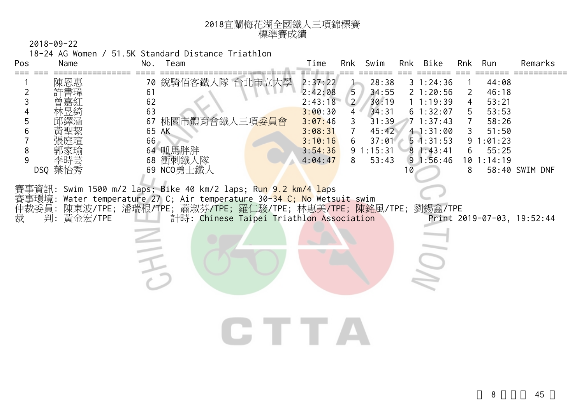

18-24 AG Women / 51.5K Standard Distance Triathlon

| Pos<br>Name             | Time<br>Swim<br>Bike<br>Remarks<br>No.<br>Team<br>Rnk<br>Rnk<br>Rnk<br>Run                                                                                                                                                                                                                                                                                                                                                                                                                                                                                  |
|-------------------------|-------------------------------------------------------------------------------------------------------------------------------------------------------------------------------------------------------------------------------------------------------------------------------------------------------------------------------------------------------------------------------------------------------------------------------------------------------------------------------------------------------------------------------------------------------------|
| 陳恩惠<br>2<br>3<br>5<br>8 | 銳騎佰客鐵人隊 台北市立大學<br>2:37:22<br>28:38<br>44:08<br>70<br>31:24:36<br>2:42:08<br>5<br>61<br>34:55<br>21:20:56<br>46:18<br>2<br>62<br>$\overline{2}$<br>30:19<br>2:43:18<br>11:19:39<br>53:21<br>4<br>63<br>34:31<br>3:00:30<br>61:32:07<br>53:53<br>$\overline{4}$<br>5<br>桃園市體育會鐵人三項 <mark>委員會</mark><br>31:39<br>67<br>3:07:46<br>71:37:43<br>3<br>58:26<br>65 AK<br>3:08:31<br>45:42<br>51:50<br>$7^{\circ}$<br>41:31:00<br>3<br>66<br>3:10:16<br>6<br>37:01<br>$5 \cdot 1:31:53$<br>1:01:23<br>9<br>64 呱馬胖胖<br>91:15:31<br>3:54:36<br>81:43:41<br>55:25<br>6 |
| 9<br>李時芸<br>DSQ 葉怡秀     | 衝刺鐵人隊<br>91:56:46<br>4:04:47<br>8<br>10 1:14:19<br>68<br>53:43<br>69 NCO勇士鐵人<br>58:40 SWIM DNF<br>8<br>10                                                                                                                                                                                                                                                                                                                                                                                                                                                   |
| 仲裁委員:<br>裁<br>判:黃金宏/TPE | 賽事資訊: Swim 1500 m/2 laps; Bike 40 km/2 laps; Run 9.2 km/4 laps<br>賽事環境: Water temperature 27 C; Air temperature 30- <mark>34 C; No</mark> Wetsuit swim<br>劉錫鑫/TPE<br>陳東波/TPE; 潘瑞根/TPE; 蕭淑芬/TPE; 羅仁駿/TPE; 林惠美/TPE; 陳銘風/TPE;<br>計時: Chinese Taipei Triathlon Association<br>Print 2019-07-03, 19:52:44                                                                                                                                                                                                                                                        |
|                         | <b>START START</b>                                                                                                                                                                                                                                                                                                                                                                                                                                                                                                                                          |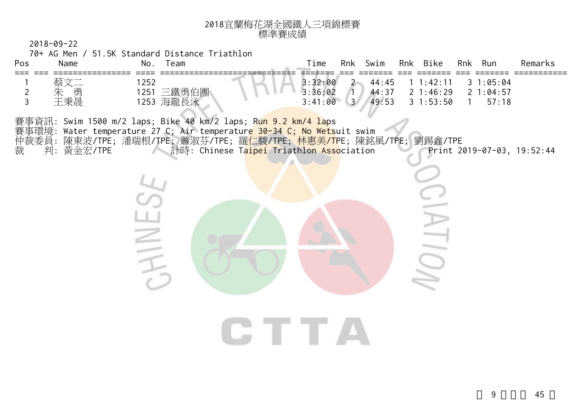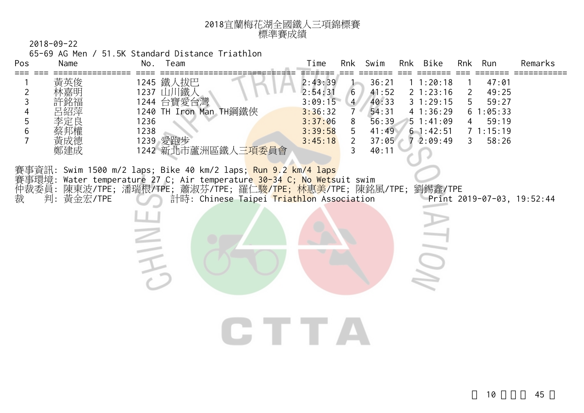

65-69 AG Men / 51.5K Standard Distance Triathlon

| Pos                           | Name              | No.<br>Team                                                                                                                                                                                                                                                               | Rnk Bike<br>Time<br>Swim<br>Run<br>Remarks<br>Rnk<br>Rnk                                                                                                                                                                                                                                                                                                                                                    |
|-------------------------------|-------------------|---------------------------------------------------------------------------------------------------------------------------------------------------------------------------------------------------------------------------------------------------------------------------|-------------------------------------------------------------------------------------------------------------------------------------------------------------------------------------------------------------------------------------------------------------------------------------------------------------------------------------------------------------------------------------------------------------|
| 2<br>3<br>5<br>$6\phantom{1}$ | 黃英俊<br>黃成德<br>鄭建成 | 1245 鐵人拔巴<br>1237 山川鐵人<br>1244 台寶愛台灣<br>1240 TH Iron Man TH鋼鐵俠<br>1236<br>1238<br>1239 愛跑步<br>1242 新北市蘆洲區鐵人三 <mark>項委</mark> 員會                                                                                                                                           | 2:43:39<br>36:21<br>1:20:18<br>47:01<br>2:54:31<br>41:52<br>21:23:16<br>6<br>49:25<br>2<br>3:09:15<br>40:33<br>$\overline{4}$<br>31:29:15<br>59:27<br>5<br>54:31<br>41:36:29<br>3:36:32<br>$\overline{7}$<br>1:05:33<br>6<br>56:39<br>3:37:06<br>51:41:09<br>59:19<br>8<br>4<br>5<br>71:15:19<br>3:39:58<br>41:49<br>61:42:51<br>$\overline{2}$<br>58:26<br>3:45:18<br>37:05<br>72:09:49<br>3<br>3<br>40:11 |
| 仲裁委員:<br>裁                    | 判:黃金宏/TPE         | 賽事資訊: Swim 1500 m/2 laps; Bike 40 km/2 laps; <mark>Run 9.2 km/4 laps</mark><br>賽事環境: Water temperature 27 C; Air temperature 30-34 C; No Wetsuit swim<br>陳東波/TPE; 潘瑞根/TPE; 蕭淑芬/TPE; 羅仁駿/T <mark>PE; 林惠美</mark> /TPE; 陳銘風/TPE;<br>計時: Chinese Taipei Triathlon Association | 劉錫鑫/TPE<br>Print 2019-07-03, 19:52:44                                                                                                                                                                                                                                                                                                                                                                       |
|                               |                   |                                                                                                                                                                                                                                                                           | and the second second                                                                                                                                                                                                                                                                                                                                                                                       |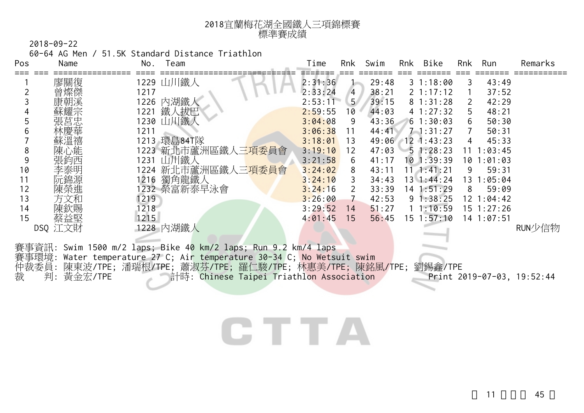| 2018宜蘭梅花湖全國鐵人三項錦標賽 |
|--------------------|
| 標準賽成績              |

60-64 AG Men / 51.5K Standard Distance Triathlon

| Pos | Name       | No.         | Team                                                                | Time    | Rnk                   | Swim  | Rnk | Bike               | <b>Rnk</b> | Run            | Remarks                    |
|-----|------------|-------------|---------------------------------------------------------------------|---------|-----------------------|-------|-----|--------------------|------------|----------------|----------------------------|
|     | 廖關復        | 1229 山川鐵人   |                                                                     | 2:31:36 |                       | 29:48 |     | 31:18:00           | 3          | 43:49          |                            |
|     |            | 1217        |                                                                     | 2:33:24 | $\overline{4}$        | 38:21 |     | $2 \; 1:17:12$     |            | 37:52          |                            |
|     |            | 1226 內湖鐵人   |                                                                     | 2:53:11 | 5 <sup>1</sup>        | 39:15 |     | 81:31:28           | 2          | 42:29          |                            |
|     |            | 1221        | 鐵人拔巴                                                                | 2:59:55 | 10                    | 44:03 |     | 41:27:32           | 5          | 48:21          |                            |
|     |            | 1230 山川鐵人   |                                                                     | 3:04:08 | 9                     | 43:36 |     | 61:30:03           |            | 50:30          |                            |
|     |            | 1211        |                                                                     | 3:06:38 | 11                    | 44:41 |     | $7 - 1:31:27$      |            | 50:31          |                            |
|     |            | 1213 環島84T隊 |                                                                     | 3:18:01 | 13                    | 49:06 |     | $12$ 1:43:23       | 4          | 45:33          |                            |
| 8   | 陳心能        |             | 1223 新北市蘆洲區鐵人三項委員會                                                  | 3:19:10 | 12                    | 47:03 |     | 51:28:23           | 11         | 1:03:45        |                            |
|     | 張約西        | 1231 山川鐵人   |                                                                     | 3:21:58 | 6                     | 41:17 |     | $10$ 1:39:39       | 10         | 1:01:03        |                            |
| 10  |            |             | 1224 新北市蘆洲區鐵人三 <mark>項委員會</mark>                                    | 3:24:02 | 8                     | 43:11 |     | $11$ , $1:41:21$   | 9          | 59:31          |                            |
| 11  |            |             | 1216 獨角龍鐵人                                                          | 3:24:10 | 3                     | 34:43 |     | $13 \cdot 1:44:24$ | 13         | 1:05:04        |                            |
| 12  | 陳榮進        |             | 1232 榮富新泰早泳會                                                        | 3:24:16 | $\mathbf{2}^{\prime}$ | 33:39 |     | $14$ 1:51:29       | 8          | 59:09          |                            |
| 13  | 方文和        | 1219        |                                                                     | 3:26:00 | $\overline{7}$        | 42:53 |     | 91:38:25           |            | 12 1:04:42     |                            |
| 14  | 陳欽賜        | 1218        |                                                                     | 3:29:52 | 14                    | 51:27 |     | 11:10:59           |            | $15$ $1:27:26$ |                            |
| 15  | 蔡益堅        | 1215        |                                                                     | 4:01:45 | 15                    | 56:45 |     | $15 \t1:57:10$     |            | 14 1:07:51     |                            |
|     | DSQ 江文財    | 1228 内湖鐵人   |                                                                     |         |                       |       |     |                    |            |                | RUN少信物                     |
|     |            |             |                                                                     |         |                       |       |     |                    |            |                |                            |
|     |            |             | 賽事資訊: Swim 1500 m/2 laps; Bike 40 km/2 laps; Run 9.2 km/4 laps      |         |                       |       |     |                    |            |                |                            |
|     | 事環境:       |             | Water temperature 27 C; Air temperature 30-34 C; No Wetsuit swim    |         |                       |       |     |                    |            |                |                            |
|     |            |             | 仲裁委員: 陳東波/TPE; 潘瑞根/TPE; 蕭淑芬/TPE; 羅仁駿/TPE; 林惠美/TPE; 陳銘風/TPE; 劉錫鑫/TPE |         |                       |       |     |                    |            |                |                            |
| 裁   | 判: 黃金宏/TPE |             | 計時: Chinese Taipei Triathlon Association                            |         |                       |       |     |                    |            |                | Print 2019-07-03, 19:52:44 |

## CTTA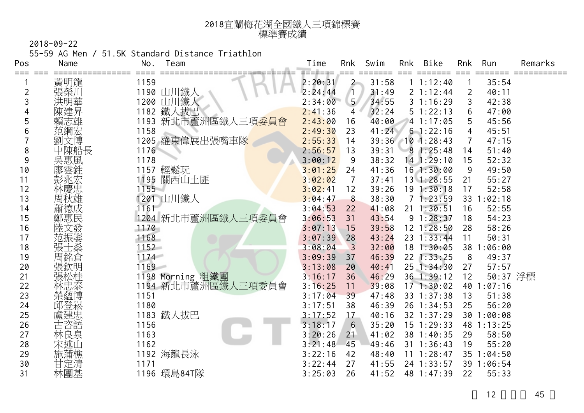| 2018宜蘭梅花湖全國鐵人三項錦標賽 |
|--------------------|
| 標準賽成績              |

55-59 AG Men / 51.5K Standard Distance Triathlon

| Pos            | Name | Team<br>No.                         | Time    | Rnk            | Swim  | Rnk | <b>Bike</b>    | Rnk | Run        | Remarks |
|----------------|------|-------------------------------------|---------|----------------|-------|-----|----------------|-----|------------|---------|
| ≔≕≕            | 黃明龍  | 1159                                | 2:20:31 | $\overline{2}$ | 31:58 |     | 11:12:40       |     | 35:54      |         |
| $\overline{c}$ | 張榮川  | 1190 山川鐵人                           | 2:24:44 | $\sqrt{1}$     | 31:49 |     | 2 1:12:44      | 2   | 40:11      |         |
| 3              |      | 1200 山川鐵人                           | 2:34:00 | 5 <sub>1</sub> | 34:55 |     | 31:16:29       | 3   | 42:38      |         |
| 4              |      | 1182 鐵人拔巴                           | 2:41:36 | 4              | 32:24 |     | 51:22:13       | 6   | 47:00      |         |
| 5              | 賴志雄  | 新北市蘆洲區鐵人三項 <mark>委員會</mark><br>1193 | 2:43:00 | 16             | 40:00 |     | 41:17:05       |     | 45:56      |         |
| 6              | 范綱宏  | 1158                                | 2:49:30 | 23             | 41:24 |     | 61:22:16       | 4   | 45:51      |         |
|                | 文博   | 1205 羅東偉展出張嘴車隊                      | 2:55:33 | 14             | 39:36 |     | $10$ 1:28:43   |     | 47:15      |         |
| 8              | 中陳船長 | 1176                                | 2:56:57 | 13             | 39:31 |     | 81:25:48       | 14  | 51:40      |         |
| 9              | 吳惠風  | 1178                                | 3:00:12 | 9              | 38:32 |     | $14$ 1:29:10   | 15  | 52:32      |         |
| 10             | 廖雲鉎  | 1157 輕鬆玩                            | 3:01:25 | 24             | 41:36 |     | $16$ 1:30:00   | 9   | 49:50      |         |
| 11             | 彭兆宏  | 1195 關西山土匪                          | 3:02:02 | $\overline{7}$ | 37:41 |     | 13 1:28:55     | 21  | 55:27      |         |
| 12             |      | 1155                                | 3:02:41 | 12             | 39:26 |     | 19 1:30:18     | 17  | 52:58      |         |
| 13             | 周秋雄  | 1201 山川鐵人                           | 3:04:47 | 8              | 38:30 |     | 71:23:59       | 33  | 1:02:18    |         |
| 14             | 蕭德成  | 1161                                | 3:04:53 | 22             | 41:08 |     | $21 \t1:30:51$ | 16  | 52:55      |         |
| 15             | 鄭惠民  | 1204 新北市蘆洲區鐵人三項委員會                  | 3:06:53 | 31             | 43:54 |     | 91:28:37       | 18  | 54:23      |         |
| 16             |      | 1170                                | 3:07:13 | 15             | 39:58 |     | $12$ $1:28:50$ | 28  | 58:26      |         |
| 17             | 范振崣  | 1168                                | 3:07:39 | 28             | 43:24 |     | $23 \t1:33:44$ | 11  | 50:31      |         |
| 18             | 張士桑  | 1152                                | 3:08:04 | $\overline{3}$ | 32:00 |     | 181:30:05      |     | 38 1:06:00 |         |
| 19             | 周銘倉  | 1174                                | 3:09:39 | 37             | 46:39 |     | $22$ 1:33:25   | 8   | 49:37      |         |
| 20             |      | 1169                                | 3:13:08 | 20             | 40:41 |     | $25$ 1:34:30   | 27  | 57:57      |         |
| 21             |      | 1198 Morning 粗鐵團                    | 3:16:17 | 36             | 46:29 |     | 36 1:39:12     | 12  | 50:37 浮標   |         |
| 22             | 林忠泰  | 1194 新北市蘆洲區鐵人三項委員會                  | 3:16:25 | 11             | 39:08 |     | 171:30:02      |     | 40 1:07:16 |         |
| 23             | 榮蘊博  | 1151                                | 3:17:04 | 39             | 47:48 |     | 33 1:37:38     | 13  | 51:38      |         |
| 24             | 邱登崧  | 1180                                | 3:17:51 | 38             | 46:39 |     | 26 1:34:53     | 25  | 56:20      |         |
| 25             | 盧建忠  | 1183 鐵人拔巴                           | 3:17:52 | 17             | 40:16 |     | 32 1:37:29     | 30  | 1:00:08    |         |
| 26             | 古咨語  | 1156                                | 3:18:17 | 6              | 35:20 |     | $15$ 1:29:33   |     | 48 1:13:25 |         |
| 27             | 林良泉  | 1163                                | 3:20:26 | 21             | 41:02 |     | 38 1:40:35     | 29  | 58:50      |         |
| 28             |      | 1162                                | 3:21:48 | 45             | 49:46 |     | $31 \t1:36:43$ | 19  | 55:20      |         |
| 29             | 施蒲樵  | 1192 海龍長泳                           | 3:22:16 | 42             | 48:40 |     | 11 1:28:47     | 35  | 1:04:50    |         |
| 30             | 甘定清  | 1171                                | 3:22:44 | 27             | 41:55 |     | 24 1:33:57     |     | 39 1:06:54 |         |
| 31             | 林團基  | 1196 環島84T隊                         | 3:25:03 | 26             | 41:52 |     | 48 1:47:39     | 22  | 55:33      |         |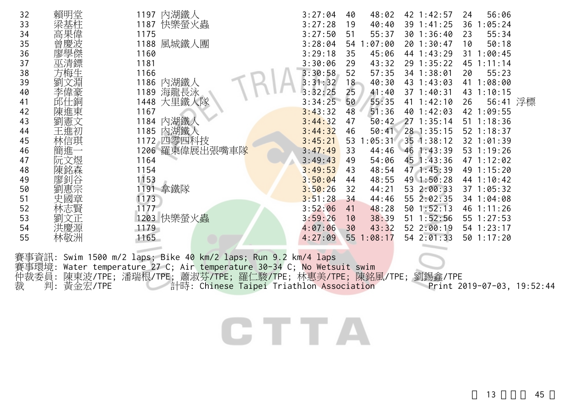| 32    | 賴明堂     | 內湖鐵人<br>1197                                                                 | 3:27:04 | 48:02<br>40 | 42 1:42:57           | 56:06<br>24    |
|-------|---------|------------------------------------------------------------------------------|---------|-------------|----------------------|----------------|
| 33    |         | 1187 快樂螢火蟲                                                                   | 3:27:28 | 40:40<br>19 | 39 1:41:25           | 1:05:24<br>36  |
| 34    |         | 1175                                                                         | 3:27:50 | 55:37<br>51 | 301:36:40            | 55:34<br>23    |
| 35    |         | 1188 風城鐵人團                                                                   | 3:28:04 | 54 1:07:00  | 20 1:30:47           | 50:18<br>10    |
| 36    |         | 1160                                                                         | 3:29:18 | 45:06<br>35 | 44 1:43:29           | 31 1:00:45     |
| 37    |         | 1181                                                                         | 3:30:06 | 43:32<br>29 | 29 1:35:22           | 45 1:11:14     |
| 38    | 方梅生     | 1166                                                                         | 3:30:58 | 57:35<br>52 | 34 1:38:01           | 55:23<br>20    |
| 39    | 文淵<br>劉 | 1186 內湖鐵人                                                                    | 3:31:32 | 18<br>40:30 | 43 1:43:03           | 41 1:08:00     |
| 40    | 李偉豪     | 海龍長泳<br>1189                                                                 | 3:32:25 | 25<br>41:40 | $37 \t1:40:31$       | 43 1:10:15     |
| 41    | 邱仕銅     | 1448 大里鐵人隊                                                                   | 3:34:25 | 55:35<br>50 | 41 1:42:10           | 56:41 浮標<br>26 |
| 42    | 陳進東     | 1167                                                                         | 3:43:32 | 51:36<br>48 | 40 1:42:03           | 42 1:09:55     |
| 43    | 劉憲文     | 1184 內湖鐵                                                                     | 3:44:32 | 50:42<br>47 | 271:35:14            | $51 \t1:18:36$ |
| 44    | 王進初     | 1185 內湖鐵人                                                                    | 3:44:32 | 46          | 50:41 28 1:35:15     | $52$ 1:18:37   |
| 45    | 林信琪     | 1172 四零四科技                                                                   | 3:45:21 | 53          | $1:05:31$ 35 1:38:12 | 32 1:01:39     |
| 46    | 簡進-     | 1206 羅東偉展出張嘴車隊                                                               | 3:47:49 | 33<br>44:46 | 461:33:39            | 53 1:19:26     |
| 47    | 阮文煜     | 1164                                                                         | 3:49:43 | 54:06<br>49 | 45 1:43:36           | 47 1:12:02     |
| 48    | 陳銘森     | 1154                                                                         | 3:49:53 | 48:54<br>43 | 47 1:45:39           | 49 1:15:20     |
| 49    | 廖釗谷     | 1153                                                                         | 3:50:04 | 48:55<br>44 | 49 1:50:28           | 44 1:10:42     |
| 50    | 惠宗      | 1191 拿鐵隊                                                                     | 3:50:26 | 44:21<br>32 | 53 2:00:33           | 37 1:05:32     |
| 51    | 國章      | 1173                                                                         | 3:51:28 | 44:46<br>34 | 55 2:02:35           | 34 1:04:08     |
| 52    |         | 1177                                                                         | 3:52:06 | 48:28<br>41 | 501:52:13            | 46 1:11:26     |
| 53    | 文正      | 1203 快樂螢火蟲                                                                   | 3:59:26 | 38:39<br>10 | $51 \t1:52:56$       | 55 1:27:53     |
| 54    | 洪慶源     | 1179                                                                         | 4:07:06 | 43:32<br>30 | 52 2:00:19           | 54 1:23:17     |
| 55    | 林敬洲     | 1165                                                                         | 4:27:09 | 55 1:08:17  | 54 2:01:33           | 501:17:20      |
|       |         |                                                                              |         |             |                      |                |
|       |         | 事資訊: Swim 1500 m/2 laps; Bike 40 km/2 laps; Run 9.2 km <mark>/4 lap</mark> s |         |             |                      |                |
| 賽事環境: |         | Water temperature 27 C; Air temperature 30-34 C; No Wetsuit swim             |         |             |                      |                |
|       |         |                                                                              |         |             |                      |                |

仲裁委員: 陳東波/TPE; 潘瑞根/TPE; 蕭淑芬/TPE; 羅仁駿/TPE; 林惠美/TPE; 陳銘風/TPE; 劉錫鑫/TPE 裁 判: 黃金宏/TPE 計時: Chinese Taipei Triathlon Association Print 2019-07-03, 19:52:44

## CTTA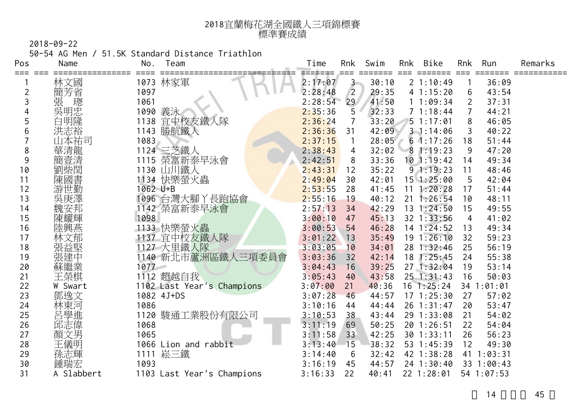| 2018宜蘭梅花湖全國鐵人三項錦標賽 |
|--------------------|
| 標準賽成績              |

50-54 AG Men / 51.5K Standard Distance Triathlon

| Pos | Name       | No.      | Team                       | Time    | Rnk            | Swim  | Rnk | Bike              | Rnk            | Run        | Remarks |
|-----|------------|----------|----------------------------|---------|----------------|-------|-----|-------------------|----------------|------------|---------|
|     | 林文國        |          | 1073 林家軍                   | 2:17:07 | $\mathbf{3}$   | 30:10 |     | 21:10:49          |                | 36:09      |         |
| 2   | 簡芳省        | 1097     |                            | 2:28:48 | $\overline{2}$ | 29:35 |     | 41:15:20          | 6              | 43:54      |         |
| 3   | 張 璁忠       | 1061     |                            | 2:28:54 | 29             | 41:50 |     | 11:09:34          | $\overline{2}$ | 37:31      |         |
|     |            |          | 1090 義泳                    | 2:35:36 | 5              | 32:33 |     | 71:18:44          | 7              | 44:21      |         |
| 5   | 白明隆        | 1138     | 宜中校友鐵人隊                    | 2:36:24 | 7              | 33:20 |     | 51:17:01          | 8              | 46:05      |         |
| 6   | 洪志裕        |          | 1143 勝航鐵人                  | 2:36:36 | 31             | 42:09 |     | 31:14:06          | 3              | 40:22      |         |
|     | 山本祐司       | 1083     |                            | 2:37:15 | $\overline{1}$ | 28:05 |     | $6 \cdot 1:17:26$ | 18             | 51:44      |         |
| 8   | 華清龍        |          | 1124 三芝鐵人                  | 2:38:43 | 4              | 32:02 |     | 81:19:23          | 9              | 47:20      |         |
| 9   | 壹清         |          | 1115 榮富新泰早泳會               | 2:42:51 | 8              | 33:36 |     | $10$ 1:19:42      | 14             | 49:34      |         |
| 10  | 劉柴閏        |          | 1130 山川鐵人                  | 2:43:31 | 12             | 35:22 |     | 91:19:23          | 11             | 48:46      |         |
| 11  | 陳國書        |          | 1134 快樂螢火蟲                 | 2:49:04 | 30             | 42:01 |     | $15$ $1:25:00$    | 5              | 42:04      |         |
| 12  | 游世勤        | 1062 U+B |                            | 2:53:55 | 28             | 41:45 | 11  | 1:20:28           | 17             | 51:44      |         |
| 13  | 吳庚澤        |          | 1096 台灣大腳丫長跑協會             | 2:55:16 | 19             | 40:12 | 21  | 1:26:54           | 10             | 48:11      |         |
| 14  | 魏安邦        |          | 1142 榮富新泰早泳會               | 2:57:13 | 34             | 42:29 |     | $13 \t1:24:50$    | 15             | 49:55      |         |
| 15  | 陳耀輝        | 1098     |                            | 3:00:10 | 47             | 45:13 |     | 32 1:33:56        | 4              | 41:02      |         |
| 16  | 陸興燕        |          | 1133 快樂螢火蟲                 | 3:00:53 | 54             | 46:28 |     | $14$ 1:24:52      | 13             | 49:34      |         |
| 17  | 林文郁        |          | 1137 宜中校友鐵人隊               | 3:01:22 | 13             | 35:49 |     | $19 \t1:26:10$    | 32             | 59:23      |         |
| 18  | 張益堅        |          | 1127 大里鐵人隊                 | 3:03:05 | 10             | 34:01 |     | 28 1:32:46        | 25             | 56:19      |         |
| 19  | 張建中        |          | 1140 新北市蘆洲區鐵人三項委員會         | 3:03:36 | 32             | 42:14 |     | $18$ 1:25:45      | 24             | 55:38      |         |
| 20  | 蘇繼業        | 1077     |                            | 3:04:43 | 16             | 39:25 |     | 271:32:04         | 19             | 53:14      |         |
| 21  | 王榮棋        |          | 1112 超越自我                  | 3:05:43 | 40             | 43:58 |     | $25$ 1:31:43      | 16             | 50:03      |         |
| 22  | W Swart    |          | 1102 Last Year's Champions | 3:07:00 | 21             | 40:36 |     | $16$ 1:25:24      |                | 34 1:01:01 |         |
| 23  | 鄧逸文        |          | 1082 4J+DS                 | 3:07:28 | 46             | 44:57 |     | $17 \t1:25:30$    | 27             | 57:02      |         |
| 24  | 林東河        | 1086     |                            | 3:10:16 | 44             | 44:44 |     | 26 1:31:47        | 20             | 53:47      |         |
| 25  | 呂學進        |          | 1120 駿通工業股份有限公司            | 3:10:53 | 38             | 43:44 |     | 29 1:33:08        | 21             | 54:02      |         |
| 26  | 邱志偉        | 1068     |                            | 3:11:19 | 69             | 50:25 |     | 20 1:26:51        | 22             | 54:04      |         |
| 27  | 顏文男        | 1065     |                            | 3:11:58 | 33             | 42:25 |     | $30$ 1:33:11      | 26             | 56:23      |         |
| 28  | 王儀明        |          | 1066 Lion and rabbit       | 3:13:40 | 15             | 38:32 |     | 53 1:45:39        | 12             | 49:30      |         |
| 29  | 孫志輝        |          | 1111 崧三鐵                   | 3:14:40 | 6              | 32:42 |     | 42 1:38:28        | 41             | 1:03:31    |         |
| 30  | 鍾瑞宏        | 1093     |                            | 3:16:19 | 45             | 44:57 |     | 24 1:30:40        |                | 33 1:00:43 |         |
| 31  | A Slabbert |          | 1103 Last Year's Champions | 3:16:33 | 22             | 40:41 |     | 22 1:28:01        |                | 54 1:07:53 |         |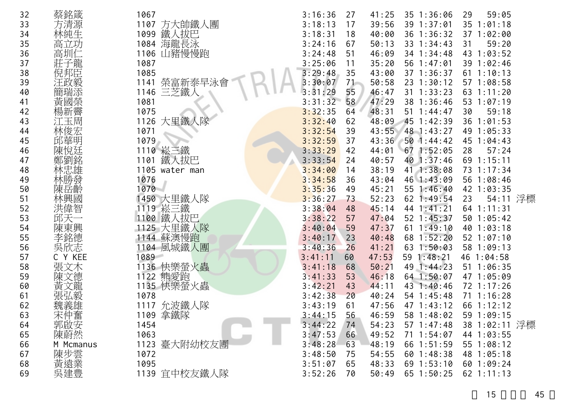| 32 | 蔡銘箴              | 1067            | 3:16:36 | 27<br>41:25 | 35 1:36:06      | 59:05<br>29    |  |
|----|------------------|-----------------|---------|-------------|-----------------|----------------|--|
| 33 | 方清源              | 1107 方大帥鐵人團     | 3:18:13 | 39:56<br>17 | 39 1:37:01      | $35$ $1:01:18$ |  |
| 34 | 林純生              | 鐵人拔巴<br>1099    | 3:18:31 | 40:00<br>18 | 36 1:36:32      | 37 1:02:00     |  |
| 35 | 高                | 1084 海龍長泳       | 3:24:16 | 67<br>50:13 | 33 1:34:43      | 59:20<br>31    |  |
| 36 | 高圳仁              | 1106 山豬慢慢跑      | 3:24:48 | 51<br>46:09 | 34 1:34:48      | 43 1:03:52     |  |
| 37 | 子龍               | 1087            | 3:25:06 | 35:20<br>11 | 56 1:47:01      | 39 1:02:46     |  |
| 38 | 倪邦臣              | 1085            | 3:29:48 | 35<br>43:00 | 37 1:36:37      | 61 1:10:13     |  |
| 39 | 汪政毅              | 榮富新泰早泳會<br>1141 | 3:30:07 | 71<br>50:58 | 23 1:30:12      | 571:08:58      |  |
| 40 |                  | 1146 三芝鐵人       | 3:31:29 | 55<br>46:47 | $31$ 1:33:23    | 63 1:11:20     |  |
| 41 | 黃國榮              | 1081            | 3:31:32 | 58<br>47:29 | 38 1:36:46      | 53 1:07:19     |  |
| 42 | 愓新霽              | 1075            | 3:32:35 | 48:31<br>64 | $51 \t1:44:47$  | 59:18<br>30    |  |
| 43 | 江玉周              | 1126 大里鐵人隊      | 3:32:40 | 62<br>48:09 | 45 1:42:39      | 36 1:01:53     |  |
| 44 | 林俊宏              | 1071            | 3:32:54 | 43:55<br>39 | 48 1:43:27      | 49 1:05:33     |  |
| 45 | 邱華明              | 1079            | 3:32:59 | 37<br>43:36 | 501:44:42       | 45 1:04:43     |  |
| 46 | 悅廷               | 1110 崧三鐵        | 3:33:29 | 44:01<br>42 | 671:52:05       | 28<br>57:24    |  |
| 47 |                  | 鐵人拔巴<br>1101    | 3:33:54 | 40:57<br>24 | 40 1:37:46      | 69 1:15:11     |  |
| 48 |                  | 1105 water man  | 3:34:00 | 38:19<br>14 | 41 1:38:08      | 73 1:17:34     |  |
| 49 |                  | 1076            | 3:34:58 | 36<br>43:04 | 46 1:43:09      | 56 1:08:46     |  |
| 50 | 岳齡               | 1070            | 3:35:36 | 49<br>45:21 | 55 1:46:40      | 42 1:03:35     |  |
| 51 | 林興國              | 1450 大里鐵人隊      | 3:36:27 | 52:23<br>73 | $62$ 1:49:54    | 54:11 浮標<br>23 |  |
| 52 | 洪偉智              | 1119 崧三鐵        | 3:38:04 | 45:14<br>48 | 44 1:41:21      | 64 1:11:31     |  |
| 53 |                  | 1100 鐵人拔巴       | 3:38:22 | 47:04<br>57 | 52 1:45:37      | 50 1:05:42     |  |
| 54 | 陳東興              | 1125 大里鐵人隊      | 3:40:04 | 59<br>47:37 | $61 \t1:49:10$  | 401:03:18      |  |
| 55 | 李銘德              | 1144 蘇澳慢跑       | 3:40:17 | 23<br>40:48 | 68 1:52:20      | 52 1:07:10     |  |
| 56 | 欣志               | 1104 風城鐵人團      | 3:40:36 | 26<br>41:21 | 63 1:50:03      | 58 1:09:13     |  |
| 57 | Y KEE            | 1089            | 3:41:11 | 47:53<br>60 | 59 1:48:21      | 46 1:04:58     |  |
| 58 | 張文木              | 1136 快樂螢火蟲      | 3:41:18 | 50:21<br>68 | 49 1:44:23      | $51 \t1:06:35$ |  |
| 59 | 文德               | 1122 熊愛跑        | 3:41:33 | 53<br>46:18 | 64 1:50:07      | 47 1:05:09     |  |
| 60 | 黃<br>文龍          | 1135 快樂螢火蟲      | 3:42:21 | 43<br>44:11 | 43 1:40:46      | 72 1:17:26     |  |
| 61 |                  | 1078            | 3:42:38 | 20<br>40:24 | 54 1:45:48      | $71 \t1:16:28$ |  |
| 62 |                  | 1117 允波鐵人隊      | 3:43:19 | 61<br>47:56 | 47 1:43:12      | 66 1:12:12     |  |
| 63 | 宋仲奮              | 1109 拿鐵隊        | 3:44:15 | 56<br>46:59 | 58 1:48:02      | 59 1:09:15     |  |
| 64 | 郭啟安              | 1454            | 3:44:22 | 74<br>54:23 | $57 \; 1:47:48$ | 38 1:02:11 浮標  |  |
| 65 | 陳蔚然              | 1063            | 3:47:53 | 49:52<br>66 | 71 1:54:07      | 44 1:03:55     |  |
| 66 | M Mcmanus        | 1123 臺大附幼校友團    | 3:48:28 | 48:19<br>63 | 66 1:51:59      | 551:08:12      |  |
| 67 |                  | 1072            | 3:48:50 | 54:55<br>75 | 601:38:38       | 48 1:05:18     |  |
| 68 |                  | 1095            | 3:51:07 | 65<br>48:33 | $69$ $1:53:10$  | 60 1:09:24     |  |
| 69 | 陳步雲業<br>莫遠<br>吳建 | 1139 宜中校友鐵人隊    | 3:52:26 | 50:49<br>70 | 65 1:50:25      | $62$ 1:11:13   |  |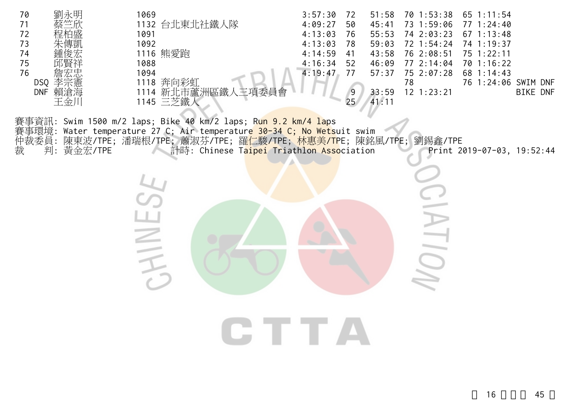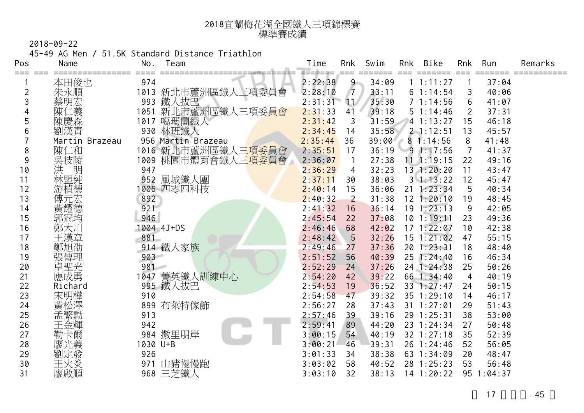| 2018宜蘭梅花湖全國鐵人三項錦標賽 |
|--------------------|
| 標準賽成績              |

45-49 AG Men / 51.5K Standard Distance Triathlon

| Pos | Name           | No.      | Team               | Time              | Rnk            | Swim  | Rnk | <b>Bike</b>    | Rnk | Run        | Remarks |
|-----|----------------|----------|--------------------|-------------------|----------------|-------|-----|----------------|-----|------------|---------|
| === | 本田俊也           | 974      |                    | ======<br>2:22:38 | $9 -$          | 34:09 |     | 1 1:11:27      |     | 37:04      |         |
| 2   | 朱永順            | 1013     | 新北市蘆洲區鐵人三項委員會      | 2:28:10           | $\sqrt{7}$     | 33:11 |     | 61:14:54       | 3   | 40:06      |         |
| 3   | 蔡明宏            | 993      | 鐵人拔巴               | 2:31:31           | $\mathbf{11}$  | 35:30 |     | 71:14:56       | 6   | 41:07      |         |
|     | 二義             | 1051     | 新北市蘆洲區鐵人三項委員會      | 2:31:33           | 41             | 39:18 |     | 51:14:46       |     | 37:31      |         |
| 5   | 陳慶森            | 1017     | 噶瑪蘭鐵人              | 2:31:42           | $\mathfrak{Z}$ | 31:59 |     | 41:13:27       | 15  | 46:18      |         |
| 6   | 劉漢青            |          | 930 林班鐵人           | 2:34:45           | 14             | 35:58 |     | $2 - 1:12:51$  | 13  | 45:57      |         |
|     | Martin Brazeau |          | 956 Martin Brazeau | 2:35:44           | 36             | 39:00 |     | 81:14:56       | 8   | 41:48      |         |
| 8   | 陳仁和            |          | 1016 新北市蘆洲區鐵人三項委員會 | 2:35:51           | 17             | 36:19 |     | 91:17:56       | 7   | 41:37      |         |
| 9   | 吳技陵            |          | 1009 桃園市體育會鐵人三項委員會 | 2:36:07           | $\mathbf{1}$   | 27:38 |     | $11 \t1:19:15$ | 22  | 49:16      |         |
| 10  | 洪<br>明         | 947      |                    | 2:36:29           | 4              | 32:23 |     | 13 1:20:20     | 11  | 43:47      |         |
| 11  | 林盟純            | 952      | 風城鐵人團              | 2:37:11           | 30             | 38:03 |     | $3 \; 1:13:22$ | 12  | 45:47      |         |
| 12  | 游楨德            |          | 1006 四零四科技         | 2:40:14           | 15             | 36:06 |     | $21 \t1:23:34$ | 5   | 40:34      |         |
| 13  | 傅元宏            | 892      |                    | 2:40:32           | $\overline{2}$ | 31:38 |     | $12$ $1:20:10$ | 19  | 48:45      |         |
| 14  | 黃耀德            | 921      |                    | 2:41:32           | 16             | 36:14 |     | 191:23:13      | 9   | 42:05      |         |
| 15  | 郭冠均            | 946      |                    | 2:45:54           | 22             | 37:08 |     | $10$ 1:19:11   | 23  | 49:36      |         |
| 16  | 鄭大川            |          | 1004 4J+DS         | 2:46:46           | 68             | 42:02 |     | 171:22:07      | 10  | 42:38      |         |
| 17  | 王漢章            | 881      |                    | 2:48:42           | 5              | 32:26 |     | $15 \t1:21:02$ | 47  | 55:15      |         |
| 18  | 鄭旭劭            |          | 914 鐵人家族           | 2:49:46           | 27             | 37:36 |     | 20 1:23:31     | 18  | 48:40      |         |
| 19  | 張傳理            | 903      |                    | 2:51:52           | 56             | 40:39 |     | 25 1:24:40     | 16  | 46:34      |         |
| 20  | 卓聖光            | 981      |                    | 2:52:29           | 24             | 37:26 |     | 24 1:24:38     | 25  | 50:26      |         |
| 21  | 應成勇            |          | 1047 菁英鐵人訓練中心      | 2:54:20           | 42             | 39:22 |     | 66 1:34:40     | 4   | 40:19      |         |
| 22  | Richard        |          | 995 鐵人拔巴           | 2:54:53           | 19             | 36:52 |     | 33 1:27:47     | 24  | 50:15      |         |
| 23  | 宋明樺            | 910      |                    | 2:54:58           | 47             | 39:32 |     | 35 1:29:10     | 14  | 46:17      |         |
| 24  | 黃松澤            | 899      | 布萊特傢飾              | 2:56:27           | 28             | 37:43 |     | $31 \t1:27:01$ | 29  | 51:43      |         |
| 25  | 孟繁勳            | 913      |                    | 2:57:46           | 39             | 39:16 |     | 29 1:25:31     | 38  | 53:00      |         |
| 26  | 王金輝            | 942      |                    | 2:59:41           | 89             | 44:20 |     | 23 1:24:34     | 27  | 50:48      |         |
| 27  | 勒卡爾            |          | 984 撒里朋岸           | 3:00:15           | 54             | 40:19 |     | 32 1:27:18     | 35  | 52:39      |         |
| 28  | 廖光義            | 1030 U+B |                    | 3:00:21           | 46             | 39:31 |     | 26 1:24:46     | 52  | 56:05      |         |
| 29  | 劉定發            | 926      |                    | 3:01:33           | 34             | 38:38 |     | 63 1:34:09     | 20  | 48:47      |         |
| 30  | 王火炎            | 971      | 山豬慢慢跑              | 3:03:02           | 58             | 40:52 |     | 28 1:25:23     | 53  | 56:48      |         |
| 31  | 廖啟順            |          | 968 三芝鐵人           | 3:03:10           | 32             | 38:13 |     | $14$ 1:20:22   |     | 95 1:04:37 |         |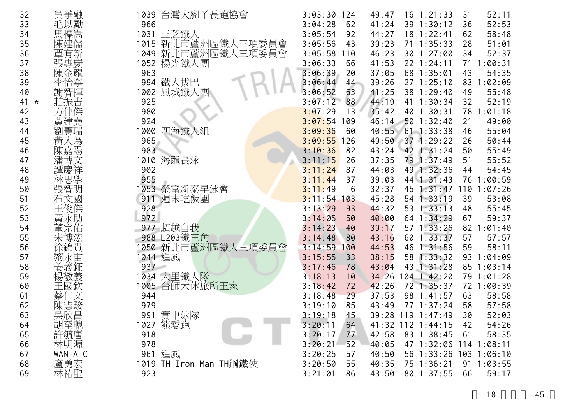| 32            | 吳爭融      |      | 1039 台灣大腳丫長跑協會         | 3:03:30 | 124 | 49:47 |     | $16$ $1:21:33$         | 31 | 52:11           |
|---------------|----------|------|------------------------|---------|-----|-------|-----|------------------------|----|-----------------|
| 33            | 毛以勵      | 966  |                        | 3:04:28 | 62  | 41:24 |     | 39 1:30:12             | 36 | 52:53           |
| 34            | 馬標嵩      | 1031 | 三芝鐵人                   | 3:05:54 | 92  | 44:27 |     | 18 1:22:41             | 62 | 58:48           |
| 35            | 陳建儒      | 1015 | 新北市蘆洲區鐵人三項委員會          | 3:05:56 | 43  | 39:23 |     | $71 \t1:35:33$         | 28 | 51:01           |
| 36            | 覃有新      | 1049 | 新北市蘆洲區鐵人三項委員會          | 3:05:58 | 110 | 46:23 |     | 30 1:27:00             | 34 | 52:37           |
| 37            | 張專慶      | 1052 | 楊光鐵人團                  | 3:06:33 | 66  | 41:53 |     | $22$ 1:24:11           |    | 71 1:00:31      |
| 38            | 陳金龍      | 963  |                        | 3:06:39 | 20  | 37:05 |     | 68 1:35:01             | 43 | 54:35           |
| 39            | 怡寧<br>李  | 994  | 鐵人拔巴                   | 3:06:44 | 44  | 39:26 |     | 271:25:10              | 83 | 1:02:09         |
| 40            | 謝智       | 1002 | 風城鐵人團                  | 3:06:52 | 63  | 41:25 |     | 38 1:29:40             | 49 | 55:48           |
| 41<br>$\star$ |          | 925  |                        | 3:07:12 | 88  | 44:19 |     | 41 1:30:34             | 32 | 52:19           |
| 42            |          | 980  |                        | 3:07:29 | 13  | 35:42 |     | 40 1:30:31             |    | 78 1:01:18      |
| 43            | 亘        | 924  |                        | 3:07:54 | 109 | 46:14 |     | 501:32:40              | 21 | 49:00           |
| 44            | 憲瑞<br>劉  | 1000 | 四海鐵人組                  | 3:09:36 | 60  | 40:55 |     | $61$ 1:33:38           | 46 | 55:04           |
| 45            | 黃        | 965  |                        | 3:09:55 | 126 | 49:50 |     | $37$ 1:29:22           | 26 | 50:44           |
| 46            | 陳嘉陽      | 983  |                        | 3:10:36 | 82  | 43:24 |     | 42 1:31:24             | 50 | 55:49           |
| 47            | 潘博文      | 1010 | 海龍長泳                   | 3:11:15 | 26  | 37:35 |     | 79 1:37:49             | 51 | 55:52           |
| 48            | 譚慶祥      | 902  |                        | 3:11:24 | 87  | 44:03 |     | 49 1:32:36             | 44 | 54:45           |
| 49            | 林思學      | 955  |                        | 3:11:44 | 37  | 39:03 |     | 44 1:31:43             |    | 76 1:00:59      |
| 50            | 張智明      |      | 1053 榮富新泰早泳會           | 3:11:49 | 6   | 32:37 |     | 45 1:31:47             |    | $110$ $1:07:26$ |
| 51            | 石文國      | 911  | 週末吃飯團                  | 3:11:54 | 103 | 45:28 |     | $54$ 1:33:19           | 39 | 53:08           |
| 52            | 王俊傑      | 928  |                        | 3:13:29 | 93  | 44:32 |     | $53$ $1:33:13$         | 48 | 55:45           |
| 53            | 黃永助      | 972  |                        | 3:14:05 | 50  | 40:00 |     | 64 1:34:29             | 67 | 59:37           |
| 54            | 宗佑       | 977  | 超越自我                   | 3:14:23 | 40  | 39:17 |     | $57 \; 1:33:26$        | 82 | :01:40          |
| 55            | 朱博浤      |      | 988 L203鐵三角            | 3:14:48 | 80  | 43:16 |     | 60 1:33:37             | 57 | 57:57           |
| 56            | 徐錦貴      |      | 050 新北市蘆洲區鐵人三項委員會      | 3:14:59 | 100 | 44:53 | 46  | 1:31:56                | 59 | 58:11           |
| 57            | 黎永宙      |      | 1044 追風                | 3:15:55 | 33  | 38:15 | 58  | 1:33:32                | 93 | 1:04:09         |
| 58            | 姜義鉦      | 937  |                        | 3:17:46 | 78  | 43:04 |     | 43 1:31:28             |    | 85 1:03:14      |
| 59            | 楊敬義      |      | 1034 大里鐵人隊             | 3:18:13 | 10  | 34:26 | 104 | 1:42:20                |    | 79 1:01:28      |
| 60            | 王國欽      |      | 1005 台師大休旅所王家          | 3:18:42 | 72  | 42:26 |     | 72 1:35:37             |    | 72 1:00:39      |
| 61            | 蔡亻<br>二文 | 944  |                        | 3:18:48 | 29  | 37:53 |     | 98 1:41:57             | 63 | 58:58           |
| 62            | 陳憲駿      | 979  |                        | 3:19:10 | 85  | 43:49 | 77  | 1:37:24                | 58 | 57:58           |
| 63            | 吳欣昌      | 991  | 實中泳隊                   | 3:19:18 | 45  | 39:28 |     | $119$ $1:47:49$        | 30 | 52:03           |
| 64            | 胡至聰      |      | 1027 熊愛跑               | 3:20:11 | 64  |       |     | 41:32 112 1:44:15      | 42 | 54:26           |
| 65            | 許毓唐      | 918  |                        | 3:20:17 | 77  | 42:58 |     | 83 1:38:45             | 61 | 58:35           |
| 66            | 林明源      | 978  |                        | 3:20:21 | 52  | 40:05 |     | 47 1:32:06 114 1:08:11 |    |                 |
| 67            | WAN A C  |      | 961 追風                 | 3:20:25 | 57  | 40:50 |     | 56 1:33:26 103 1:06:10 |    |                 |
| 68            | 盧勇宏      |      | 1019 TH Iron Man TH鋼鐵俠 | 3:20:50 | 55  | 40:35 |     | 75 1:36:21             |    | 91 1:03:55      |
| 69            | 林祐聖      | 923  |                        | 3:21:01 | 86  | 43:50 |     | 80 1:37:55             | 66 | 59:17           |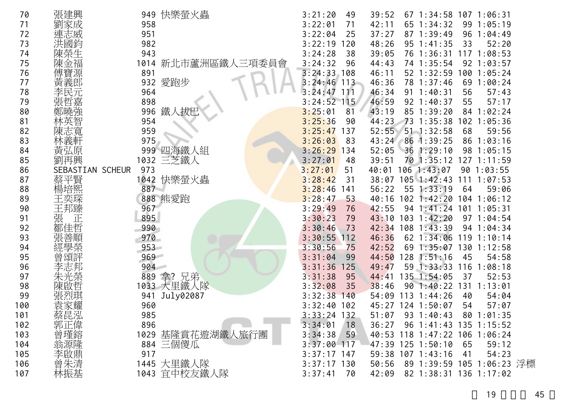| 70  | 張建興              | 快樂螢火蟲<br>949              | 3:21:20<br>49  | 39:52 | 67 1:34:58 107 1:06:31        |     |                    |  |
|-----|------------------|---------------------------|----------------|-------|-------------------------------|-----|--------------------|--|
| 71  | 家成               | 958                       | 3:22:01<br>71  | 42:11 | 65 1:34:32                    |     | 99 1:05:19         |  |
| 72  |                  | 951                       | 3:22:04<br>25  | 37:27 | 87 1:39:49                    |     | 96 1:04:49         |  |
| 73  |                  | 982                       | 3:22:19<br>20  | 48:26 | $95 \t1:41:35$                | 33  | 52:20              |  |
| 74  |                  | 943                       | 3:24:28<br>38  | 39:05 | 76 1:36:31                    | 117 | 1:08:53            |  |
| 75  |                  | 新北市蘆洲區鐵人<br>1014<br>三項委員曾 | 3:24:32<br>96  | 44:43 | 74 1:35:54                    |     | 92 1:03:57         |  |
| 76  |                  | 891                       | 3:24:33<br>108 | 46:11 | 52 1:32:59                    |     | 100 1:05:24        |  |
| 77  | 黃義郎              | 愛跑步<br>932                | $3:24:46$ 113  | 46:36 | 78 1:37:46                    |     | 69 1:00:24         |  |
| 78  |                  | 964                       | 3:24:47<br>111 | 46:34 | $91 \t1:40:31$                | 56  | 57:43              |  |
| 79  |                  | 898                       | 3:24:52<br>115 | 46:59 | 92 1:40:37                    | 55  | 57:17              |  |
| 80  |                  | 鐵人拔巴<br>996               | 3:25:01<br>81  | 43:19 | 85 1:39:20                    | 84  | 1:02:24            |  |
| 81  |                  | 954                       | 3:25:36<br>90  | 44:23 | 73<br>1:35:38                 |     | 102 1:05:36        |  |
| 82  |                  | 959                       | 3:25:47<br>137 | 52:55 | $51 \t1:32:58$                | 68  | 59:56              |  |
| 83  |                  | 975                       | 3:26:03<br>83  |       | 43:24 86 1:39:25              | 86  | 1:03:16            |  |
| 84  |                  | 999<br>└ 四海鐵人組            | 3:26:29<br>134 | 52:05 | $36$ 1:29:10                  | 98  | 1:05:15            |  |
| 85  |                  | 三芝鐵人<br>1032              | 3:27:01<br>48  | 39:51 | 70 1:35:12                    |     | 127 1:11:59        |  |
| 86  | SEBASTIAN SCHEUR | 973                       | 3:27:01<br>51  | 40:01 | 106 1:43:07                   |     | 901:03:55          |  |
| 87  | 蔡平賢              | 1042 快樂螢火蟲                | 3:28:42<br>31  | 38:07 | $105$ 1:42:43                 | 111 | 1:07:53            |  |
| 88  |                  | 887                       | 3:28:46<br>141 | 56:22 | 55 1:33:19                    | 64  | 59:06              |  |
| 89  |                  | 888 熊愛跑                   | 3:28:47<br>53  | 40:16 | $102$ 1:42:20                 | 104 | 1:06:12            |  |
| 90  |                  | 967                       | 3:29:49<br>76  | 42:55 | $94 \; 1:41:24$               |     | 101 1:05:31        |  |
| 91  |                  | 895                       | 3:30:23<br>79  | 43:10 | 103 1:42:20                   |     | 97 1:04:54         |  |
| 92  |                  | 990                       | 3:30:46<br>73  |       | 42:34 108 1:43:39             |     | $94 \cdot 1:04:34$ |  |
| 93  |                  | 970                       | 3:30:55<br>112 | 46:36 | $62 \; 1:34:06$               | 119 | 1:10:14            |  |
| 94  |                  | 953                       | 3:30:56<br>75  | 42:52 | 69<br>1:35:07                 | 130 | 1:12:58            |  |
| 95  |                  | 969                       | 3:31:04<br>99  | 44:50 | $128$ 1:51:16                 | 45  | 54:58              |  |
| 96  |                  | 904                       | 3:31:36<br>125 | 49:47 | 59 1:33:33                    | 116 | 1:08:18            |  |
| 97  |                  | 889<br>拿?兄弟               | 3:31:38<br>95  | 44:41 | 135 1:54:05                   | 37  | 52:53              |  |
| 98  |                  | 1033 大里鐵人隊                | 3:32:08<br>35  | 38:46 | $90 \t1:40:22$                | 131 | 1:13:01            |  |
| 99  |                  | July02087<br>941          | 3:32:38<br>140 | 54:09 | $113 \t1:44:26$               | 40  | 54:04              |  |
| 100 |                  | 960                       | 3:32:40<br>102 |       | 45:27 124 1:50:07             | 54  | 57:07              |  |
| 101 | 蔡昆泓              | 985                       | $3:33:24$ 132  | 51:07 | $93 \t1:40:43$                | 80  | 1:01:35            |  |
| 102 |                  | 896                       | 3:34:01<br> 18 | 36:27 | 96 1:41:43 135 1:15:52        |     |                    |  |
| 103 |                  | 1029 基隆賞花遊湖鐵人旅行團          | 3:34:38<br>59  |       | 40:53 118 1:47:22 106 1:06:24 |     |                    |  |
| 104 | 郭曾翁德             | 884 三個傻瓜                  | $3:37:00$ 117  |       | 47:39 125 1:50:10             | 65  | 59:12              |  |
| 105 | 李啟鼎              | 917                       | $3:37:17$ 147  |       | 59:38 107 1:43:16             | 41  | 54:23              |  |
| 106 | 曾朱清              | 1445 大里鐵人隊                | $3:37:17$ 130  | 50:56 | 89 1:39:59 105 1:06:23 浮標     |     |                    |  |
| 107 | 林振基              | 1043 宜中校友鐵人隊              | 3:37:41<br>70  | 42:09 | 82 1:38:31 136 1:17:02        |     |                    |  |
|     |                  |                           |                |       |                               |     |                    |  |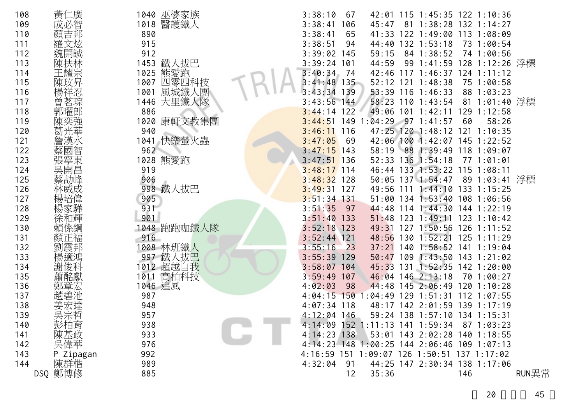| 108 | 黃<br>仁廣    | 1040 巫婆家族      | 3:38:10<br>67  |             | 42:01 115 1:45:35 122 1:10:36               |     |                |       |
|-----|------------|----------------|----------------|-------------|---------------------------------------------|-----|----------------|-------|
| 109 | 成必智        | 醫護鐵人<br>1018   | 3:38:41<br>106 | 45:47       | 81 1:38:28 132 1:14:27                      |     |                |       |
| 110 |            | 890            | 3:38:41<br>65  | 41:33       | 122 1:49:00 113 1:08:09                     |     |                |       |
| 111 |            | 915            | 3:38:51<br>94  | 44:40       | $132$ $1:53:18$                             |     | 73 1:00:54     |       |
| 112 | 魏開誠        | 912            | 3:39:02<br>145 | 59:15       | 84 1:38:52                                  |     | 74 1:00:56     |       |
| 113 |            | 1453 鐵人拔巴      | 3:39:24<br>101 | 44:59       | 99 1:41:59                                  |     | 128 1:12:26 浮標 |       |
| 114 | 王耀宗        | 熊愛跑<br>1025    | 3:40:34<br>-74 |             | 42:46 117 1:46:37 124 1:11:12               |     |                |       |
| 115 | 陳玟昇        | 四零四科技<br>1007  | $3:41:48$ 135  |             | 52:12 121 1:48:38                           |     | 75 1:00:58     |       |
| 116 |            | 風城鐵人團<br>1001  | 139<br>3:43:34 |             | 53:39 116 1:46:33                           |     | 88 1:03:23     |       |
| 117 | 曾茗琮        | 1446 大里鐵人隊     | $3:43:56$ 144  |             | 58:23 110 1:43:54                           |     | 81 1:01:40 浮標  |       |
| 118 | 郭曜郎        | 886            | 3:44:14<br>122 |             | 49:06 101 1:42:11                           | 129 | 1:12:58        |       |
| 119 |            | 康軒文教集團<br>1020 | 3:44:51        |             | 149 1:04:29 97 1:41:57                      | 60  | 58:26          |       |
| 120 |            | 940            | 3:46:11<br>116 |             | 47:25 120 1:48:12 121 1:10:35               |     |                |       |
| 121 |            | 快樂螢火蟲<br>1041  | 3:47:05<br>-69 |             | 42:06 100 1:42:07 145 1:22:52               |     |                |       |
| 122 |            | 962            | $3:47:15$ 143  | 58:19       | 88 1:39:49 118 1:09:07                      |     |                |       |
| 123 | 張寧東<br>吳開昌 | 熊愛跑<br>1028    | $3:47:51$ 136  |             | 52:33 136 1:54:18                           |     | 77 1:01:01     |       |
| 124 |            | 919            | $3:48:17$ 114  |             | 46:44 133 1:53:22 115 1:08:11               |     |                |       |
| 125 |            | 906            | 3:48:32<br>128 |             | 50:05 137 1:54:47                           |     | 89 1:03:41 浮標  |       |
| 126 |            | 998 鐵人拔巴       | 3:49:31<br>127 |             | 49:56 111 1:44:10 133 1:15:25               |     |                |       |
| 127 | 楊培偉        | 905            | $3:51:34$ 131  |             | 51:00 134 1:53:40 108 1:06:56               |     |                |       |
| 128 |            | 931            | 3:51:35<br>97  | 44:48       | 114 1:44:30 144 1:22:19                     |     |                |       |
| 129 | 徐和輝        | 901            | 3:51:40<br>133 |             | 51:48 123 1:49:11 123 1:10:42               |     |                |       |
| 130 | 賴係綱        | 1048 跑跑咖鐵人隊    | 3:52:18<br>123 | 49:31       | 127 1:50:56 126 1:11:52                     |     |                |       |
| 131 | 顏正福        | 916            | $3:52:44$ 121  | 48:56       | 130 1:52:21 125 1:11:29                     |     |                |       |
| 132 | 劉震邦        | 1008 林班鐵人      | 3:55:16<br>23  | 37:21       | 140 1:58:52 141 1:19:04                     |     |                |       |
| 133 | 楊適鴻        | 997 鐵人拔巴       | 3:55:39<br>129 | $50:47$ 109 | $1:43:50$ 143 $1:21:02$                     |     |                |       |
| 134 |            | 1012 超越自我      | 3:58:07<br>104 | 45:33 131   | $1:52:35$ 142 1:20:00                       |     |                |       |
| 135 |            | 高柏科技<br>1011   | 3:59:49<br>107 |             | 46:04 146 2:13:18                           |     | 70 1:00:27     |       |
| 136 | 鄭章宏        | 1046 追風        | 4:02:03<br>-98 |             | 44:48 145 2:06:49 120 1:10:28               |     |                |       |
| 137 | 趙碧池        | 987            | 4:04:15<br>150 | :04:49      | 129 1:51:31 112 1:07:55                     |     |                |       |
| 138 | 宏達         | 948            | $4:07:34$ 118  |             | 48:17 142 2:01:59 139 1:17:19               |     |                |       |
| 139 | 吳宗哲        | 957            | $4:12:04$ 146  |             | 59:24 138 1:57:10 134 1:15:31               |     |                |       |
| 140 | 彭柏育        | 938            |                |             | 4:14:09 152 1:11:13 141 1:59:34             |     | 87 1:03:23     |       |
| 141 | 陳基政        | 933            | $4:14:23$ 138  |             | 53:01 143 2:02:28 140 1:18:55               |     |                |       |
| 142 | 吳偉華        | 976            |                |             | 4:14:23 148 1:00:25 144 2:06:46 109 1:07:13 |     |                |       |
| 143 | P Zipagan  | 992            |                |             | 4:16:59 151 1:09:07 126 1:50:51 137 1:17:02 |     |                |       |
| 144 | 陳群楷        | 989            | 4:32:04<br>91  |             | 44:25 147 2:30:34 138 1:17:06               |     |                |       |
|     | DSQ 鄭博修    | 885            | 12             | 35:36       |                                             | 146 |                | RUN異常 |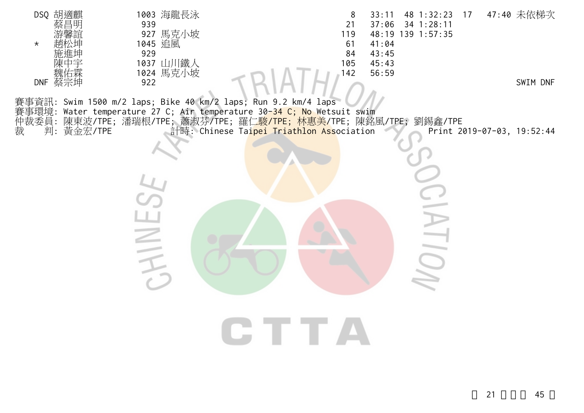| DSQ 胡適麒<br>蔡昌明     | 1003 海龍長泳<br>939                                                                                                                                       | 8<br>21    | 48 1:32:23 17<br>33:11<br>37:06<br>34 1:28:11 | 47:40 未依梯次                 |
|--------------------|--------------------------------------------------------------------------------------------------------------------------------------------------------|------------|-----------------------------------------------|----------------------------|
| $\star$            | 927 馬克小坡<br>1045 追風                                                                                                                                    | 119<br>61  | 48:19 139 1:57:35<br>41:04                    |                            |
|                    | 929                                                                                                                                                    | 84         | 43:45                                         |                            |
| 魏佑霖<br>DNF 蔡宗坤     | 1037 山川鐵人<br>1024 馬克小坡                                                                                                                                 | 105<br>142 | 45:43<br>56:59                                |                            |
|                    | 922                                                                                                                                                    |            |                                               | SWIM DNF                   |
|                    | 賽事資訊: Swim 1500 m/2 laps; Bike 40 km/2 laps; Run 9.2 km/4 laps<br>賽事環境: Water temperature 27 C; Air temperature 30 <mark>-34 C; No</mark> Wetsuit swim |            |                                               |                            |
|                    | 仲裁委員: 陳東波/TPE; 潘瑞根/TPE; 蕭淑芬/TPE; 羅仁 <mark>駿/TPE; 林惠美/</mark> TPE; 陳銘風/TPE; 劉錫鑫/TPE                                                                     |            |                                               |                            |
| 判:<br>黃金宏/TPE<br>裁 | 計時: Chinese Taipei Triathlon Association                                                                                                               |            |                                               | Print 2019-07-03, 19:52:44 |
|                    |                                                                                                                                                        |            |                                               |                            |
|                    |                                                                                                                                                        |            |                                               |                            |
|                    |                                                                                                                                                        |            |                                               |                            |
|                    |                                                                                                                                                        |            |                                               |                            |
|                    |                                                                                                                                                        |            |                                               |                            |
|                    | NI                                                                                                                                                     |            |                                               |                            |
|                    |                                                                                                                                                        |            |                                               |                            |
|                    |                                                                                                                                                        |            |                                               |                            |
|                    |                                                                                                                                                        |            |                                               |                            |
|                    |                                                                                                                                                        |            |                                               |                            |
|                    |                                                                                                                                                        | CTTA       |                                               |                            |
|                    |                                                                                                                                                        |            |                                               |                            |
|                    |                                                                                                                                                        |            |                                               |                            |
|                    |                                                                                                                                                        |            |                                               |                            |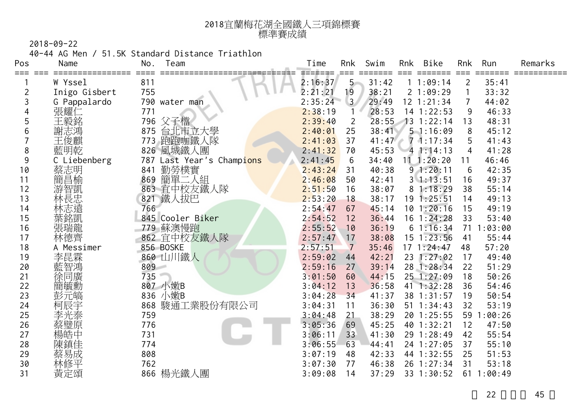| 2018宜蘭梅花湖全國鐵人三項錦標賽 |
|--------------------|
| 標準賽成績              |

40-44 AG Men / 51.5K Standard Distance Triathlon

| Pos | Name          | Team<br>No.                  | Time    | Rnk               | Swim  | Rnk | Bike               | Rnk            | Run        | Remarks |
|-----|---------------|------------------------------|---------|-------------------|-------|-----|--------------------|----------------|------------|---------|
| === | W Yssel       | 811                          | 2:16:37 | $5 -$             | 31:42 |     | 11:09:14           | $\overline{2}$ | 35:41      |         |
|     | Inigo Gisbert | 755                          | 2:21:21 | 19                | 38:21 |     | 21:09:29           |                | 33:32      |         |
|     | G Pappalardo  | 790 water man                | 2:35:24 | $\vert 3 \rangle$ | 29:49 |     | $12$ $1:21:34$     | $\overline{7}$ | 44:02      |         |
|     | 張耀仁           | 771                          | 2:38:19 |                   | 28:53 |     | 14 1:22:53         | 9              | 46:33      |         |
| 5   | 王毅銘           | 796 父子檔                      | 2:39:40 | $\overline{2}$    | 28:55 |     | $13 \t1:22:14$     | 13             | 48:31      |         |
| 6   | 謝志鴻           | 台北市立大學<br>875                | 2:40:01 | 25                | 38:41 |     | 51:16:09           | 8              | 45:12      |         |
|     | 王俊麒           | 跑跑咖鐵人隊<br>773                | 2:41:03 | 37                | 41:47 |     | $7 - 1:17:34$      | 5              | 41:43      |         |
| 8   | 藍明乾           | 826 風城鐵人團                    | 2:41:32 | 70                | 45:53 |     | 41:14:13           | 4              | 41:28      |         |
| 9   | C Liebenberg  | 787<br>Last Year's Champions | 2:41:45 | 6                 | 34:40 |     | $11 \quad 1:20:20$ | 11             | 46:46      |         |
| 10  |               | 勤勞樸實<br>841                  | 2:43:24 | 31                | 40:38 |     | 91:20:11           | 6              | 42:35      |         |
| 11  | 蔡志明<br>簡昌榆    | 簡單二人組<br>869                 | 2:46:08 | 50                | 42:41 |     | $3 \; 1:13:51$     | 16             | 49:37      |         |
| 12  | 游智凱           | 宜中校友鐵人隊<br>863               | 2:51:50 | 16                | 38:07 |     | 81:18:29           | 38             | 55:14      |         |
| 13  | 林長忠           | 鐵人拔巴<br>821                  | 2:53:20 | 18                | 38:17 |     | 191:25:51          | 14             | 49:13      |         |
| 14  | 林志遠           | 766                          | 2:54:47 | 67                | 45:14 |     | 101:20:16          | 15             | 49:19      |         |
| 15  | 葉銘凱           | 845 Cooler Biker             | 2:54:52 | 12                | 36:44 |     | $16$ 1:24:28       | 33             | 53:40      |         |
| 16  | 張瑞龍           | 蘇澳慢跑<br>779                  | 2:55:52 | 10                | 36:19 |     | 61:16:34           |                | 71 1:03:00 |         |
| 17  | 林德齊           | 862 宜中校友鐵人隊                  | 2:57:47 | 17                | 38:08 |     | $15 \t1:23:56$     | 41             | 55:44      |         |
| 18  | A Messimer    | 856 BOSKE                    | 2:57:51 | $\overline{7}$    | 35:46 |     | 171:24:47          | 48             | 57:20      |         |
| 19  | 李昆霖           | 860 山川鐵人                     | 2:59:02 | 44                | 42:21 |     | 23 1:27:02         | 17             | 49:40      |         |
| 20  | 藍智鴻           | 809                          | 2:59:16 | 27                | 39:14 |     | 28 1:28:34         | 22             | 51:29      |         |
| 21  | 徐同廣           | 735                          | 3:01:50 | 60                | 44:15 |     | 25 1:27:09         | 18             | 50:26      |         |
| 22  | 簡毓勳           | 807 小嫩B                      | 3:04:12 | 13                | 36:58 | 41  | 1:32:28            | 36             | 54:46      |         |
| 23  | 彭元皜           | 836 小嫩B                      | 3:04:28 | 34                | 41:37 |     | 38 1:31:57         | 19             | 50:54      |         |
| 24  | 柯辰宇           | 868 駿通工業股份有限公司               | 3:04:31 | 11                | 36:30 |     | $51 \t1:34:43$     | 32             | 53:19      |         |
| 25  | 李光泰           | 759                          | 3:04:48 | 21                | 38:29 |     | 20 1:25:55         | 59             | :00:26     |         |
| 26  | 蔡璧原           | 776                          | 3:05:36 | 69                | 45:25 |     | 40 1:32:21         | 12             | 47:50      |         |
| 27  | 楊皓中           | 731                          | 3:06:11 | 33                | 41:30 |     | 29 1:28:49         | 42             | 55:54      |         |
| 28  |               | 774                          | 3:06:55 | 63                | 44:41 |     | 24 1:27:05         | 37             | 55:10      |         |
| 29  | 蔡易成<br>林修平    | 808                          | 3:07:19 | 48                | 42:33 |     | 44 1:32:55         | 25             | 51:53      |         |
| 30  |               | 762                          | 3:07:30 | 77                | 46:38 |     | 26 1:27:34         | 31             | 53:18      |         |
| 31  | 黃定頌           | 866 楊光鐵人團                    | 3:09:08 | 14                | 37:29 |     | 33 1:30:52         |                | 611:00:49  |         |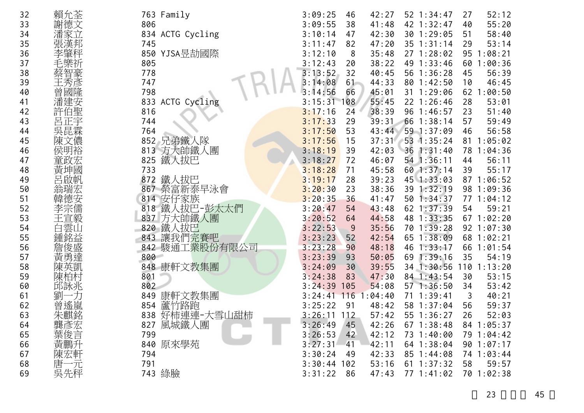| 32 | 賴允荃     |     | 763 Family       | 3:09:25       | 46  | 42:27  | 52 1:34:47      | 27 | 52:12           |
|----|---------|-----|------------------|---------------|-----|--------|-----------------|----|-----------------|
| 33 | 謝德文     | 806 |                  | 3:09:55       | 38  | 41:48  | 42 1:32:47      | 40 | 55:20           |
| 34 | 潘家立     |     | 834 ACTG Cycling | 3:10:14       | 47  | 42:30  | 30 1:29:05      | 51 | 58:40           |
| 35 | 張漢邦     | 745 |                  | 3:11:47       | 82  | 47:20  | $35$ $1:31:14$  | 29 | 53:14           |
| 36 | 李肇秤     | 850 | YJSA昱劼國際         | 3:12:10       | 8   | 35:48  | 271:28:02       | 95 | 1:08:21         |
| 37 |         | 805 |                  | 3:12:43       | 20  | 38:22  | 49 1:33:46      |    | 60 1:00:36      |
| 38 |         | 778 |                  | 3:13:52       | 32  | 40:45  | 56 1:36:28      | 45 | 56:39           |
| 39 | 王秀      | 747 |                  | 3:14:08       | 61  | 44:33  | 80 1:42:50      | 10 | 46:45           |
| 40 | 國隆<br>曾 | 798 |                  | 3:14:56       | 66  | 45:01  | 31 1:29:06      |    | 62 1:00:50      |
| 41 | 潘建安     |     | 833 ACTG Cycling | 3:15:31       | 108 | 55:45  | 22 1:26:46      | 28 | 53:01           |
| 42 | 許伯聖     | 816 |                  | 3:17:16       | 24  | 38:39  | 96 1:46:57      | 23 | 51:40           |
| 43 | 呂正宇     | 744 |                  | 3:17:33       | 29  | 39:31  | 66 1:38:14      | 57 | 59:49           |
| 44 | 吳昆霖     | 764 |                  | 3:17:50       | 53  | 43:44  | 59 1:37:09      | 46 | 56:58           |
| 45 | 陳文儂     | 852 | 兄弟鐵人隊            | 3:17:56       | 15  | 37:31  | 53 1:35:24      | 81 | 1:05:02         |
| 46 | 侯明裕     |     | 813 方大帥鐵人團       | 3:18:19       | 39  | 42:03  | $36 \t1:31:40$  |    | 78 1:04:36      |
| 47 | 童政宏     | 825 | 鐵人拔巴             | 3:18:27       | 72  | 46:07  | 54 1:36:11      | 44 | 56:11           |
| 48 | 黃坤國     | 733 |                  | 3:18:28       | 71  | 45:58  | 60 1:37:14      | 39 | 55:17           |
| 49 | 呂啟帆     | 872 | 鐵人拔巴             | 3:19:17       | 28  | 39:23  | 45 1:33:03      |    | 87 1:06:52      |
| 50 | 翁瑞宏     |     | 867 榮富新泰早泳會      | 3:20:30       | 23  | 38:36  | 39 1:32:19      |    | 98 1:09:36      |
| 51 |         |     | 814 安仔家族         | 3:20:35       | 36  | 41:47  | 50 1:34:37      |    | 77 1:04:12      |
| 52 |         |     | 818 鐵人拔巴-彭太太們    | 3:20:47       | 54  | 43:48  | 62 1:37:39      | 54 | 59:21           |
| 53 | 王宣毅     |     | 837 方大帥鐵人團       | 3:20:52       | 64  | 44:58  | 48 1:33:35      |    | 67 1:02:20      |
| 54 | 白雲山     | 820 | 鐵人拔巴             | 3:22:53       | 9   | 35:56  | 70 1:39:28      |    | 92 1:07:30      |
| 55 | 鍾銘益     | 843 | 讓我們完賽吧           | 3:23:23       | 52  | 42:54  | 65 1:38:09      |    | 68 1:02:21      |
| 56 | 詹俊盛     |     | 842 駿通工業股份有限公司   | 3:23:28       | 90  | 48:18  | 46 1:33:17      | 66 | 1:01:54         |
| 57 | 黃勇達     | 800 |                  | 3:23:39       | 93  | 50:05  | 69<br>1:39:16   | 35 | 54:19           |
| 58 | 陳英凱     |     | 848 康軒文教集團       | 3:24:09       | 30  | 39:55  | 1:30:56<br>34   |    | $110$ $1:13:20$ |
| 59 | 陳柏村     | 801 |                  | 3:24:38       | 83  | 47:30  | 84 1:43:54      | 30 | 53:15           |
| 60 | 邱詠兆     | 802 |                  | 3:24:39       | 105 | 54:08  | 571:36:50       | 34 | 53:42           |
| 61 | 劉       | 849 | 康軒文教集團           | 3:24:41       | 116 | :04:40 | 71 1:39:41      | 3  | 40:21           |
| 62 | 曾遙嵐     | 854 | 蘆竹路跑             | 3:25:22       | -91 | 48:42  | 58 1:37:04      | 56 | 59:37           |
| 63 | 朱麒銘     | 838 | 好柿連連-大雪山甜柿       | $3:26:11$ 112 |     | 57:42  | 55 1:36:27      | 26 | 52:03           |
| 64 | 龔彥宏     | 827 | 風城鐵人團            | 3:26:49       | 45  | 42:26  | $67 \; 1:38:48$ |    | 84 1:05:37      |
| 65 | 葉俊言     | 799 |                  | 3:26:53       | 42  | 42:12  | 73 1:40:00      |    | 79 1:04:42      |
| 66 | 黃鵬升     |     | 840 原來學苑         | 3:27:31       | 41  | 42:11  | 64 1:38:04      |    | 90 1:07:17      |
| 67 | 陳宏軒     | 794 |                  | 3:30:24       | 49  | 42:33  | 85 1:44:08      |    | 74 1:03:44      |
| 68 | 唐一元     | 791 |                  | $3:30:44$ 102 |     | 53:16  | 61 1:37:32      | 58 | 59:57           |
| 69 | 吳先秤     |     | 743 綠臉           | 3:31:22       | 86  | 47:43  | 77 1:41:02      |    | 70 1:02:38      |
|    |         |     |                  |               |     |        |                 |    |                 |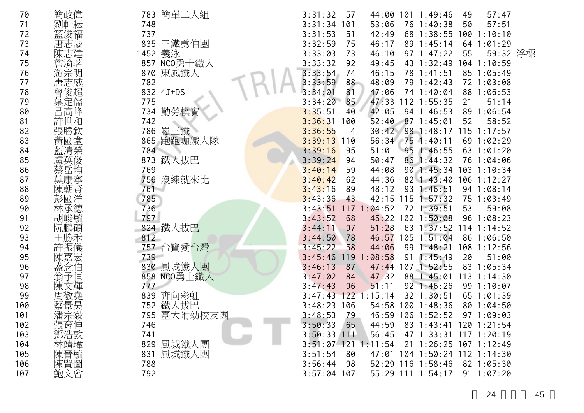| 70  | 簡政偉 | 783 簡單二人組     | 44:00 101 1:49:46<br>57:47<br>3:31:32<br>57<br>49          |  |
|-----|-----|---------------|------------------------------------------------------------|--|
| 71  |     | 748           | 3:31:34<br>101<br>53:06<br>76 1:40:38<br>57:51<br>50       |  |
| 72  |     | 737           | 3:31:53<br>68 1:38:55<br>51<br>42:49<br>100 1:10:10        |  |
| 73  |     | 835 三鐵勇伯團     | 3:32:59<br>46:17<br>89 1:45:14<br>75<br>$64$ 1:01:29       |  |
| 74  |     | 義泳<br>1452    | 59:32 浮標<br>55<br>3:33:03<br>46:10<br>$97 \t1:47:22$<br>73 |  |
| 75  |     | 857 NCO勇士鐵人   | 3:33:32<br>43 1:32:49 104 1:10:59<br>92<br>49:45           |  |
| 76  |     | 東風鐵人<br>870   | 3:33:54<br>46:15<br>78 1:41:51<br>85 1:05:49<br>74         |  |
| 77  |     | 782           | 3:33:59<br>88<br>48:09<br>79 1:42:43<br>72 1:03:08         |  |
| 78  |     | 832 4J+DS     | 81<br>88 1:06:53<br>3:34:01<br>47:06<br>74 1:40:04         |  |
| 79  | 葉定儒 | 775           | 47:33<br>85<br>$112$ 1:55:35<br>51:14<br>3:34:20<br>21     |  |
| 80  | 呂高峰 | 734 勤勞樸實      | 3:35:51<br>42:05<br>94 1:46:53<br>89 1:06:54<br>40         |  |
| 81  |     | 742           | 3:36:31<br>52:40<br>871:45:01<br>52<br>58:52<br>100        |  |
| 82  |     | 崧三鐵<br>786    | 30:42<br>98 1:48:17 115 1:17:57<br>3:36:55<br>4            |  |
| 83  |     | 跑跑咖鐵人隊<br>865 | 3:39:13<br>56:34<br>751:40:11<br>69 1:02:29<br>110         |  |
| 84  |     | 784           | 3:39:16<br>63 1:01:20<br>95<br>51:01<br>$95 \t1:46:55$     |  |
| 85  |     | 鐵人拔巴<br>873   | 3:39:24<br>50:47<br>86 1:44:32<br>76 1:04:06<br>94         |  |
| 86  |     | 769           | 3:40:14<br>90 1:45:34 103 1:10:34<br>59<br>44:08           |  |
| 87  |     | 756 沒練就來比     | 3:40:42<br>$106$ 1:12:27<br>62<br>44:36<br>$82 \; 1:43:40$ |  |
| 88  |     | 761           | 93 1:46:51<br>3:43:16<br>48:12<br>94 1:08:14<br>89         |  |
| 89  |     | 785           | 3:43:36<br>42:15 115<br>1:57:32<br>75 1:03:49<br>43        |  |
| 90  |     | 736           | :04:52<br>3:43:51<br>117<br>72 1:39:51<br>53<br>59:08      |  |
| 91  | 胡峻毓 | 797           | 3:43:52<br>45:22 102 1:50:08<br>96 1:08:23<br>68           |  |
| 92  |     | 824 鐵人拔巴      | 51:28<br>63 1:37:52<br>$114$ 1:14:52<br>3:44:11<br>97      |  |
| 93  |     | 812           | $105$ $1:51:04$<br>46:57<br>86 1:06:50<br>3:44:50<br>78    |  |
| 94  |     | 757 台寶愛台灣     | 3:45:22<br>58<br>44:06<br>108 1:12:56<br>$99 \t1:48:21$    |  |
| 95  |     | 739           | 3:45:46<br>119<br>:08:58<br>1:45:49<br>20<br>51:00<br>91   |  |
| 96  |     | 830 風城鐵人團     | 107 1:52:55<br>3:46:13<br>47:44<br>83 1:05:34<br>87        |  |
| 97  |     | 858 NCO勇士鐵人   | 47:32<br>88 1:45:01<br>$113$ 1:14:30<br>3:47:02<br>84      |  |
| 98  |     | 777           | 3:47:43<br>96<br>$92 \t1:46:26$<br>99 1:10:07<br>51:11     |  |
| 99  |     | 奔向彩虹<br>839   | 3:47:43<br>122<br>:15:14<br>32 1:30:51<br>65 1:01:39       |  |
| 100 |     | 鐵人拔巴<br>752   | $3:48:23$ 106<br>54:58 100 1:48:36<br>801:04:50            |  |
| 101 | 潘宗毅 | 795 臺大附幼校友團   | 3:48:53<br>79<br>46:59 106 1:52:52<br>97 1:09:03           |  |
| 102 | 張育伸 | 746           | 3:50:33<br>65<br>44:59<br>83 1:43:41 120 1:21:54           |  |
| 103 | 鄧浩敦 | 741           | $3:50:33$ 111<br>56:45<br>47 1:33:31 117 1:20:19           |  |
| 104 | 林靖瑋 | 風城鐵人團<br>829  | $3:51:07$ 121 1:11:54<br>21 1:26:25 107 1:12:49            |  |
| 105 | 陳晉毓 | 風城鐵人團<br>831  | 104 1:50:24 112 1:14:30<br>3:51:54<br>47:01<br>80          |  |
| 106 | 陳賢圖 | 788           | 52:29 116 1:58:46<br>3:56:44<br>82 1:05:30<br>98           |  |
| 107 | 鮑文會 | 792           | $3:57:04$ 107<br>55:29 111 1:54:17<br>$91 \t1:07:20$       |  |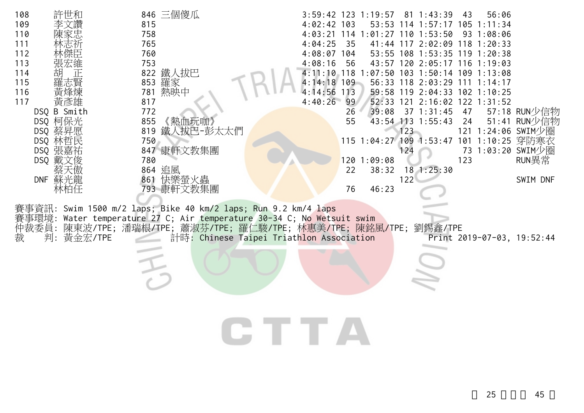| 108<br>許世和<br>109<br>110<br>111<br>112<br>113<br>114<br>胡<br>115<br>116<br>黃彥雄<br>117<br>DSQ B Smith<br>DSQ 柯保光<br>DSQ 蔡昇愿<br>DSQ 林哲民<br>DSQ 張嘉祐<br>DSQ 戴文俊<br>DNF 蘇光龍<br>林柏任 | 846 三個傻瓜<br>815<br>758<br>765<br>760<br>753<br>822 鐵人拔巴<br>853 羅家<br>781 熱映中<br>817<br>772<br>《熱血玩咖》<br>855<br>819<br>鐵人拔巴-彭太太們<br>750<br>847 康軒文教集團<br>780<br>864 追風<br>861 快樂螢火蟲<br>793 康軒文教集團 | 3:59:42 123 1:19:57 81 1:43:39<br>43<br>56:06<br>$4:02:42$ 103<br>53:53 114 1:57:17 105 1:11:34<br>4:03:21 114 1:01:27 110 1:53:50<br>93 1:08:06<br>4:04:25<br>35<br>41:44 117 2:02:09 118 1:20:33<br>$4:08:07$ 104<br>108 1:53:35 119 1:20:38<br>53:55<br>4:08:16<br>43:57 120 2:05:17 116 1:19:03<br>56<br>4:11:10 118 1:07:50 103 1:50:14 109 1:13:08<br>$4:14:18$ 109<br>56:33 118 2:03:29 111 1:14:17<br>4:14:56<br>59:58 119 2:04:33 102 1:10:25<br>113<br>4:40:26<br>99<br>52:33 121 2:16:02 122 1:31:52<br>26<br>39:08<br>$37$ 1:31:45<br>47<br>57:18 RUN少信物<br>55<br>51:41 RUN少信物<br>43:54 113 1:55:43<br>24<br>123<br>121 1:24:06 SWIM少圈<br>115 1:04:27 109 1:53:47 101 1:10:25 穿防寒衣<br>73 1:03:20 SWIM少圈<br>124<br>123<br>RUN異常<br>1201:09:08<br>22<br>38:32 18 1:25:30<br>122<br>SWIM DNF<br>46:23<br>76 |
|-------------------------------------------------------------------------------------------------------------------------------------------------------------------------------|--------------------------------------------------------------------------------------------------------------------------------------------------------------------------------------------------|----------------------------------------------------------------------------------------------------------------------------------------------------------------------------------------------------------------------------------------------------------------------------------------------------------------------------------------------------------------------------------------------------------------------------------------------------------------------------------------------------------------------------------------------------------------------------------------------------------------------------------------------------------------------------------------------------------------------------------------------------------------------------------------------------------------------|
| 事環境:<br>仲裁委員:<br>判:<br>黃金宏/TPE<br>裁                                                                                                                                           | 賽事資訊: Swim 1500 m/2 laps; Bike 40 km/2 laps; Run 9.2 km/4 laps<br>Water temperature 27 C; Air temperature 30-34 C; No Wetsuit swim<br>陳東波/TPE;潘瑞根/TPE;蕭淑芬/TPE;羅仁駿/TPE;林惠美/TPE;陳銘風/TPE;           | 劉錫鑫/TPE<br>計時: Chinese Taipei Triathlon Association<br>Print 2019-07-03, 19:52:44<br><b>THE REAL</b>                                                                                                                                                                                                                                                                                                                                                                                                                                                                                                                                                                                                                                                                                                                 |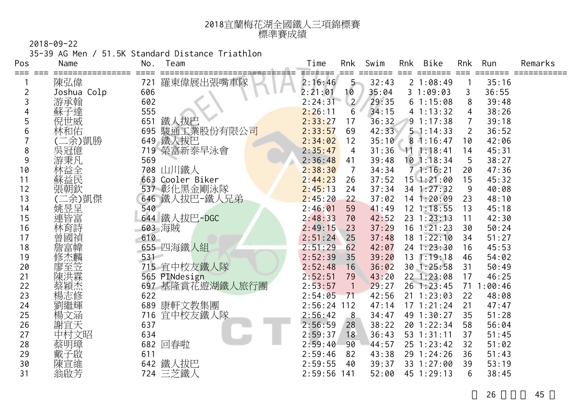| 2018宜蘭梅花湖全國鐵人三項錦標賽 |
|--------------------|
| 標準賽成績              |

35-39 AG Men / 51.5K Standard Distance Triathlon

| Pos     | Name        | No.     | Team                     | Time               | Rnk                        | Swim  | Rnk | Bike           | Rnk            | Run     | Remarks |
|---------|-------------|---------|--------------------------|--------------------|----------------------------|-------|-----|----------------|----------------|---------|---------|
| === === | 陳弘偉         | 721     | 羅東偉展出張嘴車隊                | =======<br>2:16:46 | $5 -$                      | 32:43 |     | 21:08:49       |                | 35:16   |         |
| 2       | Joshua Colp | 606     |                          | 2:21:01            | 10                         | 35:04 |     | 31:09:03       | 3              | 36:55   |         |
| 3       | 游承翰         | 602     |                          | 2:24:31            | $\overline{2}$             | 29:35 |     | 61:15:08       | 8              | 39:48   |         |
| 4       | 蘇子達         | 555     |                          | 2:26:11            | 6                          | 34:15 |     | 41:13:32       | 4              | 38:26   |         |
| 5       | 倪世威         | 651     | 鐵人拔巴                     | 2:33:27            | 17                         | 36:32 |     | $9 \ 1:17:38$  |                | 39:18   |         |
| 6       | 林和佑         | 695     | 駿通工業股份有限公 <mark>司</mark> | 2:33:57            | 69                         | 42:33 |     | 51:14:33       | $\overline{2}$ | 36:52   |         |
|         | 二余)凱勝       | 649     | 鐵人拔巴                     | 2:34:02            | 12                         | 35:10 |     | 81:16:47       | 10             | 42:06   |         |
| 8       | 吳冠億         |         | 719 榮富新泰早泳會              | 2:35:47            | 4                          | 31:36 |     | 111:18:41      | 14             | 45:31   |         |
| 9       | 游秉凡         | 569     |                          | 2:36:48            | 41                         | 39:48 |     | $10$ 1:18:34   | 5              | 38:27   |         |
| 10      | 林益全         |         | 708 山川鐵人                 | 2:38:30            | 7                          | 34:34 |     | 71:16:21       | 20             | 47:36   |         |
| 11      | 蘇益民         |         | 663 Cooler Biker         | 2:44:23            | 26                         | 37:52 |     | $15$ $1:21:00$ | 15             | 45:32   |         |
| 12      | 張朝欽         |         | 537 彰化黑金剛泳隊              | 2:45:13            | 24                         | 37:34 |     | 34 1:27:32     | 9              | 40:08   |         |
| 13      | 二余) 凱傑      |         | 646 鐵人拔巴-鐵人兄弟            | 2:45:20            | 22                         | 37:02 |     | $14$ 1:20:09   | 23             | 48:10   |         |
| 14      | 姚昱呈         | 540     |                          | 2:46:01            | 59                         | 41:49 |     | $12 \t1:18:55$ | 13             | 45:18   |         |
| 15      | 連皆富         |         | 644 鐵人拔巴-DGC             | 2:48:33            | 70                         | 42:52 |     | 23 1:23:13     | 11             | 42:30   |         |
| 16      | 林育詩         | 603 海賊  |                          | 2:49:15            | 23                         | 37:29 |     | $16$ 1:21:23   | 30             | 50:24   |         |
| 17      | 曾國禎         | 610     |                          | 2:51:24            | 25                         | 37:48 |     | $18 \t1:22:10$ | 34             | 51:27   |         |
| 18      | 詹富幃         |         | 655 四海鐵人組                | 2:51:29            | 62                         | 42:07 |     | 24 1:23:30     | 16             | 45:53   |         |
| 19      | 修杰麟         | 531     |                          | 2:52:39            | 35                         | 39:20 |     | $13 \t1:19:18$ | 46             | 54:02   |         |
| 20      |             |         | 715 宜中校友鐵人隊              | 2:52:48            | 16                         | 36:02 |     | 30 1:25:58     | 31             | 50:49   |         |
| 21      |             |         | 565 PINdesign            | 2:52:51            | 79                         | 43:20 |     | 22 1:23:08     | 17             | 46:25   |         |
| 22      | 蔡穎杰         |         | 697 基隆賞花遊湖鐵人旅行團          | 2:53:57            | $\overline{\phantom{0}}$ 1 | 29:27 |     | 26 1:23:45     | 71             | 1:00:46 |         |
| 23      | 楊志修         | 622     |                          | 2:54:05            | 71                         | 42:56 |     | $21 \t1:23:03$ | 22             | 48:08   |         |
| 24      | 劉繼輝         |         | 689 康軒文教集團               | 2:56:24            | 112                        | 47:14 |     | $17$ $1:21:24$ | 21             | 47:47   |         |
| 25      | 楊文涵         | 716     | 宜中校友鐵人隊                  | 2:56:42            | 8                          | 34:47 |     | 49 1:30:27     | 35             | 51:28   |         |
| 26      | 謝宜天         | 637     |                          | 2:56:59            | 28                         | 38:22 |     | 20 1:22:34     | 58             | 56:04   |         |
| 27      | 中村文昭        | 634     |                          | 2:59:37            | 18                         | 36:43 |     | 53 1:31:11     | 37             | 51:45   |         |
| 28      | 蔡明璋         | 682 回春啦 |                          | 2:59:40            | 90                         | 44:57 |     | $25$ 1:23:42   | 32             | 51:02   |         |
| 29      | 戴子啟         | 611     |                          | 2:59:46            | 82                         | 43:38 |     | 29 1:24:26     | 36             | 51:43   |         |
| 30      | 陳宣維         |         | 642 鐵人拔巴                 | 2:59:55            | 40                         | 39:37 |     | 33 1:27:00     | 39             | 53:19   |         |
| 31      | 翁啟芳         |         | 724 三芝鐵人                 | 2:59:56            | 141                        | 52:00 |     | 45 1:29:13     | 6              | 38:45   |         |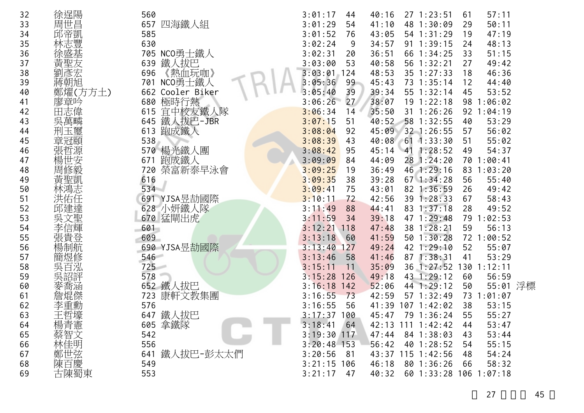| 32 | 徐逞陽         | 560                 | 3:01:17<br>44              | 40:16 | $27 \t1:23:51$         | 61  | 57:11      |  |
|----|-------------|---------------------|----------------------------|-------|------------------------|-----|------------|--|
| 33 | 周世昌         | 657<br>四海鐵人組        | 3:01:29<br>54              | 41:10 | 48 1:30:09             | 29  | 50:11      |  |
| 34 | 邱帝凱         | 585                 | 3:01:52<br>76              | 43:05 | 54 1:31:29             | 19  | 47:19      |  |
| 35 |             | 630                 | 3:02:24<br>9               | 34:57 | 91 1:39:15             | 24  | 48:13      |  |
| 36 |             | NCO勇士鐵人<br>705      | 3:02:31<br>20              | 36:51 | 66 1:34:25             | 33  | 51:15      |  |
| 37 |             | 鐵人拔巴<br>639         | 3:03:00<br>53              | 40:58 | 56 1:32:21             | 27  | 49:42      |  |
| 38 |             | 《熱血玩咖》<br>696       | 3:03:01<br>124             | 48:53 | 35 1:27:33             | 18  | 46:36      |  |
| 39 | 蔣朝旭         | NCO勇士鐵人<br>701      | 3:05:36<br>99              | 45:43 | 73 1:35:14             | 12  | 44:40      |  |
| 40 | 鄭燿(方方土)     | Cooler Biker<br>662 | 3:05:40<br>39              | 39:34 | 55 1:32:14             | 45  | 53:52      |  |
| 41 | 廖章吟         | 極時行熱<br>680         | 27 <sup>7</sup><br>3:06:26 | 38:07 | $19$ $1:22:18$         | 98  | 1:06:02    |  |
| 42 | 田志偉         | 宜中校友鐵人隊<br>615      | 3:06:34<br>14              | 35:50 | $31 \t1:26:26$         |     | 92 1:04:19 |  |
| 43 | 吳萬疄         | 鐵人拔巴-JBR<br>645     | 3:07:15<br>51              | 40:52 | 58 1:32:55             | 40  | 53:29      |  |
| 44 |             | 跑成鐵人<br>613         | 3:08:04<br>92              | 45:09 | 32 1:26:55             | 57  | 56:02      |  |
| 45 | 章冠頤         | 538                 | 3:08:39<br>43              |       | 40:08 61 1:33:30       | 51  | 55:02      |  |
| 46 |             | 楊光鐵人團<br>570        | 3:08:42<br>95              | 45:14 | 41 1:28:52             | 49  | 54:37      |  |
| 47 |             | 跑成鐵人<br>671         | 3:09:09<br>84              | 44:09 | 28 1:24:20             | 70  | 1:00:41    |  |
| 48 | 周           | 榮富新泰早泳會<br>720      | 3:09:25<br>19              | 36:49 | 46 1:29:16             |     | 83 1:03:20 |  |
| 49 | 黃聖凱         | 616                 | 3:09:35<br>38              | 39:28 | $67$ 1:34:28           | 56  | 55:40      |  |
| 50 | 鳴志          | 534                 | 3:09:41<br>75              | 43:01 | 82 1:36:59             | 26  | 49:42      |  |
| 51 | 右任          | 691 YJSA昱劼國際        | 3:10:11<br>72              | 42:56 | 39 1:28:33             | 67  | 58:43      |  |
| 52 |             | 628 小妍鐵人隊           | 3:11:49<br>88              | 44:41 | 83 1:37:18             | 28  | 49:52      |  |
| 53 |             | 670 猛閘出虎            | 3:11:59<br>34              | 39:18 | 47 1:29:48             | 79  | 1:02:53    |  |
| 54 | 李信輝         | 601                 | 3:12:21<br>118             | 47:48 | 38 1:28:21             | 59  | 56:13      |  |
| 55 | 張貴登         | 609                 | 3:13:18<br>60              | 41:59 | 501:30:28              |     | 72 1:00:52 |  |
| 56 |             | 690 YJSA昱劼國際        | 3:13:40<br>127             | 49:24 | 42 1:29:10             | 52  | 55:07      |  |
| 57 | 簡煜修         | 546                 | 3:13:46<br>58              | 41:46 | 87 1:38:31             | 41  | 53:29      |  |
| 58 | 吳           | 725                 | 3:15:11<br>11              | 35:09 | 36 1:27:52             | 130 | 1:12:11    |  |
| 59 | 矢畄i         | 578                 | 3:15:28<br>126             | 49:18 | 43 1:29:12             | 60  | 56:59      |  |
| 60 | 衙涵          | 652 鐵人拔巴            | 3:16:18<br>142             | 52:06 | 44 1:29:12             | 50  | 55:01 浮標   |  |
| 61 | 詹焜傑         | 康軒文教集團<br>723       | 3:16:55<br>73              | 42:59 | 57 1:32:49             | 73  | 1:01:07    |  |
| 62 |             | 576                 | 3:16:55<br>56              | 41:39 | 107 1:42:02            | 38  | 53:15      |  |
| 63 | 王哲壕         | 鐵人拔巴<br>647         | $3:17:37$ 100              | 45:47 | 79 1:36:24             | 55  | 55:27      |  |
| 64 | 楊青憲         | 605 拿鐵隊             | 3:18:41<br>64              |       | 42:13 111 1:42:42      | 44  | 53:47      |  |
| 65 |             | 542                 | $3:19:30$ 117              | 47:44 | 84 1:38:03             | 43  | 53:44      |  |
| 66 | 蔡智文<br>林佳明  | 556                 | $3:20:48$ 153              | 56:42 | 40 1:28:52             | 54  | 55:15      |  |
| 67 | 鄭世弦         | 鐵人拔巴-彭太太們<br>641    | 3:20:56<br>81              |       | 43:37 115 1:42:56      | 48  | 54:24      |  |
| 68 |             | 549                 | $3:21:15$ 106              | 46:18 | 80 1:36:26             | 66  | 58:32      |  |
| 69 | 陳百慶<br>古陳蜀東 | 553                 | 3:21:17<br>47              | 40:32 | 60 1:33:28 106 1:07:18 |     |            |  |
|    |             |                     |                            |       |                        |     |            |  |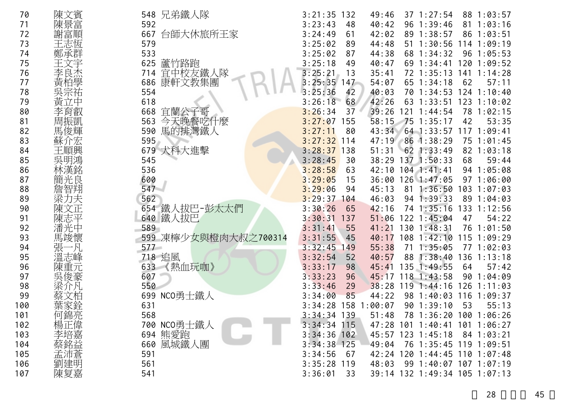| 70  | 陳文賓 | 548 兄弟鐵人隊               | 132<br>3:21:35 | 49:46  | $37 \t1:27:54$<br>88 1:03:57      |
|-----|-----|-------------------------|----------------|--------|-----------------------------------|
| 71  | 陳景富 | 592                     | 3:23:43<br>48  | 40:42  | $96 \t1:39:46$<br>81<br>1:03:16   |
| 72  | 謝富順 | 667<br>台師大休旅所王家         | 3:24:49<br>61  | 42:02  | 89<br>1:38:57<br>86<br>1:03:51    |
| 73  | 王志恆 | 579                     | 3:25:02<br>89  | 44:48  | 1:30:56<br>51<br>114<br>1:09:19   |
| 74  | 鄭承群 | 533                     | 3:25:02<br>87  | 44:38  | 1:05:53<br>68<br>1:34:32<br>96    |
| 75  | 王文宇 | 625<br>蘆竹路跑             | 3:25:18<br>49  | 40:47  | 120<br>69<br>1:34:41<br>1:09:52   |
| 76  |     | 宜中校友鐵人隊<br>714          | 3:25:21<br>13  | 35:41  | 141<br>72 1:35:13<br>1:14:28      |
| 77  | 黃柏學 | 康軒文教集團<br>686           | $3:25:35$ 147  | 54:07  | 57:11<br>65<br>62<br>1:34:18      |
| 78  | 吳宗祐 | 554                     | 3:25:36<br>42  | 40:03  | 124<br>1:10:40<br>70<br>1:34:53   |
| 79  | 黃立中 | 618                     | 3:26:18<br>68  | 42:26  | 123<br>63<br>1:33:51<br>1:10:02   |
| 80  | 李育叡 | 668<br>宜蘭公子哥            | 3:26:34<br>37  | 39:26  | 1:02:15<br>121<br>1:44:54<br>78   |
| 81  | 周振凱 | 今天晚餐吃什麼<br>563          | 3:27:07<br>155 | 58:15  | 42<br>53:35<br>75<br>1:35:17      |
| 82  | 馬俊輝 | 馬的排灣鐵人<br>590           | 3:27:11<br>80  | 43:34  | 64 1:33:57<br>$117$ $1:09:41$     |
| 83  | 蘇介宏 | 595                     | $3:27:32$ 114  | 47:19  | 861:38:29<br>1:01:45<br>75        |
| 84  | 王順興 | 679<br>犬科大進擊            | $3:28:37$ 138  | 51:31  | 62 1:33:49<br>82 1:03:18          |
| 85  | 吳明鴻 | 545                     | 3:28:45<br>30  |        | 38:29 137 1:50:33<br>68<br>59:44  |
| 86  | 林漢銘 | 536                     | 3:28:58<br>63  | 42:10  | 94 1:05:08<br>$104$ 1:41:41       |
| 87  | 簡光良 | 600                     | 3:29:05<br>15  | 36:00  | 1:06:00<br>$126$ $1:47:05$<br>97  |
| 88  | 詹智翔 | 547                     | 3:29:06<br>94  | 45:13  | 81<br>1:36:50<br>103<br>1:07:03   |
| 89  | 梁力夫 | 562                     | 3:29:37<br>104 | 46:03  | 89<br>$94 \; 1:39:33$<br>1:04:03  |
| 90  | 陳文正 | 654 鐵人拔巴-彭太太們           | 3:30:26<br>65  | 42:16  | 1:35:16<br>133<br>1:12:56<br>74   |
| 91  | 陳志平 | 640 鐵人拔巴                | 3:30:31<br>137 | 51:06  | 54:22<br>122 1:45:04<br>47        |
| 92  | 潘光中 | 589                     | 3:31:41<br>55  | 41:21  | 130 1:48:31<br>76<br>1:01:50      |
| 93  | 馬竣懷 | 凍檸少女與橙肉大叔之700314<br>599 | 3:31:55<br>45  | 40:17  | 108<br>1:42:10<br>115<br>1:09:29  |
| 94  | 張   | 577                     | 3:32:45<br>149 | 55:38  | 71<br>1:35:05<br>77<br>1:02:03    |
| 95  | 溫志峰 | 718 追風                  | 3:32:54<br>52  | 40:57  | 1:38:40<br>136<br>1:13:18<br>88   |
| 96  | 陳重元 | 633<br>《熱血玩咖》           | 3:33:17<br>98  | 45:41  | 135<br>1:49:55<br>64<br>57:42     |
| 97  | 吳俊豪 | 607                     | 3:33:23<br>96  | 45:17  | 118<br>90<br>1:04:09<br>1:43:58   |
| 98  | 梁介凡 | 550                     | 3:33:46<br>29  | 38:28  | 126<br>$119$ 1:44:16<br>1:11:03   |
| 99  |     | 699 NCO勇士鐵人             | 3:34:00<br>85  | 44:22  | 98<br>1:40:03<br>116<br>1:09:37   |
| 100 |     | 631                     | 3:34:28<br>158 | :00:07 | 90<br>53<br>55:13<br>1:39:10      |
| 101 | 何錦亮 | 568                     | $3:34:34$ 139  | 51:48  | 78 1:36:20 100 1:06:26            |
| 102 | 楊正偉 | 700 NCO勇士鐵人             | $3:34:34$ 115  |        | 47:28 101 1:40:41 101 1:06:27     |
| 103 | 李培嘉 | 694 熊愛跑                 | $3:34:36$ 102  |        | 45:57 123 1:45:18<br>$84$ 1:03:21 |
| 104 | 蔡銘益 | 660 風城鐵人團               | $3:34:38$ 125  | 49:04  | 76 1:35:45 119 1:09:51            |
| 105 | 孟沛蒼 | 591                     | 3:34:56<br>67  |        | 42:24 120 1:44:45 110 1:07:48     |
| 106 | 劉建明 | 561                     | $3:35:28$ 119  | 48:03  | 99 1:40:07 107 1:07:19            |
| 107 | 陳复嘉 | 541                     | 3:36:01<br>33  |        | 39:14 132 1:49:34 105 1:07:13     |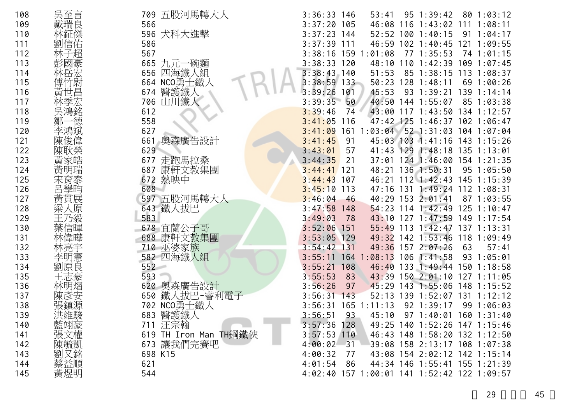| 108 | 吳至言               | 五股河馬轉大人<br>709        | $3:36:33$ 146<br>$95 \t1:39:42$<br>801:03:12<br>53:41       |
|-----|-------------------|-----------------------|-------------------------------------------------------------|
| 109 | 戴瑞良               | 566                   | $3:37:20$ 105<br>46:08<br>116<br>1:43:02<br>1:08:11<br>111  |
| 110 | 林鉦傑               | 596 犬科大進擊             | $3:37:23$ 144<br>52:52 100 1:40:15<br>91<br>1:04:17         |
| 111 | 劉信佑               | 586                   | 46:59 102 1:40:45<br>$3:37:39$ 111<br>121<br>1:09:55        |
| 112 | 林子超               | 567                   | 3:38:16 159 1<br>:01:08<br>771:35:53<br>74<br>1:01:15       |
| 113 | 彭國豪               | 665 九元一碗麵             | $3:38:33$ 120<br>48:10<br>1:42:39<br>109<br>110<br>1:07:45  |
| 114 | 林岳宏               | 四海鐵人組<br>656          | $3:38:43$ 140<br>51:53<br>85 1:38:15 113<br>1:08:37         |
| 115 | 亇尉<br>傅亇          | 664 NCO勇士鐵人           | $3:38:59$ 133<br>50:23<br>128<br>1:48:11<br>1:00:26<br>69   |
| 116 | 黃世昌               | 醫護鐵人<br>674           | 45:53<br>3:39:26<br>101<br>93<br>1:39:21<br>139<br>1:14:14  |
| 117 |                   | 706<br>山川鐵人           | 40:50 144 1:55:07<br>3:39:35<br>50<br>85 1:03:38            |
| 118 | 吳鴻銘               | 612                   | 43:00<br>3:39:46<br>74<br>$117$ $1:43:50$<br>134<br>1:12:57 |
| 119 | 德<br>鄒            | 558                   | 3:41:05<br>$47:42$ 125<br>116<br>$1:46:37$ 102 1:06:47      |
| 120 | 李鴻斌               | 627                   | 52 1:31:03 104 1:07:04<br>3:41:09<br>161 1:03:04            |
| 121 | 陳俊偉               | 661<br>奧森廣告設計         | 3:41:45<br>91<br>45:03 103 1:41:16 143 1:15:26              |
| 122 | 陳耿榮               | 629                   | 129<br>3:43:01<br>41:43<br>$1:48:18$ 135<br>57<br>1:13:01   |
| 123 | 黃家皓               | 677<br>走跑馬拉桑          | 3:44:35<br>124 1:46:00 154 1:21:35<br>21<br>37:01           |
| 124 | 黃明瑞               | 康軒文教集團<br>687         | 48:21 136 1:50:31<br>$3:44:41$ 121<br>$95 \t1:05:50$        |
| 125 | 宋育泰               | 672 熱映中               | 112 1:42:43 145<br>$3:44:43$ 107<br>46:21<br>1:15:39        |
| 126 | 呂學昀               | 608                   | 47:16 131 1:49:24 112 1:08:31<br>$3:45:10$ 113              |
| 127 | 黃貫展               | 597 五股河馬轉大人           | 3:46:04<br>40:29 153 2:01:41<br>$87 \t1:03:55$<br>46        |
| 128 | 梁<br>原            | 643 鐵人拔巴              | 3:47:58<br>$54:23$ 114 1:42:49<br>$125$ $1:10:47$<br>148    |
| 129 | 3毅<br>干           | 583                   | 3:49:03<br>43:10 127 1:47:59 149 1:17:54<br>78              |
| 130 | 葉信暉               | 678 宜蘭公子哥             | $3:52:06$ 151<br>55:49 113 1:42:47 137 1:13:31              |
| 131 | 林偉曄               | 康軒文教集團<br>688         | 49:32 142 1:53:46<br>$3:53:05$ 129<br>$118$ 1:09:49         |
| 132 | 林亮宇               | 710 巫婆家族              | 49:36<br>$3:54:42$ 131<br>157 2:07:26<br>57:41<br>63        |
| 133 | 李明憲               | 582 四海鐵人組             | 3:55:11<br>:08:13<br>$106$ 1:41:58<br>93 1:05:01<br>164     |
| 134 | 劉原良               | 552                   | 3:55:21<br>46:40<br>133 1:49:44 150 1:18:58<br>108          |
| 135 |                   | 593                   | 43:39 150 2:01:10<br>3:55:53<br>83<br>$127$ $1:11:05$       |
| 136 | 林明熠               | 620<br>奧森廣告設計         | 3:56:26<br>45:29<br>143 1:55:06 148 1:15:52<br>97           |
| 137 | 陳彥安               | 鐵人拔巴-睿利電子<br>650      | 3:56:31<br>139<br>143<br>52:13<br>1:52:07<br>131<br>1:12:12 |
| 138 |                   | 702 NCO勇士鐵人           | 3:56:31<br>$165$ 1:11:13<br>92 1:39:17<br>99 1:06:03        |
| 139 | 洪維駿               | 683 醫護鐵人              | 3:56:51<br>93<br>45:10<br>97 1:40:01 160 1:31:40            |
| 140 |                   | 711 汪宗翰               | $3:57:36$ 128<br>49:25 140 1:52:26 147 1:15:46              |
| 141 |                   | 619 TH Iron Man TH鋼鐵俠 | $3:57:53$ 110<br>46:43 148 1:58:20 132 1:12:50              |
| 142 | "藍張陳、<br>張城<br>陳、 | 673 讓我們完賽吧            | 39:08 158 2:13:17 108 1:07:38<br>4:00:02<br>$-31$           |
| 143 | 劉又銘               | 698 K15               | 43:08 154 2:02:12 142 1:15:14<br>4:00:32<br>77              |
| 144 | 蔡益順               | 621                   | 44:34 146 1:55:41 155 1:21:39<br>4:01:54<br>-86             |
| 145 | 黃煜明               | 544                   | 4:02:40 157 1:00:01 141 1:52:42 122 1:09:57                 |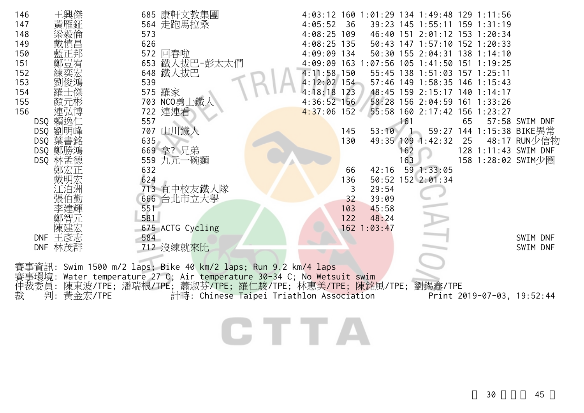| 王興傑<br>146<br>147<br>催鉦<br>148<br>149<br>150<br>151<br>152<br>153<br>154 | 685 康軒文教集團<br>564 走跑馬拉桑<br>573<br>626<br>572 回春啦<br>653 鐵人拔巴-彭太太們<br>648 鐵人拔巴<br>539<br>575 羅家                                                                                                | 4:05:52<br>36<br>$4:08:25$ 109<br>$4:08:25$ 135<br>4:09:09 134<br>$4:11:58$ 150<br>$4:12:02$ 154<br>$4:18:18$ 123 | 4:03:12 160 1:01:29 134 1:49:48 129 1:11:56<br>39:23 145 1:55:11 159 1:31:19<br>46:40 151 2:01:12 153 1:20:34<br>50:43 147 1:57:10 152 1:20:33<br>50:30 155 2:04:31 138 1:14:10<br>4:09:09 163 1:07:56 105 1:41:50 151 1:19:25<br>55:45 138 1:51:03 157 1:25:11<br>57:46 149 1:58:35 146 1:15:43<br>48:45 159 2:15:17 140 1:14:17 |
|--------------------------------------------------------------------------|-----------------------------------------------------------------------------------------------------------------------------------------------------------------------------------------------|-------------------------------------------------------------------------------------------------------------------|-----------------------------------------------------------------------------------------------------------------------------------------------------------------------------------------------------------------------------------------------------------------------------------------------------------------------------------|
| 155<br>顏元彬                                                               | 703 NCO勇士鐵                                                                                                                                                                                    | $4:36:52$ 156                                                                                                     | 58:28 156 2:04:59 161 1:33:26                                                                                                                                                                                                                                                                                                     |
| 156<br>連弘博                                                               | 722 連連看                                                                                                                                                                                       | $4:37:06$ 152                                                                                                     | 55:58 160 2:17:42 156 1:23:27                                                                                                                                                                                                                                                                                                     |
| DSQ 賴逸仁<br>劉明峰<br>DSQ                                                    | 557<br>山川鐵人<br>707                                                                                                                                                                            | 145<br>53:10                                                                                                      | 161<br>65<br>57:58 SWIM DNF<br>59:27 144 1:15:38 BIKE異常                                                                                                                                                                                                                                                                           |
| DSQ 葉書銘                                                                  | 635                                                                                                                                                                                           | 130<br>49:35 109                                                                                                  | 1:42:32<br>25<br>48:17 RUN少信物                                                                                                                                                                                                                                                                                                     |
| DSQ 鄭勝鴻                                                                  | 669 拿? 兄弟                                                                                                                                                                                     |                                                                                                                   | 162<br>128 1:11:43 SWIM DNF                                                                                                                                                                                                                                                                                                       |
| DSQ 林孟德                                                                  | 559 九元一碗麵                                                                                                                                                                                     |                                                                                                                   | 163<br>158 1:28:02 SWIM少圈                                                                                                                                                                                                                                                                                                         |
| 鄭宏正                                                                      | 632                                                                                                                                                                                           | 42:16<br>66                                                                                                       | 59 1:33:05                                                                                                                                                                                                                                                                                                                        |
|                                                                          | 624                                                                                                                                                                                           | 136                                                                                                               | 50:52 152 2:01:34                                                                                                                                                                                                                                                                                                                 |
| 張伯勤                                                                      | 713 宜中校友鐵人隊                                                                                                                                                                                   | 29:54<br>3<br>32<br>39:09                                                                                         |                                                                                                                                                                                                                                                                                                                                   |
|                                                                          | 666 台北市立大學<br>551                                                                                                                                                                             | 45:58<br>103                                                                                                      |                                                                                                                                                                                                                                                                                                                                   |
|                                                                          | 581                                                                                                                                                                                           | 122<br>48:24                                                                                                      |                                                                                                                                                                                                                                                                                                                                   |
| 陳建宏                                                                      | 675 ACTG Cycling                                                                                                                                                                              | 162 1:03:47                                                                                                       |                                                                                                                                                                                                                                                                                                                                   |
| DNF 王彥志                                                                  | 584                                                                                                                                                                                           |                                                                                                                   | SWIM DNF                                                                                                                                                                                                                                                                                                                          |
| DNF 林茂群                                                                  | 712 沒練就來比                                                                                                                                                                                     |                                                                                                                   | SWIM DNF                                                                                                                                                                                                                                                                                                                          |
| 事環境:<br>仲裁委員:                                                            | 賽事資訊: Swim 1500 m/2 laps; Bike 40 km/2 laps; Run 9.2 km/4 laps<br>Water temperature 27 C; Air temperature 30-34 C; No Wetsuit swim<br>陳東波/TPE;潘瑞根/TPE;蕭淑芬/TPE;羅仁駿/TPE;林惠美/TPE;陳銘風/TPE;劉錫鑫/TPE |                                                                                                                   |                                                                                                                                                                                                                                                                                                                                   |
| 裁<br>判:<br>黃金宏/TPE                                                       |                                                                                                                                                                                               | 計時: Chinese Taipei Triathlon Association                                                                          | Print 2019-07-03, 19:52:44                                                                                                                                                                                                                                                                                                        |
|                                                                          |                                                                                                                                                                                               |                                                                                                                   |                                                                                                                                                                                                                                                                                                                                   |

CTTA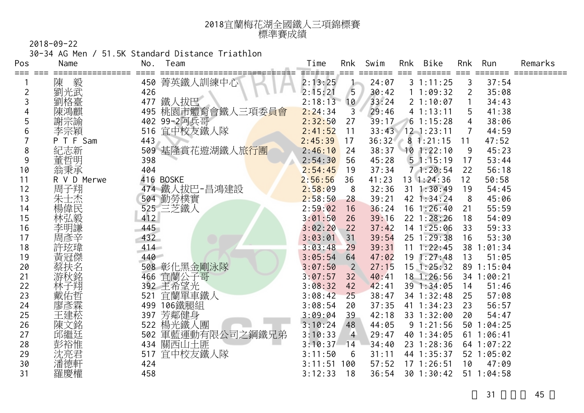| 2018宜蘭梅花湖全國鐵人三項錦標賽 |
|--------------------|
| 標準賽成績              |

30-34 AG Men / 51.5K Standard Distance Triathlon

| Pos     | Name        | No. | Team                          | Time    | Rnk            | Swim  | Rnk | Bike             | Rnk            | Run        | Remarks |
|---------|-------------|-----|-------------------------------|---------|----------------|-------|-----|------------------|----------------|------------|---------|
| === === | 陳<br>毅      | 450 | 菁英鐵人訓練中心                      | 2:13:25 | $\mathbf{1}$   | 24:07 |     | 31:11:25         | 3              | 37:54      |         |
| 2       | 劉光武         | 426 |                               | 2:15:21 | 5              | 30:42 |     | 11:09:32         | $\overline{2}$ | 35:08      |         |
| 3       | 劉格臺         | 477 | 鐵人拔巴                          | 2:18:13 | 10             | 33:24 |     | 21:10:07         |                | 34:43      |         |
| 4       |             | 495 | 桃園市體育會鐵人三項委員會                 | 2:24:34 | 3              | 29:46 |     | 41:13:11         | 5              | 41:38      |         |
| 5       | 謝宗諭         |     | 402 99-2阿兵哥                   | 2:32:50 | 27             | 39:17 |     | 61:15:28         | 4              | 38:06      |         |
| 6       | 李宗穎         | 516 | 宜中校友鐵人隊                       | 2:41:52 | 11             |       |     | 33:43 12 1:23:11 |                | 44:59      |         |
|         | P T F Sam   | 443 |                               | 2:45:39 | 17             | 36:32 |     | 81:21:15         | 11             | 47:52      |         |
| 8       | 紀志新         |     | 509 基隆賞花遊湖鐵人旅 <mark>行團</mark> | 2:46:10 | 24             | 38:37 |     | $10$ 1:22:10     | 9              | 45:23      |         |
| 9       | 董哲明         | 398 |                               | 2:54:30 | 56             | 45:28 |     | 51:15:19         | 17             | 53:44      |         |
| 10      | 翁秉承         | 404 |                               | 2:54:45 | 19             | 37:34 |     | 71:20:54         | 22             | 56:18      |         |
| 11      | R V D Merwe |     | 416 BOSKE                     | 2:56:56 | 36             | 41:23 |     | $13 \t1:24:36$   | 12             | 50:58      |         |
| 12      | 周子翔         | 474 | 鐵人拔巴-昌鴻建設                     | 2:58:09 | 8              | 32:36 | 31  | 1:30:49          | 19             | 54:45      |         |
| 13      | 朱士杰         |     | 504 勤勞樸實                      | 2:58:50 | 28             | 39:21 |     | 42 1:34:24       | 8              | 45:06      |         |
| 14      | 楊偉民         |     | 525 三芝鐵人                      | 2:59:02 | 16             | 36:24 |     | $16$ 1:26:40     | 21             | 55:59      |         |
| 15      | 林弘毅         | 412 |                               | 3:01:50 | 26             | 39:16 |     | 22 1:28:26       | 18             | 54:09      |         |
| 16      | 李明謙         | 445 |                               | 3:02:20 | 22             | 37:42 |     | 14 1:25:06       | 33             | 59:33      |         |
| 17      | 周彥辛         | 432 |                               | 3:03:01 | 31             | 39:54 |     | $25 \t1:29:38$   | 16             | 53:30      |         |
| 18      |             | 414 |                               | 3:03:48 | 29             | 39:31 | 11  | 1:22:45          |                | 38 1:01:34 |         |
| 19      | 黃冠傑         | 440 |                               | 3:05:54 | 64             | 47:02 |     | 191:27:48        | 13             | 51:05      |         |
| 20      |             |     | 508 彰化黑金剛泳隊                   | 3:07:50 | 2              | 27:15 |     | $15$ 1:25:32     |                | 89 1:15:04 |         |
| 21      | 游秋銘         | 466 | 宜蘭公子哥                         | 3:07:57 | 32             | 40:41 |     | 18 1:26:56       |                | 34 1:00:21 |         |
| 22      | 林子翔         |     | 392 主希望光                      | 3:08:32 | 42             | 42:41 |     | 39 1:34:05       | 14             | 51:46      |         |
| 23      | 戴佑哲         | 521 | 宜蘭單車鐵人                        | 3:08:42 | 25             | 38:47 |     | 34 1:32:48       | 25             | 57:08      |         |
| 24      | 廖彥霖         | 499 | 106鐵腿組                        | 3:08:54 | 20             | 37:35 |     | 41 1:34:23       | 23             | 56:57      |         |
| 25      | 王建菘         | 397 | 芳鄰健身                          | 3:09:04 | 39             | 42:18 |     | 33 1:32:00       | 20             | 54:47      |         |
| 26      | 陳文銘         | 522 | 楊光鐵人團                         | 3:10:24 | 48             | 44:05 |     | 91:21:56         | 50             | 1:04:25    |         |
| 27      |             | 502 | 軍藍運動有限公司之鋼鐵兄弟                 | 3:10:33 | $\overline{4}$ | 29:47 |     | 40 1:34:05       | 61             | 1:06:41    |         |
| 28      | 彭裕惟         |     | 434 關西山土匪                     | 3:10:37 | 14             | 34:40 |     | 23 1:28:36       |                | 64 1:07:22 |         |
| 29      | 沈亮君         | 517 | 宜中校友鐵人隊                       | 3:11:50 | 6              | 31:11 |     | 44 1:35:37       |                | 52 1:05:02 |         |
| 30      | 潘德軒         | 424 |                               | 3:11:51 | 100            | 57:52 |     | $17 \t1:26:51$   | 10             | 47:09      |         |
| 31      | 羅慶權         | 458 |                               | 3:12:33 | 18             | 36:54 |     | 301:30:42        |                | 511:04:58  |         |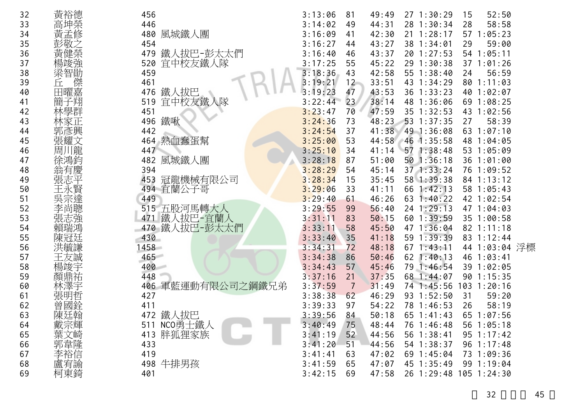| 32 | 黃裕德    | 456                  | 3:13:06 | 81              | 49:49 | 271:30:29              | 15 | 52:50           |  |
|----|--------|----------------------|---------|-----------------|-------|------------------------|----|-----------------|--|
| 33 | 高坤榮    | 446                  | 3:14:02 | 49              | 44:31 | 28 1:30:34             | 28 | 58:58           |  |
| 34 | 更      | 風城鐵人團<br>480         | 3:16:09 | 41              | 42:30 | $21 \t1:28:17$         |    | 57 1:05:23      |  |
| 35 |        | 454                  | 3:16:27 | 44              | 43:27 | 38 1:34:01             | 29 | 59:00           |  |
| 36 | 亩      | 鐵人拔巴-彭太太們<br>479     | 3:16:40 | 46              | 43:37 | 20 1:27:53             |    | 54 1:05:11      |  |
| 37 |        | 宜中校友鐵人隊<br>520       | 3:17:25 | 55              | 45:22 | 29 1:30:38             |    | 371:01:26       |  |
| 38 | 智勛     | 459                  | 3:18:36 | 43              | 42:58 | 55 1:38:40             | 24 | 56:59           |  |
| 39 | fr.    | 461                  | 3:19:21 | 12              | 33:51 | 43 1:34:29             |    | 80 1:11:03      |  |
| 40 | 田曜嘉    | 鐵人 拔巴<br>476         | 3:19:23 | 47              | 43:53 | 36 1:33:23             |    | 40 1:02:07      |  |
| 41 |        | 宜中校友鐵人<br>519        | 3:22:44 | 23 <sup>°</sup> | 38:14 | 48 1:36:06             |    | 69 1:08:25      |  |
| 42 |        | 451                  | 3:23:47 | 70              | 47:59 | 35 1:32:53             |    | 43 1:02:56      |  |
| 43 |        | 鐵啾<br>496            | 3:24:36 | 73              | 48:23 | $53 \t1:37:35$         | 27 | 58:39           |  |
| 44 | 郭彥興    | 442                  | 3:24:54 | 37              | 41:38 | 49 1:36:08             |    | 631:07:10       |  |
| 45 | 張耀文    | 熱血蠢蛋幫<br>464         | 3:25:00 | 53              |       | 44:58 46 1:35:58       |    | 48 1:04:05      |  |
| 46 | 龍<br>周 | 447                  | 3:25:10 | 34              | 41:14 | 57 1:38:48             |    | 53 1:05:09      |  |
| 47 |        | 風城鐵人團<br>482         | 3:28:18 | 87              | 51:00 | $50$ $1:36:18$         |    | 36 1:01:00      |  |
| 48 |        | 394                  | 3:28:29 | 54              | 45:14 | $37$ 1:33:24           |    | 76 1:09:52      |  |
| 49 |        | 冠龍機械有限公司<br>453      | 3:28:34 | 15              | 35:45 | 58 1:39:38             |    | 84 1:13:12      |  |
| 50 |        | 宜蘭公子哥<br>494         | 3:29:06 | 33              | 41:11 | 66 1:42:13             |    | 58 1:05:43      |  |
| 51 |        | 449                  | 3:29:40 | 61              | 46:26 | $63 \t1:40:22$         |    | 42 1:02:54      |  |
| 52 |        | 515 五股河馬轉大人          | 3:29:55 | 99              | 56:40 | 24 1:29:13             |    | 47 1:04:03      |  |
| 53 |        | 鐵人拔巴-宜蘭人<br>471      | 3:31:11 | 83              | 50:15 | 60 1:39:59             |    | 35 1:00:58      |  |
| 54 |        | 鐵人拔巴-彭太太們<br>470     | 3:33:11 | 58              | 45:50 | 47 1:36:04             |    | 82 1:11:18      |  |
| 55 |        | 430                  | 3:33:40 | 35              | 41:18 | 59 1:39:39             |    | 83 1:12:44      |  |
| 56 |        | 458                  | 3:34:31 | 72              | 48:18 | $67 \; 1:43:11$        |    | 44 1:03:04 浮標   |  |
| 57 |        | 465                  | 3:34:38 | 86              | 50:46 | $62$ 1:40:13           |    | 46 1:03:41      |  |
| 58 |        | 400                  | 3:34:43 | 57              | 45:46 | 79 1:46:54             |    | 39 1:02:05      |  |
| 59 |        | 448                  | 3:37:16 | 21              | 37:35 | 68 1:44:07             |    | 90 1:15:35      |  |
| 60 | 林澤宇    | 軍藍運動有限公司之鋼鐵兄弟<br>406 | 3:37:59 | $\overline{7}$  | 31:49 | 74 1:45:56             |    | $103$ $1:20:16$ |  |
| 61 |        | 427                  | 3:38:38 | 62              | 46:29 | 93 1:52:50             | 31 | 59:20           |  |
| 62 |        | 411                  | 3:39:33 | 97              | 54:22 | 78 1:46:53             | 26 | 58:19           |  |
| 63 | 陳廷翰    | 鐵人拔巴<br>472          | 3:39:56 | 84              | 50:18 | $65$ 1:41:43           |    | 65 1:07:56      |  |
| 64 | 戴宗輝    | 511 NCO勇士鐵人          | 3:40:49 | 75              | 48:44 | 76 1:46:48             |    | 56 1:05:18      |  |
| 65 | 葉文崎    | 胖狐狸家族<br>413         | 3:41:19 | 52              | 44:56 | $56 \t1:38:41$         |    | $95 \t1:17:42$  |  |
| 66 |        | 433                  | 3:41:20 | 51              | 44:56 | 54 1:38:37             |    | $96 \t1:17:48$  |  |
| 67 | 郭韋隆    | 419                  | 3:41:41 | 63              | 47:02 | 69 1:45:04             |    | 73 1:09:36      |  |
| 68 | 盧宥諭    | 498 牛排男孩             | 3:41:59 | 65              | 47:07 | 45 1:35:49             |    | 99 1:19:04      |  |
| 69 | 柯東錡    | 401                  | 3:42:15 | 69              | 47:58 | 26 1:29:48 105 1:24:30 |    |                 |  |
|    |        |                      |         |                 |       |                        |    |                 |  |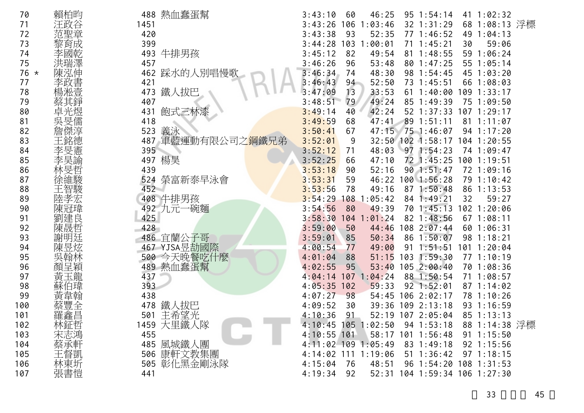| 68 1:08:13 浮標<br>71<br>1451<br>3:43:26<br>106<br>1:03:46<br>32 1:31:29<br>汪政谷<br>420<br>3:43:38<br>77 1:46:52<br>72<br>93<br>52:35<br>49 1:04:13<br>73<br>399<br>3:44:28<br>103<br>1:00:01<br>$71 \t1:45:21$<br>59:06<br>30<br>牛排男孩<br>74<br>493<br>3:45:12<br>82<br>49:54<br>81 1:48:55<br>59 1:06:24<br>75<br>457<br>3:46:26<br>96<br>53:48<br>80 1:47:25<br>55 1:05:14<br>踩水的人別唱慢歌<br>76 *<br>462<br>3:46:34<br>48:30<br>74<br>98 1:54:45<br>45 1:03:20<br>77<br>421<br>52:50<br>73 1:45:51<br>66 1:08:03<br>3:46:43<br>94<br>鐵人拔巴<br>473<br>3:47:09<br>13<br>33:53<br>611:40:00<br>109 1:33:17<br>78<br>49:24<br>79<br>407<br>3:48:51<br>79<br>85 1:49:39<br>75 1:09:50<br>飽式三林漆<br>42:24<br>80<br>3:49:14<br>$52$ 1:37:33<br>431<br>40<br>$107$ 1:29:17<br>418<br>81<br>3:49:59<br>68<br>89 1:51:11<br>47:41<br>81<br>1:11:07<br>義泳<br>523<br>47:15 75 1:46:07<br>82<br>3:50:41<br>67<br>94 1:17:20<br>軍藍運動有限公司之 <mark>鋼鐵兄</mark> 弟<br>487<br>3:52:01<br>83<br>32:50 102 1:58:17<br>9<br>104 1:20:55<br>395<br>3:52:12<br>48:03<br>971:54:23<br>74 1:09:47<br>84<br>71<br>楊昊<br>497<br>85<br>3:52:25<br>72 1:45:25<br>47:10<br>1001:19:51<br>66<br>86<br>439<br>3:53:18<br>52:16<br>901:51:47<br>90<br>72 1:09:16<br>榮富新泰早泳會<br>87<br>3:53:31<br>524<br>59<br>46:22<br>1001:56:28<br>79 1:10:42<br>452<br>49:16<br>87 1:50:48<br>88<br>3:53:56<br>78<br>86 1:13:53<br>陸<br>牛排男孩<br>89<br>408<br>3:54:29<br>108<br>1:05:42<br>84 1:49:21<br>32<br>59:27<br>3:54:56<br>70 1:45:13<br>90<br>492<br>九元一碗麵<br>80<br>49:39<br>102 1:20:06<br>91<br>425<br>3:58:30<br>82 1:48:56<br>104<br>1:01:24<br>671:08:11<br>陳晟哲<br>92<br>428<br>3:59:00<br>108<br>2:07:44<br>50<br>44:46<br>601:06:31<br>486<br>宜蘭公子哥<br>93<br>3:59:01<br>50:34<br>86<br>1:50:07<br>98 1:18:21<br>85<br>467 YJSA昱劼國際<br>4:00:54<br>49:00<br>1:51:51<br>101 1:20:04<br>94<br>77<br>91<br>500 今天晚餐吃什麼<br>95<br>51:15<br>103<br>1:59:30<br>77 1:10:19<br>4:01:04<br>88<br>489 熱血蠢蛋幫<br>2:00:40<br>96<br>4:02:55<br>95<br>53:40<br>105<br>70 1:08:36<br>97<br>437<br>107<br>1:04:24<br>88 1:50:54<br>71 1:08:57<br>4:04:14<br>98<br>393<br>4:05:35<br>$92$ 1:52:01<br>102<br>59:33<br>871:14:02<br>438<br>99<br>4:07:27<br>98<br>54:45<br>106 2:02:17<br>78 1:10:26<br>鐵人拔巴<br>478<br>39:36<br>$109$ $2:13:18$<br>100<br>4:09:52<br>93 1:16:59<br>30<br>羅鑫昌<br>主希望光<br>101<br>501<br>52:19 107 2:05:04<br>85 1:13:13<br>4:10:36<br>91<br>林鉦哲<br>1459 大里鐵人隊<br>88 1:14:38 浮標<br>102<br>$4:10:45$ 105 1:02:50<br>94 1:53:18<br>宋志鴻<br>103<br>$4:10:55$ 101<br>455<br>58:17 101 1:56:48<br>$91 \t1:15:50$<br>蔡承軒<br>485 風城鐵人團<br>4:11:02 109 1:05:49<br>83 1:49:18<br>104<br>$92 \t1:15:56$<br>王督凱<br>506 康軒文教集團<br>$51 \t1:36:42$<br>105<br>4:14:02 111 1:19:06<br>$97 \t1:18:15$<br>林東圻<br>505 彰化黑金剛泳隊<br>96 1:54:20 108 1:31:53<br>106<br>4:15:04<br>48:51<br>76 | 70  | 賴柏昀 | 488 熱血蠢蛋幫 | 46:25<br>41 1:02:32<br>3:43:10<br>$95 \t1:54:14$<br>60 |
|-----------------------------------------------------------------------------------------------------------------------------------------------------------------------------------------------------------------------------------------------------------------------------------------------------------------------------------------------------------------------------------------------------------------------------------------------------------------------------------------------------------------------------------------------------------------------------------------------------------------------------------------------------------------------------------------------------------------------------------------------------------------------------------------------------------------------------------------------------------------------------------------------------------------------------------------------------------------------------------------------------------------------------------------------------------------------------------------------------------------------------------------------------------------------------------------------------------------------------------------------------------------------------------------------------------------------------------------------------------------------------------------------------------------------------------------------------------------------------------------------------------------------------------------------------------------------------------------------------------------------------------------------------------------------------------------------------------------------------------------------------------------------------------------------------------------------------------------------------------------------------------------------------------------------------------------------------------------------------------------------------------------------------------------------------------------------------------------------------------------------------------------------------------------------------------------------------------------------------------------------------------------------------------------------------------------------------------------------------------------------------------------------------------------------------------------------------------------------------------------------------------------------------------------------------------------------------------------------------------------------------------------------------------------------------------------------------------------------------------------------------------------------------------------------------------------------------------|-----|-----|-----------|--------------------------------------------------------|
|                                                                                                                                                                                                                                                                                                                                                                                                                                                                                                                                                                                                                                                                                                                                                                                                                                                                                                                                                                                                                                                                                                                                                                                                                                                                                                                                                                                                                                                                                                                                                                                                                                                                                                                                                                                                                                                                                                                                                                                                                                                                                                                                                                                                                                                                                                                                                                                                                                                                                                                                                                                                                                                                                                                                                                                                                                   |     |     |           |                                                        |
|                                                                                                                                                                                                                                                                                                                                                                                                                                                                                                                                                                                                                                                                                                                                                                                                                                                                                                                                                                                                                                                                                                                                                                                                                                                                                                                                                                                                                                                                                                                                                                                                                                                                                                                                                                                                                                                                                                                                                                                                                                                                                                                                                                                                                                                                                                                                                                                                                                                                                                                                                                                                                                                                                                                                                                                                                                   |     |     |           |                                                        |
|                                                                                                                                                                                                                                                                                                                                                                                                                                                                                                                                                                                                                                                                                                                                                                                                                                                                                                                                                                                                                                                                                                                                                                                                                                                                                                                                                                                                                                                                                                                                                                                                                                                                                                                                                                                                                                                                                                                                                                                                                                                                                                                                                                                                                                                                                                                                                                                                                                                                                                                                                                                                                                                                                                                                                                                                                                   |     |     |           |                                                        |
|                                                                                                                                                                                                                                                                                                                                                                                                                                                                                                                                                                                                                                                                                                                                                                                                                                                                                                                                                                                                                                                                                                                                                                                                                                                                                                                                                                                                                                                                                                                                                                                                                                                                                                                                                                                                                                                                                                                                                                                                                                                                                                                                                                                                                                                                                                                                                                                                                                                                                                                                                                                                                                                                                                                                                                                                                                   |     |     |           |                                                        |
|                                                                                                                                                                                                                                                                                                                                                                                                                                                                                                                                                                                                                                                                                                                                                                                                                                                                                                                                                                                                                                                                                                                                                                                                                                                                                                                                                                                                                                                                                                                                                                                                                                                                                                                                                                                                                                                                                                                                                                                                                                                                                                                                                                                                                                                                                                                                                                                                                                                                                                                                                                                                                                                                                                                                                                                                                                   |     |     |           |                                                        |
|                                                                                                                                                                                                                                                                                                                                                                                                                                                                                                                                                                                                                                                                                                                                                                                                                                                                                                                                                                                                                                                                                                                                                                                                                                                                                                                                                                                                                                                                                                                                                                                                                                                                                                                                                                                                                                                                                                                                                                                                                                                                                                                                                                                                                                                                                                                                                                                                                                                                                                                                                                                                                                                                                                                                                                                                                                   |     |     |           |                                                        |
|                                                                                                                                                                                                                                                                                                                                                                                                                                                                                                                                                                                                                                                                                                                                                                                                                                                                                                                                                                                                                                                                                                                                                                                                                                                                                                                                                                                                                                                                                                                                                                                                                                                                                                                                                                                                                                                                                                                                                                                                                                                                                                                                                                                                                                                                                                                                                                                                                                                                                                                                                                                                                                                                                                                                                                                                                                   |     |     |           |                                                        |
|                                                                                                                                                                                                                                                                                                                                                                                                                                                                                                                                                                                                                                                                                                                                                                                                                                                                                                                                                                                                                                                                                                                                                                                                                                                                                                                                                                                                                                                                                                                                                                                                                                                                                                                                                                                                                                                                                                                                                                                                                                                                                                                                                                                                                                                                                                                                                                                                                                                                                                                                                                                                                                                                                                                                                                                                                                   |     |     |           |                                                        |
|                                                                                                                                                                                                                                                                                                                                                                                                                                                                                                                                                                                                                                                                                                                                                                                                                                                                                                                                                                                                                                                                                                                                                                                                                                                                                                                                                                                                                                                                                                                                                                                                                                                                                                                                                                                                                                                                                                                                                                                                                                                                                                                                                                                                                                                                                                                                                                                                                                                                                                                                                                                                                                                                                                                                                                                                                                   |     |     |           |                                                        |
|                                                                                                                                                                                                                                                                                                                                                                                                                                                                                                                                                                                                                                                                                                                                                                                                                                                                                                                                                                                                                                                                                                                                                                                                                                                                                                                                                                                                                                                                                                                                                                                                                                                                                                                                                                                                                                                                                                                                                                                                                                                                                                                                                                                                                                                                                                                                                                                                                                                                                                                                                                                                                                                                                                                                                                                                                                   |     |     |           |                                                        |
|                                                                                                                                                                                                                                                                                                                                                                                                                                                                                                                                                                                                                                                                                                                                                                                                                                                                                                                                                                                                                                                                                                                                                                                                                                                                                                                                                                                                                                                                                                                                                                                                                                                                                                                                                                                                                                                                                                                                                                                                                                                                                                                                                                                                                                                                                                                                                                                                                                                                                                                                                                                                                                                                                                                                                                                                                                   |     |     |           |                                                        |
|                                                                                                                                                                                                                                                                                                                                                                                                                                                                                                                                                                                                                                                                                                                                                                                                                                                                                                                                                                                                                                                                                                                                                                                                                                                                                                                                                                                                                                                                                                                                                                                                                                                                                                                                                                                                                                                                                                                                                                                                                                                                                                                                                                                                                                                                                                                                                                                                                                                                                                                                                                                                                                                                                                                                                                                                                                   |     |     |           |                                                        |
|                                                                                                                                                                                                                                                                                                                                                                                                                                                                                                                                                                                                                                                                                                                                                                                                                                                                                                                                                                                                                                                                                                                                                                                                                                                                                                                                                                                                                                                                                                                                                                                                                                                                                                                                                                                                                                                                                                                                                                                                                                                                                                                                                                                                                                                                                                                                                                                                                                                                                                                                                                                                                                                                                                                                                                                                                                   |     |     |           |                                                        |
|                                                                                                                                                                                                                                                                                                                                                                                                                                                                                                                                                                                                                                                                                                                                                                                                                                                                                                                                                                                                                                                                                                                                                                                                                                                                                                                                                                                                                                                                                                                                                                                                                                                                                                                                                                                                                                                                                                                                                                                                                                                                                                                                                                                                                                                                                                                                                                                                                                                                                                                                                                                                                                                                                                                                                                                                                                   |     |     |           |                                                        |
|                                                                                                                                                                                                                                                                                                                                                                                                                                                                                                                                                                                                                                                                                                                                                                                                                                                                                                                                                                                                                                                                                                                                                                                                                                                                                                                                                                                                                                                                                                                                                                                                                                                                                                                                                                                                                                                                                                                                                                                                                                                                                                                                                                                                                                                                                                                                                                                                                                                                                                                                                                                                                                                                                                                                                                                                                                   |     |     |           |                                                        |
|                                                                                                                                                                                                                                                                                                                                                                                                                                                                                                                                                                                                                                                                                                                                                                                                                                                                                                                                                                                                                                                                                                                                                                                                                                                                                                                                                                                                                                                                                                                                                                                                                                                                                                                                                                                                                                                                                                                                                                                                                                                                                                                                                                                                                                                                                                                                                                                                                                                                                                                                                                                                                                                                                                                                                                                                                                   |     |     |           |                                                        |
|                                                                                                                                                                                                                                                                                                                                                                                                                                                                                                                                                                                                                                                                                                                                                                                                                                                                                                                                                                                                                                                                                                                                                                                                                                                                                                                                                                                                                                                                                                                                                                                                                                                                                                                                                                                                                                                                                                                                                                                                                                                                                                                                                                                                                                                                                                                                                                                                                                                                                                                                                                                                                                                                                                                                                                                                                                   |     |     |           |                                                        |
|                                                                                                                                                                                                                                                                                                                                                                                                                                                                                                                                                                                                                                                                                                                                                                                                                                                                                                                                                                                                                                                                                                                                                                                                                                                                                                                                                                                                                                                                                                                                                                                                                                                                                                                                                                                                                                                                                                                                                                                                                                                                                                                                                                                                                                                                                                                                                                                                                                                                                                                                                                                                                                                                                                                                                                                                                                   |     |     |           |                                                        |
|                                                                                                                                                                                                                                                                                                                                                                                                                                                                                                                                                                                                                                                                                                                                                                                                                                                                                                                                                                                                                                                                                                                                                                                                                                                                                                                                                                                                                                                                                                                                                                                                                                                                                                                                                                                                                                                                                                                                                                                                                                                                                                                                                                                                                                                                                                                                                                                                                                                                                                                                                                                                                                                                                                                                                                                                                                   |     |     |           |                                                        |
|                                                                                                                                                                                                                                                                                                                                                                                                                                                                                                                                                                                                                                                                                                                                                                                                                                                                                                                                                                                                                                                                                                                                                                                                                                                                                                                                                                                                                                                                                                                                                                                                                                                                                                                                                                                                                                                                                                                                                                                                                                                                                                                                                                                                                                                                                                                                                                                                                                                                                                                                                                                                                                                                                                                                                                                                                                   |     |     |           |                                                        |
|                                                                                                                                                                                                                                                                                                                                                                                                                                                                                                                                                                                                                                                                                                                                                                                                                                                                                                                                                                                                                                                                                                                                                                                                                                                                                                                                                                                                                                                                                                                                                                                                                                                                                                                                                                                                                                                                                                                                                                                                                                                                                                                                                                                                                                                                                                                                                                                                                                                                                                                                                                                                                                                                                                                                                                                                                                   |     |     |           |                                                        |
|                                                                                                                                                                                                                                                                                                                                                                                                                                                                                                                                                                                                                                                                                                                                                                                                                                                                                                                                                                                                                                                                                                                                                                                                                                                                                                                                                                                                                                                                                                                                                                                                                                                                                                                                                                                                                                                                                                                                                                                                                                                                                                                                                                                                                                                                                                                                                                                                                                                                                                                                                                                                                                                                                                                                                                                                                                   |     |     |           |                                                        |
|                                                                                                                                                                                                                                                                                                                                                                                                                                                                                                                                                                                                                                                                                                                                                                                                                                                                                                                                                                                                                                                                                                                                                                                                                                                                                                                                                                                                                                                                                                                                                                                                                                                                                                                                                                                                                                                                                                                                                                                                                                                                                                                                                                                                                                                                                                                                                                                                                                                                                                                                                                                                                                                                                                                                                                                                                                   |     |     |           |                                                        |
|                                                                                                                                                                                                                                                                                                                                                                                                                                                                                                                                                                                                                                                                                                                                                                                                                                                                                                                                                                                                                                                                                                                                                                                                                                                                                                                                                                                                                                                                                                                                                                                                                                                                                                                                                                                                                                                                                                                                                                                                                                                                                                                                                                                                                                                                                                                                                                                                                                                                                                                                                                                                                                                                                                                                                                                                                                   |     |     |           |                                                        |
|                                                                                                                                                                                                                                                                                                                                                                                                                                                                                                                                                                                                                                                                                                                                                                                                                                                                                                                                                                                                                                                                                                                                                                                                                                                                                                                                                                                                                                                                                                                                                                                                                                                                                                                                                                                                                                                                                                                                                                                                                                                                                                                                                                                                                                                                                                                                                                                                                                                                                                                                                                                                                                                                                                                                                                                                                                   |     |     |           |                                                        |
|                                                                                                                                                                                                                                                                                                                                                                                                                                                                                                                                                                                                                                                                                                                                                                                                                                                                                                                                                                                                                                                                                                                                                                                                                                                                                                                                                                                                                                                                                                                                                                                                                                                                                                                                                                                                                                                                                                                                                                                                                                                                                                                                                                                                                                                                                                                                                                                                                                                                                                                                                                                                                                                                                                                                                                                                                                   |     |     |           |                                                        |
|                                                                                                                                                                                                                                                                                                                                                                                                                                                                                                                                                                                                                                                                                                                                                                                                                                                                                                                                                                                                                                                                                                                                                                                                                                                                                                                                                                                                                                                                                                                                                                                                                                                                                                                                                                                                                                                                                                                                                                                                                                                                                                                                                                                                                                                                                                                                                                                                                                                                                                                                                                                                                                                                                                                                                                                                                                   |     |     |           |                                                        |
|                                                                                                                                                                                                                                                                                                                                                                                                                                                                                                                                                                                                                                                                                                                                                                                                                                                                                                                                                                                                                                                                                                                                                                                                                                                                                                                                                                                                                                                                                                                                                                                                                                                                                                                                                                                                                                                                                                                                                                                                                                                                                                                                                                                                                                                                                                                                                                                                                                                                                                                                                                                                                                                                                                                                                                                                                                   |     |     |           |                                                        |
|                                                                                                                                                                                                                                                                                                                                                                                                                                                                                                                                                                                                                                                                                                                                                                                                                                                                                                                                                                                                                                                                                                                                                                                                                                                                                                                                                                                                                                                                                                                                                                                                                                                                                                                                                                                                                                                                                                                                                                                                                                                                                                                                                                                                                                                                                                                                                                                                                                                                                                                                                                                                                                                                                                                                                                                                                                   |     |     |           |                                                        |
|                                                                                                                                                                                                                                                                                                                                                                                                                                                                                                                                                                                                                                                                                                                                                                                                                                                                                                                                                                                                                                                                                                                                                                                                                                                                                                                                                                                                                                                                                                                                                                                                                                                                                                                                                                                                                                                                                                                                                                                                                                                                                                                                                                                                                                                                                                                                                                                                                                                                                                                                                                                                                                                                                                                                                                                                                                   |     |     |           |                                                        |
|                                                                                                                                                                                                                                                                                                                                                                                                                                                                                                                                                                                                                                                                                                                                                                                                                                                                                                                                                                                                                                                                                                                                                                                                                                                                                                                                                                                                                                                                                                                                                                                                                                                                                                                                                                                                                                                                                                                                                                                                                                                                                                                                                                                                                                                                                                                                                                                                                                                                                                                                                                                                                                                                                                                                                                                                                                   |     |     |           |                                                        |
|                                                                                                                                                                                                                                                                                                                                                                                                                                                                                                                                                                                                                                                                                                                                                                                                                                                                                                                                                                                                                                                                                                                                                                                                                                                                                                                                                                                                                                                                                                                                                                                                                                                                                                                                                                                                                                                                                                                                                                                                                                                                                                                                                                                                                                                                                                                                                                                                                                                                                                                                                                                                                                                                                                                                                                                                                                   |     |     |           |                                                        |
|                                                                                                                                                                                                                                                                                                                                                                                                                                                                                                                                                                                                                                                                                                                                                                                                                                                                                                                                                                                                                                                                                                                                                                                                                                                                                                                                                                                                                                                                                                                                                                                                                                                                                                                                                                                                                                                                                                                                                                                                                                                                                                                                                                                                                                                                                                                                                                                                                                                                                                                                                                                                                                                                                                                                                                                                                                   |     |     |           |                                                        |
|                                                                                                                                                                                                                                                                                                                                                                                                                                                                                                                                                                                                                                                                                                                                                                                                                                                                                                                                                                                                                                                                                                                                                                                                                                                                                                                                                                                                                                                                                                                                                                                                                                                                                                                                                                                                                                                                                                                                                                                                                                                                                                                                                                                                                                                                                                                                                                                                                                                                                                                                                                                                                                                                                                                                                                                                                                   |     |     |           |                                                        |
|                                                                                                                                                                                                                                                                                                                                                                                                                                                                                                                                                                                                                                                                                                                                                                                                                                                                                                                                                                                                                                                                                                                                                                                                                                                                                                                                                                                                                                                                                                                                                                                                                                                                                                                                                                                                                                                                                                                                                                                                                                                                                                                                                                                                                                                                                                                                                                                                                                                                                                                                                                                                                                                                                                                                                                                                                                   |     |     |           |                                                        |
|                                                                                                                                                                                                                                                                                                                                                                                                                                                                                                                                                                                                                                                                                                                                                                                                                                                                                                                                                                                                                                                                                                                                                                                                                                                                                                                                                                                                                                                                                                                                                                                                                                                                                                                                                                                                                                                                                                                                                                                                                                                                                                                                                                                                                                                                                                                                                                                                                                                                                                                                                                                                                                                                                                                                                                                                                                   |     |     |           |                                                        |
|                                                                                                                                                                                                                                                                                                                                                                                                                                                                                                                                                                                                                                                                                                                                                                                                                                                                                                                                                                                                                                                                                                                                                                                                                                                                                                                                                                                                                                                                                                                                                                                                                                                                                                                                                                                                                                                                                                                                                                                                                                                                                                                                                                                                                                                                                                                                                                                                                                                                                                                                                                                                                                                                                                                                                                                                                                   | 107 | 張書愷 | 441       | 4:19:34<br>52:31 104 1:59:34 106 1:27:30<br>92         |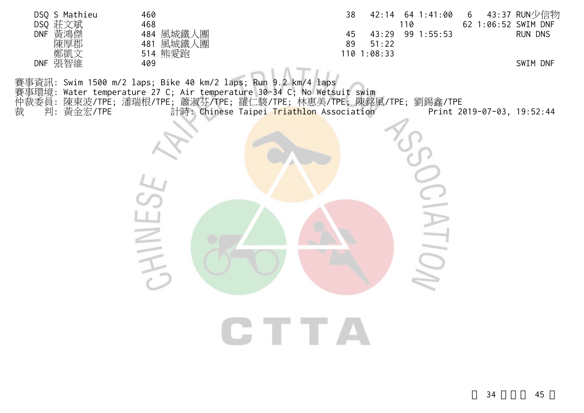| DSQ S Mathieu<br>DSQ 莊文斌<br>DNF 黃鴻傑<br>陳厚郡<br>鄭凱文 | 460<br>468<br>484 風城鐵人團<br>481 風城鐵人團                                                                                                                                                                            | 38<br>45<br>89<br>51:22<br>110 1:08:33   | 42:14 64 1:41:00<br>110<br>43:29 99 1:55:53 | 6<br>62 1:06:52 SWIM DNF   | 43:37 RUN少信物<br>RUN DNS |
|---------------------------------------------------|-----------------------------------------------------------------------------------------------------------------------------------------------------------------------------------------------------------------|------------------------------------------|---------------------------------------------|----------------------------|-------------------------|
| DNF 張智維                                           | 514 熊愛跑<br>409                                                                                                                                                                                                  |                                          |                                             |                            | SWIM DNF                |
| 裁<br>判: 黃金宏/TPE                                   | 賽事資訊: Swim 1500 m/2 laps; Bike 40 km/2 laps; Run 9.2 km/4 laps<br>賽事環境: Water temperature 27 C; Air temperature 30-34 C; No Wetsuit swim<br>仲裁委員: 陳東波/TPE; 潘瑞根/TPE; 蕭淑芬/TPE; 羅仁駿/TPE; 林惠美/TPE; 陳銘風/TPE; 劉錫鑫/TPE | 計時: Chinese Taipei Triathlon Association |                                             | Print 2019-07-03, 19:52:44 |                         |
|                                                   |                                                                                                                                                                                                                 |                                          |                                             |                            |                         |
|                                                   |                                                                                                                                                                                                                 |                                          |                                             |                            |                         |
|                                                   |                                                                                                                                                                                                                 |                                          |                                             |                            |                         |
|                                                   |                                                                                                                                                                                                                 |                                          |                                             |                            |                         |
|                                                   |                                                                                                                                                                                                                 | CTTA                                     |                                             |                            |                         |
|                                                   |                                                                                                                                                                                                                 |                                          |                                             |                            |                         |
|                                                   |                                                                                                                                                                                                                 |                                          |                                             |                            |                         |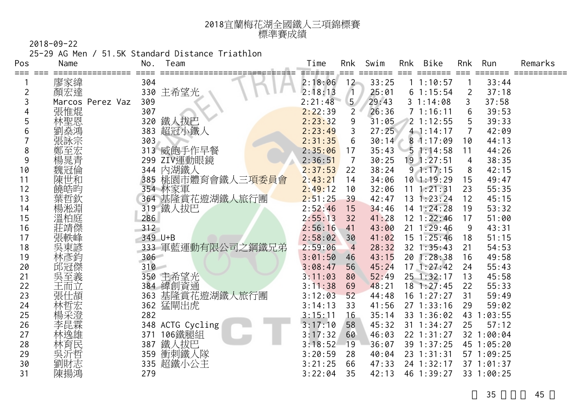| 2018宜蘭梅花湖全國鐵人三項錦標賽 |
|--------------------|
| 標準賽成績              |

25-29 AG Men / 51.5K Standard Distance Triathlon

| Pos | Name             | No.     | Team              | Time    | Rnk            | Swim  | Rnk | Bike           | Rnk            | Run        | Remarks |
|-----|------------------|---------|-------------------|---------|----------------|-------|-----|----------------|----------------|------------|---------|
| === | 廖家緯              | 304     |                   | 2:18:06 | 12             | 33:25 |     | 11:10:57       |                | 33:44      |         |
| 2   | 顏宏達              |         | 330 主希望光          | 2:18:13 | $\sqrt{1}$     | 25:01 |     | 61:15:54       | 2              | 37:18      |         |
| 3   | Marcos Perez Vaz | 309     |                   | 2:21:48 | 5 <sub>1</sub> | 29:43 |     | 31:14:08       | 3              | 37:58      |         |
|     | 張惟焜              | 307     |                   | 2:22:39 | $\overline{2}$ | 26:36 |     | 71:16:11       | 6              | 39:53      |         |
| 5   | 林聖恩              | 320     | 鐵人拔巴              | 2:23:32 | 9              | 31:05 |     | 21:12:55       | 5              | 39:33      |         |
| 6   | 劉燊鴻              | 383     | 超冠小鐵人             | 2:23:49 | 3              | 27:25 |     | $4 - 1:14:17$  | 7              | 42:09      |         |
|     | 張詠宗              | 303     |                   | 2:31:35 | 6              | 30:14 |     | 81:17:09       | 10             | 44:13      |         |
| 8   | 鄭至宏              |         | 313 威飽手作早餐        | 2:35:06 | 17             | 35:43 |     | 51:14:58       | 11             | 44:26      |         |
| 9   | 楊晁青              |         | 299 ZIV運動眼鏡       | 2:36:51 | $\overline{7}$ | 30:25 |     | 19 1:27:51     | $\overline{4}$ | 38:35      |         |
| 10  | 魏冠倫              | 344     | 內湖鐵人              | 2:37:53 | 22             | 38:24 |     | 91:17:15       | 8              | 42:15      |         |
| 11  | 陳世和              | 385     | 桃園市體育會鐵人三項委員會     | 2:43:21 | 14             | 34:06 |     | $10$ 1:19:29   | 15             | 49:47      |         |
| 12  | 饒皓昀              |         | 354 林家軍           | 2:49:12 | 10             | 32:06 | 11  | 1:21:31        | 23             | 55:35      |         |
| 13  | 葉哲欽              |         | 364 基隆賞花遊湖鐵人旅行團   | 2:51:25 | 39             | 42:47 |     | $13 \t1:23:24$ | 12             | 45:15      |         |
| 14  | 楊淞淵              |         | 319 鐵人拔巴          | 2:52:46 | 15             | 34:46 |     | $14$ 1:24:28   | 19             | 53:32      |         |
| 15  | 溫柏庭              | 286     |                   | 2:55:13 | 32             | 41:28 |     | $12$ $1:22:46$ | 17             | 51:00      |         |
| 16  | 莊靖傑              | 312     |                   | 2:56:16 | 41             | 43:00 |     | $21 \t1:29:46$ | 9              | 43:31      |         |
| 17  | 張軼峰              | 349 U+B |                   | 2:58:02 | 30             | 41:02 |     | $15 \t1:25:46$ | 18             | 51:15      |         |
| 18  | 吳東諺              |         | 333 軍藍運動有限公司之鋼鐵兄弟 | 2:59:06 | $\overline{4}$ | 28:32 |     | 32 1:35:43     | 21             | 54:53      |         |
| 19  | 林彥鈞              | 306     |                   | 3:01:50 | 46             | 43:15 |     | 20 1:28:38     | 16             | 49:58      |         |
| 20  | 邱冠傑              | 310     |                   | 3:08:47 | 56             | 45:24 |     | 171:27:42      | 24             | 55:43      |         |
| 21  | 吳至義              | 350     | 主希望光              | 3:11:03 | 80             | 52:49 |     | 25 1:32:17     | 13             | 45:58      |         |
| 22  | 王而立              |         | 384 緯創資通          | 3:11:38 | 69             | 48:21 |     | $18$ 1:27:45   | 22             | 55:33      |         |
| 23  | 張仕頡              | 363     | 基隆賞花遊湖鐵人旅行團       | 3:12:03 | 52             | 44:48 |     | $16$ 1:27:27   | 31             | 59:49      |         |
| 24  | 林哲宏              |         | 362 猛閘出虎          | 3:14:13 | 33             | 41:56 |     | 271:33:16      | 29             | 59:02      |         |
| 25  | 楊采澄              | 282     |                   | 3:15:11 | 16             | 35:14 |     | 33 1:36:02     | 43             | 1:03:55    |         |
| 26  | 李昆霖              |         | 348 ACTG Cycling  | 3:17:10 | 58             | 45:32 |     | $31 \t1:34:27$ | 25             | 57:12      |         |
| 27  | 林逸雄              | 371     | 106鐵腿組            | 3:17:32 | 60             | 46:03 |     | 22 1:31:27     |                | 32 1:00:04 |         |
| 28  | 林育民              | 387     | 鐵人拔巴              | 3:18:52 | 19             | 36:07 |     | 39 1:37:25     |                | 45 1:05:20 |         |
| 29  | 吳沂哲              | 359     | 衝刺鐵人隊             | 3:20:59 | 28             | 40:04 |     | 23 1:31:31     |                | 57 1:09:25 |         |
| 30  | 劉財志              | 335     | 超鐵小公主             | 3:21:25 | 66             | 47:33 |     | 24 1:32:17     |                | 37 1:01:37 |         |
| 31  | 陳揚鴻              | 279     |                   | 3:22:04 | 35             | 42:13 |     | 46 1:39:27     |                | 33 1:00:25 |         |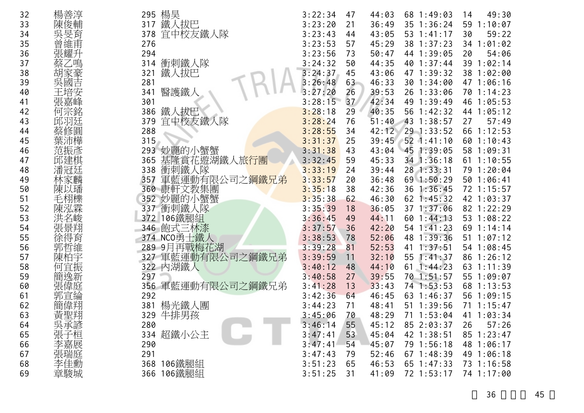| 32 | 楊善淳        | 295 楊昊                             | 3:22:34 | 47 | 44:03 | 68 1:49:03      | 49:30<br>14  |
|----|------------|------------------------------------|---------|----|-------|-----------------|--------------|
| 33 | 陳俊輔        | 鐵人拔巴<br>317                        | 3:23:20 | 21 | 36:49 | 35 1:36:24      | 59 1:10:07   |
| 34 | 吳旻育        | 宜中校友鐵人隊<br>378                     | 3:23:43 | 44 | 43:05 | 53 1:41:17      | 30<br>59:22  |
| 35 | 曾維甫        | 276                                | 3:23:53 | 57 | 45:29 | 38 1:37:23      | 34 1:01:02   |
| 36 | 張耀升        | 294                                | 3:23:56 | 73 | 50:47 | 44 1:39:05      | 54:06<br>20  |
| 37 | 蔡乙鳴        | 衝刺鐵人隊<br>314                       | 3:24:32 | 50 | 44:35 | 40 1:37:44      | 39 1:02:14   |
| 38 | 胡家豪        | 鐵人拔巴<br>321                        | 3:24:37 | 45 | 43:06 | 47 1:39:32      | 38 1:02:00   |
| 39 | 吳國吉        | 281                                | 3:26:48 | 63 | 46:33 | 30 1:34:00      | 47 1:06:16   |
| 40 | 王培安        | 醫護鐵人<br>341                        | 3:27:20 | 26 | 39:53 | 26 1:33:06      | 70 1:14:23   |
| 41 | 張嘉峰        | 301                                | 3:28:15 | 37 | 42:34 | 49 1:39:49      | 46 1:05:53   |
| 42 | 何宗銘        | 鐵人拔巴<br>386                        | 3:28:18 | 29 | 40:35 | 56 1:42:32      | 44 1:05:12   |
| 43 | 邱羽廷        | 宜中校友鐵人隊<br>379                     | 3:28:24 | 76 | 51:40 | 43 1:38:57      | 57:49<br>27  |
| 44 | 蔡修圓        | 288                                | 3:28:55 | 34 | 42:12 | 29 1:33:52      | 66 1:12:53   |
| 45 | 葉沛樺        | 315                                | 3:31:37 | 25 | 39:45 | $852$ 1:41:10   | 60 1:10:43   |
| 46 | 范振彥        | 293<br>妙麗的小蟹蟹                      | 3:31:38 | 43 | 43:04 | 45 1:39:05      | 58 1:09:31   |
| 47 | 邱建棋        | 基隆賞花遊湖鐵人旅行團<br>365                 | 3:32:45 | 59 | 45:33 | 34 1:36:18      | $61$ 1:10:55 |
| 48 | 潘冠廷        | 衝刺鐵人隊<br>338                       | 3:33:19 | 24 | 39:44 | 28 1:33:31      | 79 1:20:04   |
| 49 | 林家麟        | 軍藍運動有限公司之 <mark>鋼鐵兄弟</mark><br>357 | 3:33:57 | 20 | 36:48 | 69 1:50:29      | 50 1:06:41   |
| 50 | 陳以璠        | 康軒文教集團<br>360                      | 3:35:18 | 38 | 42:36 | 1:36:45<br>36   | 72 1:15:57   |
| 51 | 毛栩櫟        | 妙麗的小蟹蟹<br>352                      | 3:35:38 | 62 | 46:30 | $62$ 1:45:32    | 42 1:03:37   |
| 52 | 陳泓霖        | 衝刺鐵人隊<br>337                       | 3:35:39 | 18 | 36:05 | 37 1:37:06      | 82 1:22:29   |
| 53 |            | 372 106鐵腿組                         | 3:36:45 | 49 | 44:11 | 60 1:44:13      | 53 1:08:22   |
| 54 | 張景翔        | 飽式三林漆<br>346                       | 3:37:57 | 36 | 42:20 | 54 1:41:23      | 69 1:14:14   |
| 55 | 徐得育        | 374 NCO勇士鐵人                        | 3:38:53 | 78 | 52:06 | 48 1:39:36      | 51 1:07:12   |
| 56 | 郭哲維        | 9月再戰梅花湖<br>289                     | 3:39:28 | 81 | 52:53 | 1:37:51<br>41   | 54 1:08:45   |
| 57 | 陳柏宇        | 327 軍藍運動有限公司之鋼鐵兄弟                  | 3:39:59 | 11 | 32:10 | 1:41:37<br>55   | 86 1:26:12   |
| 58 | 何宜振        | 322 内湖鐵人                           | 3:40:12 | 48 | 44:10 | $61 \; 1:44:23$ | 63 1:11:39   |
| 59 | 簡逸新        | 297                                | 3:40:58 | 27 | 39:55 | 70 1:51:57      | 55 1:09:07   |
| 60 | 張偉庭        | 356 軍藍運動有限公司之鋼鐵兄弟                  | 3:41:28 | 13 | 33:43 | 74 1:53:53      | 68 1:13:53   |
| 61 | 郭宣綸        | 292                                | 3:42:36 | 64 | 46:45 | 63 1:46:37      | 56 1:09:15   |
| 62 | 簡偉翔        | 楊光鐵人團<br>381                       | 3:44:23 | 71 | 48:41 | 1:39:56<br>51   | 71 1:15:47   |
| 63 | 黃聖翔        | 牛排男孩<br>329                        | 3:45:06 | 70 | 48:29 | 71 1:53:04      | 41 1:03:34   |
| 64 | 吳承諺<br>張子桓 | 280                                | 3:46:14 | 55 | 45:12 | 85 2:03:37      | 57:26<br>26  |
| 65 |            | 334 超鐵小公主                          | 3:47:41 | 53 | 45:04 | 42 1:38:51      | 85 1:23:47   |
| 66 | 李嘉展        | 290                                | 3:47:41 | 54 | 45:07 | 79 1:56:18      | 48 1:06:17   |
| 67 |            | 291                                | 3:47:43 | 79 | 52:46 | $67$ 1:48:39    | 49 1:06:18   |
| 68 | 李佳勳        | 106鐵腿組<br>368                      | 3:51:23 | 65 | 46:53 | 65 1:47:33      | 73 1:16:58   |
| 69 | 章駿城        | 106鐵腿組<br>366                      | 3:51:25 | 31 | 41:09 | 72 1:53:17      | 74 1:17:00   |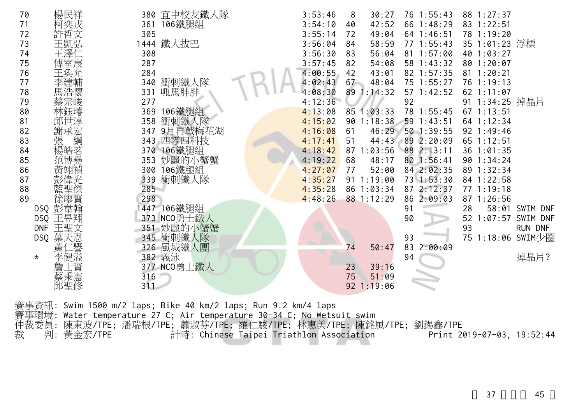| 72<br>73<br>74<br>75<br>76<br>77<br>78<br>79<br>80<br>81<br>82<br>83<br>84<br>85<br>86<br>87<br>88 | 許哲文<br>王凱弘<br>王澤(<br>傅室宸<br>馬浩懷<br>蔡宗峻<br>林鈺璿<br>邱世淳<br>謝承宏<br>張<br>綱<br>楊皓茗<br>范博堯 | 305<br>308<br>287<br>284<br>340<br>331<br>277<br>369<br>358<br>347<br>353<br>300<br>339<br>285 | 1444 鐵人拔巴<br>衝刺鐵人隊<br>呱馬胖胖<br>106鐵腿組<br>衝刺鐵人隊<br>9月再戰梅花湖<br>343 四零四科技<br>370 106鐵腿組<br>妙麗的小蟹蟹<br>106鐵腿組<br>衝刺鐵人隊 | 3:55:14<br>3:56:04<br>3:56:30<br>3:57:45<br>4:00:55<br>4:02:43<br>4:08:30<br>4:12:36<br>4:13:08<br>4:15:02<br>4:16:08<br>4:17:41<br>4:18:42<br>4:19:22<br>4:27:07<br>4:35:27<br>4:35:28 | 72<br>84<br>83<br>82<br>42<br>67<br>61<br>51<br>87<br>68<br>77 | 49:04<br>58:59<br>56:04<br>54:08<br>43:01<br>48:04<br>89 1:14:32<br>85 1:03:33<br>90 1:18:38<br>46:29<br>44:43<br>1:03:56<br>48:17<br>52:00<br>911:19:00<br>86 1:03:34 | 64 1:46:51<br>77 1:55:43<br>81 1:57:00<br>58 1:43:32<br>82 1:57:35<br>75 1:55:27<br>57 1:42:52<br>92<br>78 1:55:45<br>59 1:43:51<br>50 1:39:55<br>89 2:20:09<br>88 2:13:11<br>80 1:56:41<br>84 2:02:35<br>73 1:53:30<br>87 2:12:37 |    | 78 1:19:20<br>35 1:01:23 浮標<br>40 1:03:27<br>80 1:20:07<br>81 1:20:21<br>76 1:19:13<br>62 1:11:07<br>91 1:34:25 掉晶片<br>67 1:13:51<br>64 1:12:34<br>92 1:49:46<br>65 1:12:51<br>36 1:01:35<br>90 1:34:24<br>89 1:32:34<br>84 1:22:58<br>77 1:19:18 |                                     |
|----------------------------------------------------------------------------------------------------|-------------------------------------------------------------------------------------|------------------------------------------------------------------------------------------------|------------------------------------------------------------------------------------------------------------------|-----------------------------------------------------------------------------------------------------------------------------------------------------------------------------------------|----------------------------------------------------------------|------------------------------------------------------------------------------------------------------------------------------------------------------------------------|------------------------------------------------------------------------------------------------------------------------------------------------------------------------------------------------------------------------------------|----|---------------------------------------------------------------------------------------------------------------------------------------------------------------------------------------------------------------------------------------------------|-------------------------------------|
|                                                                                                    |                                                                                     |                                                                                                |                                                                                                                  |                                                                                                                                                                                         |                                                                |                                                                                                                                                                        |                                                                                                                                                                                                                                    |    |                                                                                                                                                                                                                                                   |                                     |
|                                                                                                    |                                                                                     |                                                                                                |                                                                                                                  |                                                                                                                                                                                         |                                                                |                                                                                                                                                                        |                                                                                                                                                                                                                                    |    |                                                                                                                                                                                                                                                   |                                     |
|                                                                                                    |                                                                                     |                                                                                                |                                                                                                                  |                                                                                                                                                                                         |                                                                |                                                                                                                                                                        |                                                                                                                                                                                                                                    |    |                                                                                                                                                                                                                                                   |                                     |
|                                                                                                    |                                                                                     |                                                                                                |                                                                                                                  |                                                                                                                                                                                         |                                                                |                                                                                                                                                                        |                                                                                                                                                                                                                                    |    |                                                                                                                                                                                                                                                   |                                     |
|                                                                                                    |                                                                                     |                                                                                                |                                                                                                                  |                                                                                                                                                                                         |                                                                |                                                                                                                                                                        |                                                                                                                                                                                                                                    |    |                                                                                                                                                                                                                                                   |                                     |
|                                                                                                    |                                                                                     |                                                                                                |                                                                                                                  |                                                                                                                                                                                         |                                                                |                                                                                                                                                                        |                                                                                                                                                                                                                                    |    |                                                                                                                                                                                                                                                   |                                     |
|                                                                                                    |                                                                                     |                                                                                                |                                                                                                                  |                                                                                                                                                                                         |                                                                |                                                                                                                                                                        |                                                                                                                                                                                                                                    |    |                                                                                                                                                                                                                                                   |                                     |
|                                                                                                    |                                                                                     |                                                                                                |                                                                                                                  |                                                                                                                                                                                         |                                                                |                                                                                                                                                                        |                                                                                                                                                                                                                                    |    |                                                                                                                                                                                                                                                   |                                     |
|                                                                                                    |                                                                                     |                                                                                                |                                                                                                                  |                                                                                                                                                                                         |                                                                |                                                                                                                                                                        |                                                                                                                                                                                                                                    |    |                                                                                                                                                                                                                                                   |                                     |
|                                                                                                    |                                                                                     |                                                                                                |                                                                                                                  |                                                                                                                                                                                         |                                                                |                                                                                                                                                                        |                                                                                                                                                                                                                                    |    |                                                                                                                                                                                                                                                   |                                     |
| 89                                                                                                 | 徐廖賢                                                                                 | 298                                                                                            |                                                                                                                  | 4:48:26                                                                                                                                                                                 |                                                                | 88 1:12:29                                                                                                                                                             | 86 2:09:03                                                                                                                                                                                                                         |    | 87 1:26:56                                                                                                                                                                                                                                        |                                     |
|                                                                                                    | DSQ 彭韋翰                                                                             |                                                                                                | 447 106鐵腿組                                                                                                       |                                                                                                                                                                                         |                                                                |                                                                                                                                                                        | 91                                                                                                                                                                                                                                 | 28 |                                                                                                                                                                                                                                                   | 58:01 SWIM DNF                      |
|                                                                                                    | 王昱翔<br><b>DSQ</b>                                                                   |                                                                                                | 373 NCO勇士鐵人                                                                                                      |                                                                                                                                                                                         |                                                                |                                                                                                                                                                        | 90                                                                                                                                                                                                                                 | 52 | 1:07:57                                                                                                                                                                                                                                           | SWIM DNF                            |
|                                                                                                    | 王聖文<br><b>DNF</b><br>葉天恩                                                            | 351                                                                                            | 妙麗的小蟹蟹<br>345 衝刺鐵人隊                                                                                              |                                                                                                                                                                                         |                                                                |                                                                                                                                                                        | 93                                                                                                                                                                                                                                 | 93 |                                                                                                                                                                                                                                                   | <b>RUN DNF</b><br>75 1:18:06 SWIM少圈 |
|                                                                                                    | <b>DSQ</b>                                                                          |                                                                                                | 326 風城鐵人團                                                                                                        |                                                                                                                                                                                         | 74                                                             | 50:47                                                                                                                                                                  | 83<br>2:00:09                                                                                                                                                                                                                      |    |                                                                                                                                                                                                                                                   |                                     |
| $\star$                                                                                            | ਥ਼                                                                                  | 382 義泳                                                                                         |                                                                                                                  |                                                                                                                                                                                         |                                                                |                                                                                                                                                                        | 94                                                                                                                                                                                                                                 |    |                                                                                                                                                                                                                                                   | 掉晶片?                                |
|                                                                                                    |                                                                                     |                                                                                                | 377 NCO勇士鐵人                                                                                                      |                                                                                                                                                                                         | 23                                                             | 39:16                                                                                                                                                                  |                                                                                                                                                                                                                                    |    |                                                                                                                                                                                                                                                   |                                     |
|                                                                                                    | 蔡秉憲                                                                                 | 316                                                                                            |                                                                                                                  |                                                                                                                                                                                         | 75                                                             | 51:09                                                                                                                                                                  |                                                                                                                                                                                                                                    |    |                                                                                                                                                                                                                                                   |                                     |
|                                                                                                    | 邱聖修                                                                                 | 311                                                                                            |                                                                                                                  |                                                                                                                                                                                         |                                                                | $92$ 1:19:06                                                                                                                                                           |                                                                                                                                                                                                                                    |    |                                                                                                                                                                                                                                                   |                                     |

賽事環境: Water temperature 27 C; Air temperature 30-34 C; No Wetsuit swim

仲裁委員: 陳東波/TPE; 潘瑞根/TPE; 蕭淑芬/TPE; 羅仁駿/TPE; 林惠美/TPE; 陳銘風/TPE; 劉錫鑫/TPE

裁 判: 黃金宏/TPE 計時: Chinese Taipei Triathlon Association Print 2019-07-03, 19:52:44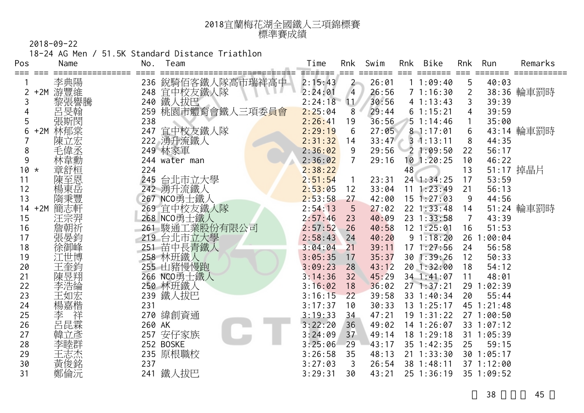| 2018宜蘭梅花湖全國鐵人三項錦標賽 |
|--------------------|
| 標準賽成績              |

18-24 AG Men / 51.5K Standard Distance Triathlon

| Pos         | Name       | No.    | Team                 | Time               | Rnk            | Swim           | Rnk | Bike                         | Rnk            | Run              | Remarks    |
|-------------|------------|--------|----------------------|--------------------|----------------|----------------|-----|------------------------------|----------------|------------------|------------|
| === ===     | 李典陽        |        | 236 銳騎佰客鐵人隊高市瑞祥高中    | =======<br>2:15:43 | $2 -$          | 26:01          |     | 11:09:40                     | $==$<br>5      | 40:03            |            |
|             | +2M 游豐維    |        | 248 宜中校友鐵人隊          | 2:24:01            | $\overline{4}$ | 26:56          |     | 71:16:30                     | $\overline{2}$ |                  | 38:36 輪車罰時 |
| 3           | 黎張譽騰       | 240    | 鐵人拔巴                 | 2:24:18            | $\mathbf{11}$  | 30:56          |     | 41:13:43                     | 3              | 39:39            |            |
| 4           | 呂旻翰        | 259    | 桃園市體育會鐵人三項委員會        | 2:25:04            | 8              | 29:44          |     | 61:15:21                     |                | 39:59            |            |
| 5           | 張斯閔        | 238    |                      | 2:26:41            | 19             | 36:56          |     | 51:14:46                     |                | 35:00            |            |
| 6<br>$+2M$  | 林郁棠        | 247    | 宜中校友鐵人隊              | 2:29:19            | 6              | 27:05          |     | $8 - 1:17:01$                | 6              |                  | 43:14 輪車罰時 |
|             | 陳立宏        |        | 222 湧升流鐵人            | 2:31:32            | 14             | 33:47          |     | $3 \t1:13:11$                | 8              | 44:35            |            |
| 8           | 毛偉丞        |        | 249 林家軍              | 2:36:02            | 9              | 29:56          |     | 21:09:50                     | 22             | 56:17            |            |
| 9           | 林韋勳        |        | 244 water man        | 2:36:02            | $\overline{7}$ | 29:16          |     | $10$ 1:20:25                 | 10             | 46:22            |            |
| $10 *$      | 章舒桓        | 224    |                      | 2:38:22            |                |                | 48  |                              | 13             |                  | 51:17 掉晶片  |
| 11          | 陳至恩        | 245    | 台北市立大學               | 2:51:54            | $\overline{1}$ | 23:31          |     | 24 1:34:25                   | 17             | 53:59            |            |
| 12          | 楊東岳        |        | 242 湧升流鐵人            | 2:53:05            | 12             | 33:04          | 11  | 1:23:49                      | 21             | 56:13            |            |
| 13          | 隋秉豐        |        | 267 NCO勇士鐵人          | 2:53:58            | 27             | 42:00          |     | 15 1:27:03                   | 9              | 44:56            |            |
| $+2M$<br>14 | 簡志軒        |        | 269 宜中校友鐵人隊          | 2:54:13            | 5              | 27:02          |     | $22 \t1:33:48$               | 14             |                  | 51:24 輪車罰時 |
| 15          | 汪宗羿        |        | 268 NCO勇士鐵人          | 2:57:46            | 23             | 40:09          |     | 23 1:33:58                   | $\overline{7}$ | 43:39            |            |
| 16          | 詹朝祈        | 261    | 駿通工業股份有限公司           | 2:57:52            | 26             | 40:58          |     | 12 1:25:01                   | 16             | 51:53            |            |
| 17          | 張晏鈞        |        | 219 台北市立大學           | 2:58:43            | 24             | 40:20          |     | 91:18:20                     | 26             | :00:04           |            |
| 18          | 徐御峰        |        | 251 苗中長青鐵人           | 3:04:04            | 21             | 39:11          |     | $17 \t1:27:56$               | 24             | 56:58            |            |
| 19          | 江世博        |        | 258 林班鐵人             | 3:05:35            | 17             | 35:37          |     | 30 1:39:26                   | 12             | 50:33            |            |
| 20<br>21    | 王奎鈞        |        | 255 山豬慢慢跑            | 3:09:23            | 28<br>32       | 43:12          |     | 20 1:32:00                   | 18             | 54:12<br>48:01   |            |
|             | 陳昱翔        |        | 266 NCO勇士鐵人          | 3:14:36            |                | 45:29          |     | 34 1:41:07                   | 11             |                  |            |
| 22<br>23    | 李浩綸<br>王如宏 |        | 250 林班鐵人<br>239 鐵人拔巴 | 3:16:02<br>3:16:15 | 18<br>22       | 36:02<br>39:58 |     | $27 \t1:37:21$<br>33 1:40:34 | 29<br>20       | 1:02:39<br>55:44 |            |
| 24          | 楊嘉楷        | 231    |                      | 3:17:37            | 10             | 30:33          |     | $13 \t1:25:17$               |                | 45 1:21:48       |            |
| 25          | 祥<br>李     |        | 270 緯創資通             | 3:19:33            | 34             | 47:21          |     | 19 1:31:22                   |                | 27 1:00:50       |            |
| 26          | 呂昆霖        | 260 AK |                      | 3:22:20            | 36             | 49:02          |     | $14$ 1:26:07                 |                | 33 1:07:12       |            |
| 27          | 韓立彥        | 257    | 安仔家族                 | 3:24:09            | 37             | 49:14          |     | $18$ 1:29:18                 |                | 31 1:05:39       |            |
| 28          | 李睦群        |        | 252 BOSKE            | 3:25:06            | 29             | 43:17          |     | 35 1:42:35                   | 25             | 59:15            |            |
| 29          | 王志杰        |        | 235 原根職校             | 3:26:58            | 35             | 48:13          |     | $21 \t1:33:30$               |                | 30 1:05:17       |            |
| 30          | 黃俊銘        | 237    |                      | 3:27:03            | 3              | 26:54          |     | 38 1:48:11                   |                | 37 1:12:00       |            |
| 31          | 鄭倫沅        | 241    | 鐵人拔巴                 | 3:29:31            | 30             | 43:21          |     | 25 1:36:19                   |                | 35 1:09:52       |            |
|             |            |        |                      |                    |                |                |     |                              |                |                  |            |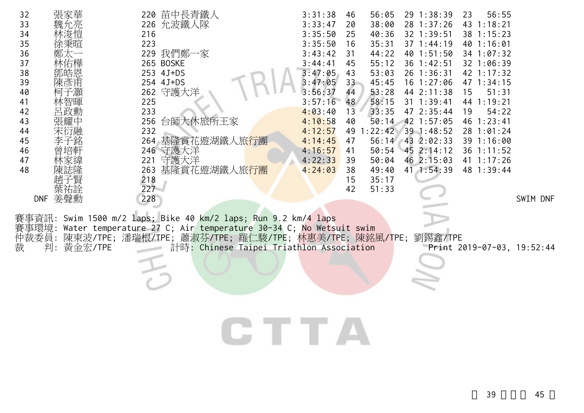| 32    | 張家華           | 220 苗中長青鐵人                                                       | 3:31:38 | 56:05<br>46     | 29 1:38:39       | 56:55<br>23                |          |
|-------|---------------|------------------------------------------------------------------|---------|-----------------|------------------|----------------------------|----------|
| 33    |               | 226 允波鐵人隊                                                        | 3:33:47 | 38:00<br>20     | 28 1:37:26       | 43 1:18:21                 |          |
| 34    |               | 216                                                              | 3:35:50 | 40:36<br>25     | 32 1:39:51       | 38 1:15:23                 |          |
| 35    | 涂秉暄           | 223                                                              | 3:35:50 | 35:31<br>16     | 37 1:44:19       | 40 1:16:01                 |          |
| 36    |               | 229 我們鄭一家                                                        | 3:43:42 | 44:22<br>31     | 40 1:51:50       | 34 1:07:32                 |          |
| 37    |               | 265 BOSKE                                                        | 3:44:41 | 55:12<br>45     | 36 1:42:51       | 32 1:06:39                 |          |
| 38    | 鄧皓恩           | 253 4J+DS                                                        | 3:47:05 | 53:03<br>43     | 26 1:36:31       | 42 1:17:32                 |          |
| 39    | 陳彥甫           | 254 4J+DS                                                        | 3:47:05 | 45:45<br>$33 -$ | 16 1:27:06       | 47 1:34:15                 |          |
| 40    |               | 262 守護大洋                                                         | 3:56:37 | 53:28<br>44     | 44 2:11:38       | 51:31<br>15                |          |
| 41    |               | 225                                                              | 3:57:16 | 58:15<br>48     | 31 1:39:41       | 44 1:19:21                 |          |
| 42    | 文勲            | 233                                                              | 4:03:40 | 33:35<br>13     | 47 2:35:44       | 54:22<br>19                |          |
| 43    |               | 256 台師大休旅所王家                                                     | 4:10:58 | 50:14<br>40     | 42 1:57:05       | 46 1:23:41                 |          |
| 44    | 禾衍融           | 232                                                              | 4:12:57 | 1:22:42<br>49   | 39 1:48:52       | 28 1:01:24                 |          |
| 45    |               | 264 基隆賞花遊湖鐵人旅行團                                                  | 4:14:45 | 56:14<br>47     | $43$ 2:02:33     | 39 1:16:00                 |          |
| 46    |               | 246 守護大洋                                                         | 4:16:57 | 41              | 50:54 45 2:14:12 | 36 1:11:52                 |          |
| 47    |               | 守護大洋<br>221                                                      | 4:22:33 | 50:04<br>39     | 46 2:15:03       | 41 1:17:26                 |          |
| 48    |               | 263 基隆賞花遊湖鐵人旅 <mark>行團</mark>                                    | 4:24:03 | 49:40<br>38     | 41 1:54:39       | 48 1:39:44                 |          |
|       |               | 218                                                              |         | 35:17<br>15     |                  |                            |          |
|       | 葉祐詮           | 227                                                              |         | 51:33<br>42     |                  |                            |          |
|       | DNF 姜聲勳       | 228                                                              |         |                 |                  |                            | SWIM DNF |
|       |               |                                                                  |         |                 |                  |                            |          |
|       |               | 事資訊: Swim 1500 m/2 laps; Bike 40 km/2 laps; Run 9.2 km/4 laps    |         |                 |                  |                            |          |
|       | 事環境:          | Water temperature 27 C; Air temperature 30-34 C; No Wetsuit swim |         |                 |                  |                            |          |
| 仲裁委員: |               | 陳東波/TPE;潘瑞根/TPE;蕭淑芬/TPE;羅仁駿/TPE;林惠美/TPE;陳銘風/TPE;劉錫鑫/TPE          |         |                 |                  |                            |          |
| 裁     | 判:<br>黃金宏/TPE | 計時: Chinese Taipei Triathlon Association                         |         |                 |                  | Print 2019-07-03, 19:52:44 |          |
|       |               |                                                                  |         |                 |                  |                            |          |
|       |               |                                                                  |         |                 |                  |                            |          |
|       |               |                                                                  |         |                 |                  |                            |          |
|       |               |                                                                  |         |                 |                  |                            |          |

CTTA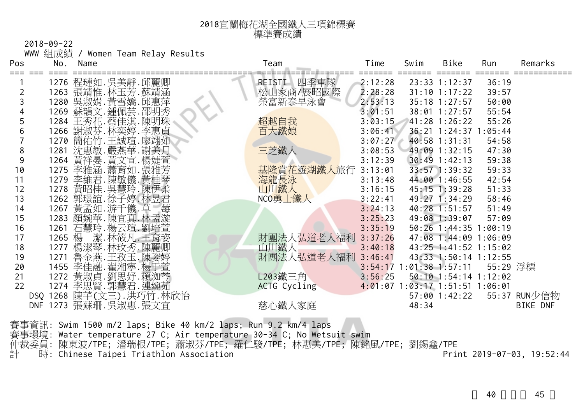| 2018宜蘭梅花湖全國鐵人三項錦標賽 |
|--------------------|
| 標準賽成績              |

|                | $2018 - 09 - 22$ |                         |                                    |                    |         |                                 |                       |          |                 |
|----------------|------------------|-------------------------|------------------------------------|--------------------|---------|---------------------------------|-----------------------|----------|-----------------|
|                |                  |                         | WWW 組成績 / Women Team Relay Results |                    |         |                                 |                       |          |                 |
| Pos            |                  | No. Name                |                                    | Team               | Time    | Swim                            | Bike                  | Run      | Remarks         |
|                |                  | 1276 程璉如.吳美靜.邱麗卿        |                                    | REISTI 四季車隊        | 2:12:28 |                                 | $23:33$ 1:12:37       | 36:19    |                 |
| $\overline{2}$ |                  | 1263 張靖惟. 林玉芳. 蘇靖涵      |                                    | 松山家商/展昭國際          | 2:28:28 |                                 | $31:10$ 1:17:22       | 39:57    |                 |
| 3              |                  | 1280 吳淑娟. 黃雪嬌. 邱惠萍      |                                    | 榮富新泰早泳會            | 2:53:13 |                                 | $35:18$ 1:27:57       | 50:00    |                 |
|                |                  | 1269 蘇韻文.鍾佩芸.邵明秀        |                                    |                    | 3:01:51 |                                 | $38:01$ 1:27:57       | 55:54    |                 |
| 5              |                  | 1284 王秀花.蔡佳淇.陳明珠        |                                    | 超越自我               | 3:03:15 |                                 | 41:28 1:26:22         | 55:26    |                 |
| 6              |                  | 1266 謝淑芬.林奕婷.李惠貞        |                                    | 百大鐵娘               | 3:06:41 |                                 | 36:21 1:24:37 1:05:44 |          |                 |
|                |                  | 1270 簡佑竹.王誠瑄.廖翊如        |                                    |                    | 3:07:27 |                                 | 40:58 1:31:31         | 54:58    |                 |
| 8              |                  | 1281 沈惠敏. 嚴燕華. 謝美月      |                                    | 三芝鐵人               | 3:08:53 |                                 | 49:09 1:32:15         | 47:30    |                 |
| 9              |                  | 1264 黃祥晏. 黃文宣. 楊婕萱      |                                    |                    | 3:12:39 |                                 | $30:49$ 1:42:13       | 59:38    |                 |
| 10             |                  | 1275 李雅涵. 蕭育如. 張雅芳      |                                    | 基隆賞花遊湖鐵人旅行         | 3:13:01 |                                 | 33:57 1:39:32         | 59:33    |                 |
| 11             | 1279             | 李維君.陳敏儀.黃桂琴             |                                    | 海龍長泳               | 3:13:48 |                                 | 44:00 1:46:55         | 42:54    |                 |
| 12             |                  | 1278 黃昭桂. 吳慧玲. 陳伊柔      |                                    | 山川鐵人               | 3:16:15 |                                 | $45:15$ 1:39:28       | 51:33    |                 |
| 13             |                  | 1262 郭璟誼.徐子婷.林昱君        |                                    | NCO勇士鐵人            | 3:22:41 |                                 | 49:27 1:34:29         | 58:46    |                 |
| 14             |                  | 1267 黃孟如.游千儀.草          |                                    |                    | 3:24:13 |                                 | $40:28$ 1:51:57       | 51:49    |                 |
| 15             |                  | 1283 顏婉華.陳宜真.林孟漩        |                                    |                    | 3:25:23 |                                 | 49:08 1:39:07         | 57:09    |                 |
| 16             |                  | 1261 石慧玲.楊云瑄.劉培萱        |                                    |                    | 3:35:19 |                                 | 50:26 1:44:35 1:00:19 |          |                 |
| 17             |                  | 1265 楊 潔.林筱凡.王育姿        |                                    | 財團法人弘道老人福利 3:37:26 |         |                                 | 47:08 1:44:09 1:06:09 |          |                 |
| 18             |                  | 1277 楊潔琴.林玫秀.陳麗卿        |                                    | 山川鐵人               | 3:40:18 |                                 | 43:25 1:41:52 1:15:02 |          |                 |
| 19             |                  | 1271 魯金燕.王孜玉.陳姿婷        |                                    | 財團法人弘道老人福利         | 3:46:41 |                                 | 43:33 1:50:14 1:12:55 |          |                 |
| 20             |                  | 1455 李佳融.翟湘寧.楊于萱        |                                    |                    |         | $3:54:17$ 1:01:38 1:57:11       |                       | 55:29 浮標 |                 |
| 21             |                  | 1272 黃淑貞.劉思妤.賴洳芩        |                                    | L203鐵三角            | 3:56:25 |                                 | 50:10 1:54:14 1:12:02 |          |                 |
| 22             |                  | 1274 李思賢. 郭慧君. 連婉茹      |                                    | ACTG Cycling       |         | 4:01:07 1:03:17 1:51:51 1:06:01 |                       |          |                 |
|                |                  | DSQ 1268 陳芊(文三).洪巧竹.林欣怡 |                                    |                    |         |                                 | 57:00 1:42:22         |          | 55:37 RUN少信物    |
|                |                  | DNF 1273 張蘇珊. 吳淑惠. 張文宜  |                                    | 慈心鐵人家庭             |         | 48:34                           |                       |          | <b>BIKE DNF</b> |

賽事資訊: Swim 1500 m/2 laps; Bike 40 km/2 laps; Run 9.2 km/4 laps 賽事環境: Water temperature 27 C; Air temperature 30-34 C; No Wetsuit swim 仲裁委員: 陳東波/TPE; 潘瑞根/TPE; 蕭淑芬/TPE; 羅仁駿/TPE; 林惠美/TPE; 陳銘風/TPE; 劉錫鑫/TPE 計 時: Chinese Taipei Triathlon Association Print 2019-07-03, 19:52:44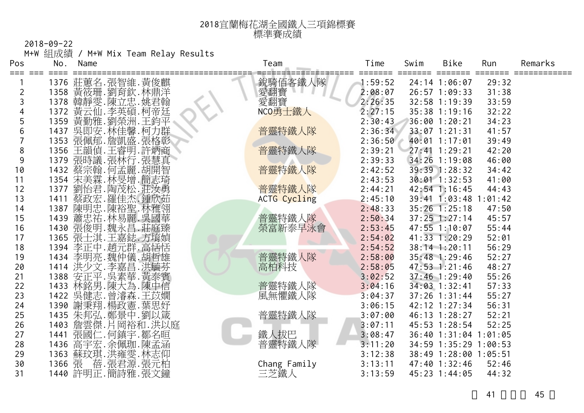| 2018宜蘭梅花湖全國鐵人三項錦標賽 |
|--------------------|
| 標準賽成績              |

2018-09-22 M+W 組成績 / M+W Mix Team Relay Results

| Pos            | No.  | Name                                 | Team         | Time    | Swim | Bike                  | Run     | Remarks |
|----------------|------|--------------------------------------|--------------|---------|------|-----------------------|---------|---------|
|                |      | 1376 莊蕙名.張智維.黃俊麒                     | 銳騎佰客鐵人隊      | 1:59:52 |      | 24:14 1:06:07         | 29:32   |         |
| $\overline{2}$ | 1358 | 黃筱珊.劉育欽.林鼎洋                          | 愛翻寶          | 2:08:07 |      | 26:57 1:09:33         | 31:38   |         |
| 3              | 1378 | 韓靜雯.陳立忠.姚君翰                          | 愛翻寶          | 2:26:35 |      | 32:58 1:19:39         | 33:59   |         |
|                | 1372 | 黃云仙.李英碩.柯帝廷                          | NCO勇士鐵人      | 2:27:15 |      | 35:38 1:19:16         | 32:22   |         |
| 5              | 1359 | 黃勤雅.劉榮洲<br>.王鈞平                      |              | 2:30:43 |      | 36:00 1:20:21         | 34:23   |         |
| 6              |      |                                      | 普靈特鐵人隊       | 2:36:34 |      | 33:07 1:21:31         | 41:57   |         |
| $\overline{7}$ |      | 1437 吳即安.林佳馨.柯力群<br>1353 張佩郁.詹凱盛.張格彰 |              | 2:36:50 |      | 40:01 1:17:01         | 39:49   |         |
| 8              | 1356 | 王韻偵.王睿明.許炳商                          | 普靈特鐵人隊       | 2:39:21 |      | 27:41 1:29:21         | 42:20   |         |
| 9              | 1379 | 張時議.張林行.張慧真                          |              | 2:39:33 |      | 34:26 1:19:08         | 46:00   |         |
| 10             |      |                                      | 普靈特鐵人隊       | 2:42:52 |      | 39:39 1:28:32         | 34:42   |         |
| 11             |      | 1432 蔡宗翰.何孟麗.胡開智<br>1354 宋美霖.林旻增.簡志琦 |              | 2:43:53 |      | $30:01$ 1:32:53       | 41:00   |         |
| 12             | 1377 | 劉怡君.陶茂松.莊汝勇                          | 普靈特鐵人隊       | 2:44:21 |      | 42:54 1:16:45         | 44:43   |         |
| 13             | 1411 | 蔡政宏. 羅佳杰. 鍾欣茹                        | ACTG Cycling | 2:45:10 |      | $39:41$ $1:03:48$     | 1:01:42 |         |
| 14             | 1387 | 陳明忠.陳裕聖.林雅翎<br>蕭忠祐.林易麗.吳國華           |              | 2:48:33 |      | $35:26$ $1:25:18$     | 47:50   |         |
| 15             | 1439 |                                      | 普靈特鐵人隊       | 2:50:34 |      | $37:25$ 1:27:14       | 45:57   |         |
| 16             | 1430 | 張俊明.魏永昌.莊庭臻                          | 榮富新泰早泳會      | 2:53:45 |      | 47:55 1:10:07         | 55:44   |         |
| 17             | 1365 | 張士淇.王嘉鋕.方堉媜                          |              | 2:54:02 |      | $41:33$ $1:20:29$     | 52:01   |         |
| 18             |      | 1394 李正中.趙元群.高恬恬                     |              | 2:54:52 |      | 38:14 1:20:11         | 56:29   |         |
| 19             |      | 1434 李明亮.魏仲儀.胡哲雄                     | 普靈特鐵人隊       | 2:58:00 |      | 35:48 1:29:46         | 52:27   |         |
| 20             |      | 1414 洪少文.李嘉昌.洪毓芬                     | 高柏科技         | 2:58:05 |      | $47:53$ 1:21:46       | 48:27   |         |
| 21             | 1388 | 安正平.吳素華.黃泰賓                          |              | 3:02:52 |      | $37:46$ 1:29:40       | 55:26   |         |
| 22             |      | 1433 林銘男.陳大為.陳中信                     | 普靈特鐵人隊       | 3:04:16 |      | 34:03 1:32:41         | 57:33   |         |
| 23             | 1422 | 吳健志 曾濬森 王苡嫺                          | 風無懼鐵人隊       | 3:04:37 |      | $37:26$ 1:31:44       | 55:27   |         |
| 24             | 1390 | 謝秉翔.楊政憲.葉思妤                          |              | 3:06:15 |      | 42:12 1:27:34         | 56:31   |         |
| 25             |      | 1435 朱邦弘.鄭景中.劉以箴                     | 普靈特鐵人隊       | 3:07:00 |      | 46:13 1:28:27         | 52:21   |         |
| 26             | 1403 | 詹雲傑.月岡裕和.洪以庭                         |              | 3:07:11 |      | 45:53 1:28:54         | 52:25   |         |
| 27             | 1441 | 張國(<br>仁.何鎮宇.鄒名晅                     | 鐵人拔巴         | 3:08:47 |      | 36:40 1:31:04 1:01:05 |         |         |
| 28             | 1436 | 高宇宏.余佩珈.陳孟涵                          | 普靈特鐵人隊       | 3:11:20 |      | 34:59 1:35:29 1:00:53 |         |         |
| 29             | 1363 | 蘇玟琪.洪雍雯.林志仰                          |              | 3:12:38 |      | 38:49 1:28:00 1:05:51 |         |         |
| 30             | 1366 | 蓓.張君源.張元柏<br>張                       | Chang Family | 3:13:11 |      | 47:40 1:32:46         | 52:46   |         |
| 31             |      | 1440 許明正.簡詩雅.張文鐘                     | 三芝鐵人         | 3:13:59 |      | 45:23 1:44:05         | 44:32   |         |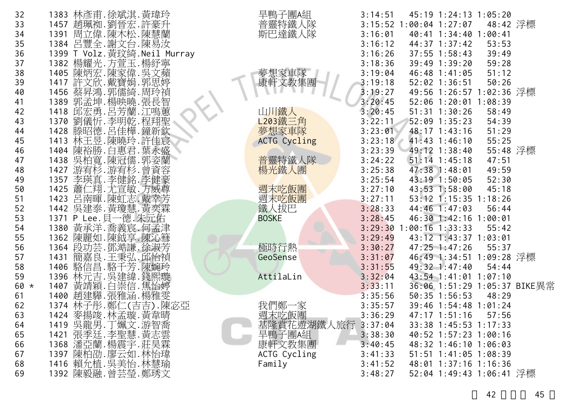| 32   | 1383 林彥甫.徐斌淇.黃瑋玲                         | 旱鴨子團A組              | 3:14:51 | 45:19 1:24:13 1:05:20        |          |  |
|------|------------------------------------------|---------------------|---------|------------------------------|----------|--|
| 33   | 1457 趙珮袽.劉晉宏.許豪升                         | 普靈特鐵人隊              |         | 3:15:52 1:00:04 1:27:07      | 48:42 浮標 |  |
| 34   | 1391 周立偉.陳木松.陳慧蘭                         | 斯巴達鐵人隊              | 3:16:01 | 40:41 1:34:40 1:00:41        |          |  |
| 35   | 1384 呂豐全.謝文台.陳易汝                         |                     | 3:16:12 | 44:37 1:37:42                | 53:53    |  |
| 36   | 1399 T Volz. 黃玟綺. Neil Murray            |                     | 3:16:26 | $37:55$ $1:58:43$            | 39:49    |  |
| 37   | 1382 楊耀光.方萱玉.楊紓寧                         |                     | 3:18:36 | 39:49 1:39:20                | 59:28    |  |
| 38   | 1405 陳炳宏.陳家偉.吳文蘋                         | 夢想家車隊               | 3:19:04 | 46:48 1:41:05                | 51:12    |  |
| 39   | 1417 許文欣. 戴寶娟. 郭思婷                       | 康軒文教集團              | 3:19:18 | $52:02$ 1:36:51              | 50:26    |  |
| 40   | 1456 蔡昇鴻. 郭儒綺. 周玲禎                       |                     | 3:19:27 | 49:56 1:26:57 1:02:36 浮標     |          |  |
| 41   | 1389 郭孟坤.楊映曉.張長智                         |                     | 3:20:45 | 52:06 1:20:01 1:08:39        |          |  |
| 42   | 1418 邱宏勇.呂芳蘭.江鳴蕙                         | 山川鐵人                | 3:20:45 | $51:31$ $1:30:26$            | 58:49    |  |
| 43   | 1370 劉儀忻. 李明乾. 程翔聖<br>1428 滕昭德. 呂佳樺. 鐘新欽 | L203鐵三角             | 3:22:11 | 52:09 1:35:23                | 54:39    |  |
| 44   |                                          | 夢想家車隊               | 3:23:01 | 48:17 1:43:16                | 51:29    |  |
| 45   | 1413 林王昱.陳曉玲.許佳宸                         | <b>ACTG Cycling</b> | 3:23:18 | $41:43$ $1:46:10$            | 55:25    |  |
| 46   | 1404 陳裕勝.白惠君.葉永盛                         |                     | 3:23:39 | 49:12 1:38:40                | 55:48 浮標 |  |
| 47   | 1438 吳柏寬.陳冠儒.郭姿蘭                         | 普靈特鐵人隊              | 3:24:22 | $51:14$ 1:45:18              | 47:51    |  |
| 48   | 游宥杉 游宥杉 曾資容<br>1427                      | 楊光鐵人團               | 3:25:38 | 47:38 1:48:01                | 49:59    |  |
| 49   | 1357 李瑛真.李健銘.李健豪                         |                     | 3:25:54 | 43:19 1:50:05                | 52:30    |  |
| 50   | 1425 蕭仁翔.尤宣敏.方威尊                         | 週末吃飯團               | 3:27:10 | 43:53 1:58:00                | 45:18    |  |
| 51   | 1423 呂南暉.陳虹志.戴幸芳                         | 週末吃飯團               | 3:27:11 | 53:12 1:15:35 1:18:26        |          |  |
| 52   | 1442 吳建泰.黃瓊慧.黃奕霖                         | 鐵人拔巴                | 3:28:33 | 44:46 1:47:03                | 56:44    |  |
| 53   | 1371 P Lee.貝一德.朱元佑                       | <b>BOSKE</b>        | 3:28:45 | 46:30 1:42:16 1:00:01        |          |  |
| 54   | 1380 黄承洋.喬義宸.何孟津                         |                     |         | $3:29:30$ 1:00:16 1:33:33    | 55:42    |  |
| 55   | 1362 陳麗如.陳鉞享.陳沁篲                         |                     | 3:29:49 | 43:12 1:43:37 1:03:01        |          |  |
| 56   | 1364 段功芸.鄧澔謙.徐淑芳                         | 極時行熱                | 3:30:27 | $47:25$ 1:47:26              | 55:37    |  |
| 57   | 簡嘉良.王秉弘.邱怡禎<br>1431                      | GeoSense            | 3:31:07 | 46:49 1:34:51 1:09:28 浮標     |          |  |
| 58   | 1406 駱信昌.駱千芳.陳婉玲                         |                     | 3:31:55 | 49:32 1:47:40                | 54:44    |  |
| 59   | 1396 林元吉. 吳建緯. 錢熙璇                       | AttilaLin           | 3:32:04 | 43:54 1:41:01 1:07:10        |          |  |
| 60 * | 黃靖穎.白崇信.焦怡婷<br>1407                      |                     | 3:33:11 | 36:06 1:51:29 1:05:37 BIKE異常 |          |  |
| 61   | 1400 趙建驊. 張雅涵. 楊雅雯                       |                     | 3:35:56 | $50:35$ 1:56:53              | 48:29    |  |
| 62   | 1374 林子彤.鄭仁(吉吉).陳宓亞                      | 我們鄭一家               | 3:35:57 | 39:46 1:54:48 1:01:24        |          |  |
| 63   | 1424 麥揚竣.林孟璇.黃韋晴                         | 週末吃飯團               | 3:36:29 | 47:17 1:51:16                | 57:56    |  |
| 64   | 1419 吴龍男. 丁姵文. 游智喬                       | 基隆賞花遊湖鐵人旅行 3:37:04  |         | 33:38 1:45:53 1:17:33        |          |  |
| 65   |                                          | 旱鴨子團A組              | 3:38:30 | 40:52 1:57:23 1:00:16        |          |  |
| 66   | 1421 張季廷.李聖慧.黃志雲<br>1368 潘亞蘭.楊震宇.莊昊霖     | 康軒文教集團              | 3:40:45 | 48:32 1:46:10 1:06:03        |          |  |
| 67   | 陳柏劭.廖云如.林怡瑋<br>1397                      | ACTG Cycling        | 3:41:33 | 51:51 1:41:05 1:08:39        |          |  |
| 68   | 1416 賴允植. 吳美怡. 林慧瑜                       | Family              | 3:41:52 | 48:01 1:37:16 1:16:36        |          |  |
| 69   | 1392 陳毅融. 曾芸瑩. 鄭琇文                       |                     | 3:48:27 | 52:04 1:49:43 1:06:41 浮標     |          |  |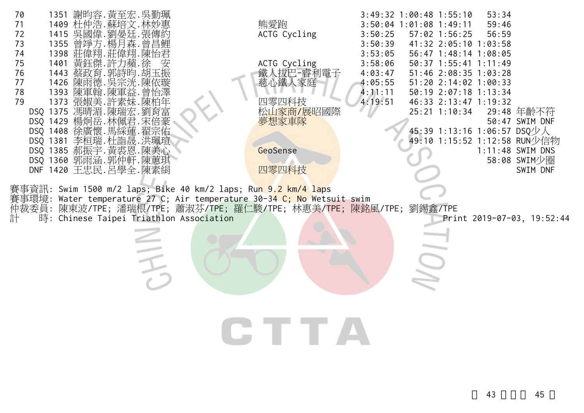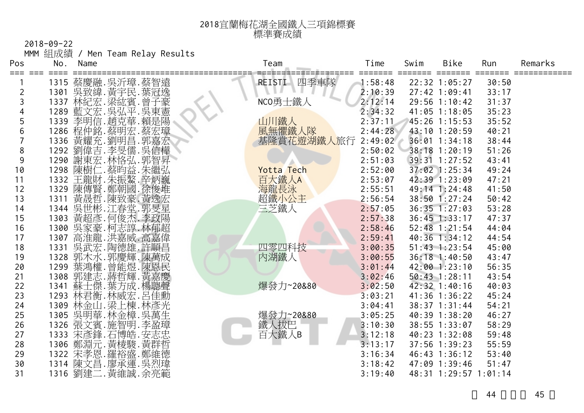| 2018宜蘭梅花湖全國鐵人三項錦標賽 |
|--------------------|
| 標準賽成績              |

2018-09-22 MMM 組成績 / Men Team Relay Results

| Pos            | No.  | Name |                                         | Team              | Time    | Swim | Bike                  | Run   | Remarks |
|----------------|------|------|-----------------------------------------|-------------------|---------|------|-----------------------|-------|---------|
|                |      |      | 1315 蔡慶融.吳沂璋.蔡智遠                        | 四季車隊<br>REISTI    | 1:58:48 |      | 22:32 1:05:27         | 30:50 |         |
| $\overline{2}$ | 1301 |      |                                         |                   | 2:10:39 |      | $27:42$ 1:09:41       | 33:17 |         |
| 3              | 1337 |      |                                         | NCO勇士鐵人           | 2:12:14 |      | 29:56 1:10:42         | 31:37 |         |
|                | 1289 |      | 宗安緯.黃宇民.葉冠<br>林紀宏.梁紘賓.曾子豪<br>藍文宗.吳弘平.吳東 |                   | 2:34:32 |      | 41:05 1:18:05         | 35:23 |         |
| 5              | 1339 |      | 李明信. 趙克華. 賴是陽                           | 山川鐵人              | 2:37:11 |      | 45:26 1:15:53         | 35:52 |         |
| 6              |      |      | 1286 程仲銘.蔡明宏.蔡宏璋<br>1336 黃耀充.劉明昌.郭嘉宏    | 風無懼鐵人隊            | 2:44:28 |      | 43:10 1:20:59         | 40:21 |         |
| $\overline{7}$ |      |      |                                         | 基隆賞花遊湖鐵人旅行        | 2:49:02 |      | 36:01 1:34:18         | 38:44 |         |
| 8              | 1292 |      | 李旻儒.吳信樺                                 |                   | 2:50:02 |      | 38:18 1:20:19         | 51:26 |         |
| 9              | 1290 |      | 劉偉吉.李旻儒.<br>謝東宏.林恪弘.<br>.郭智昇            |                   | 2:51:03 |      | 39:31 1:27:52         | 43:41 |         |
| 10             | 1298 | 陳樹   | 仁.蔡昀益.朱繼弘                               | <b>Yotta Tech</b> | 2:52:00 |      | $37:02$ 1:25:34       | 49:24 |         |
| 11             |      |      | 1332 王龍財.朱振鰲.辛炳巍                        | 百大鐵人A             | 2:53:07 |      | 42:39 1:23:09         | 47:21 |         |
| 12             | 1329 |      | 陳傳賢.鄭朝國<br>.徐俊堆                         | 海龍長泳              | 2:55:51 |      | 49:14 1:24:48         | 41:50 |         |
| 13             | 1311 |      | 黃晟哲.陳致豪.黃逸宏                             | 超鐵小公主             | 2:56:54 |      | 38:50 1:27:24         | 50:42 |         |
| 14             |      |      | 1344 吴世彬. 江春堂. 郭旻星                      | 三芝鐵人              | 2:57:05 |      | $36:35$ $1:27:03$     | 53:28 |         |
| 15             | 1303 |      | 黃超彥. 何俊杰. 李政陽                           |                   | 2:57:38 |      | $36:45$ 1:33:17       | 47:37 |         |
| 16             | 1300 |      | 吳家豪.柯志諄.林郁超                             |                   | 2:58:46 |      | 52:48 1:21:54         | 44:04 |         |
| 17             | 1307 |      | 高淮龍.洪嘉威.高嘉偉                             |                   | 2:59:41 |      | 40:36 1:34:12         | 44:54 |         |
| 18             | 1331 |      | 吳武宏.陶德雄.許順昌                             | 四零四科技             | 3:00:35 |      | $51:43$ $1:23:54$     | 45:00 |         |
| 19             | 1328 |      | 郭木水.郭慶輝.陳萬成                             | 内湖鐵人              | 3:00:55 |      | 36:18 1:40:50         | 43:47 |         |
| 20             | 1299 |      | 葉鴻權. 曾能煜. 陳恩民                           |                   | 3:01:44 |      | 42:00 1:23:10         | 56:35 |         |
| 21             | 1308 |      | 郭建志.蔣哲輝.黃嘉慶                             |                   | 3:02:46 |      | 50:43 1:28:11         | 43:54 |         |
| 22             | 1341 |      | 蘇士傑.葉方成.楊聰聲                             | 爆發力~20&80         | 3:02:50 |      | 42:32 1:40:16         | 40:03 |         |
| 23             | 1293 |      | 林君衡.林威宏.呂佳勳                             |                   | 3:03:21 |      | 41:36 1:36:22         | 45:24 |         |
| 24             | 1309 |      | 林金山.梁上棟.林彥光                             |                   | 3:04:41 |      | 38:37 1:31:44         | 54:21 |         |
| 25             | 1305 |      | 吳明華.林金樟.吳萬生                             | 爆發力~20&80         | 3:05:25 |      | 40:39 1:38:20         | 46:27 |         |
| 26             | 1326 |      | 張文賓.施智明.李盈璋                             | 鐵人拔巴              | 3:10:30 |      | 38:55 1:33:07         | 58:29 |         |
| 27             | 1333 |      | 栄彦鋒.石博皓.安志忠<br>鄭淵元.黃棱駿.黄群哲              | 百大鐵人B             | 3:12:18 |      | 40:23 1:32:08         | 59:48 |         |
| 28             | 1306 |      |                                         |                   | 3:13:17 |      | 37:56 1:39:23         | 55:59 |         |
| 29             | 1322 |      | 宋孝恩.羅裕盛.鄭維德                             |                   | 3:16:34 |      | 46:43 1:36:12         | 53:40 |         |
| 30             | 1314 |      | 陳文昌.廖承運.吳烈瑋                             |                   | 3:18:42 |      | 47:09 1:39:46         | 51:47 |         |
| 31             | 1316 |      | 劉建二. 黃維誠. 余亮範                           |                   | 3:19:40 |      | 48:31 1:29:57 1:01:14 |       |         |